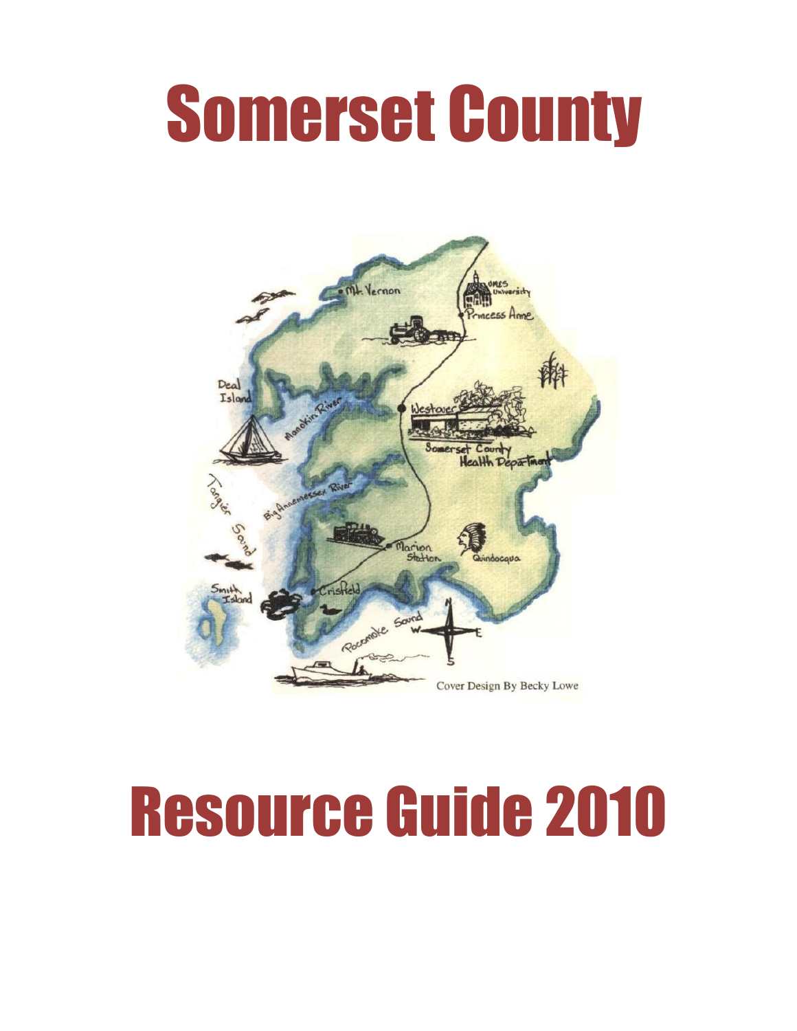# Somerset County



# Resource Guide 2010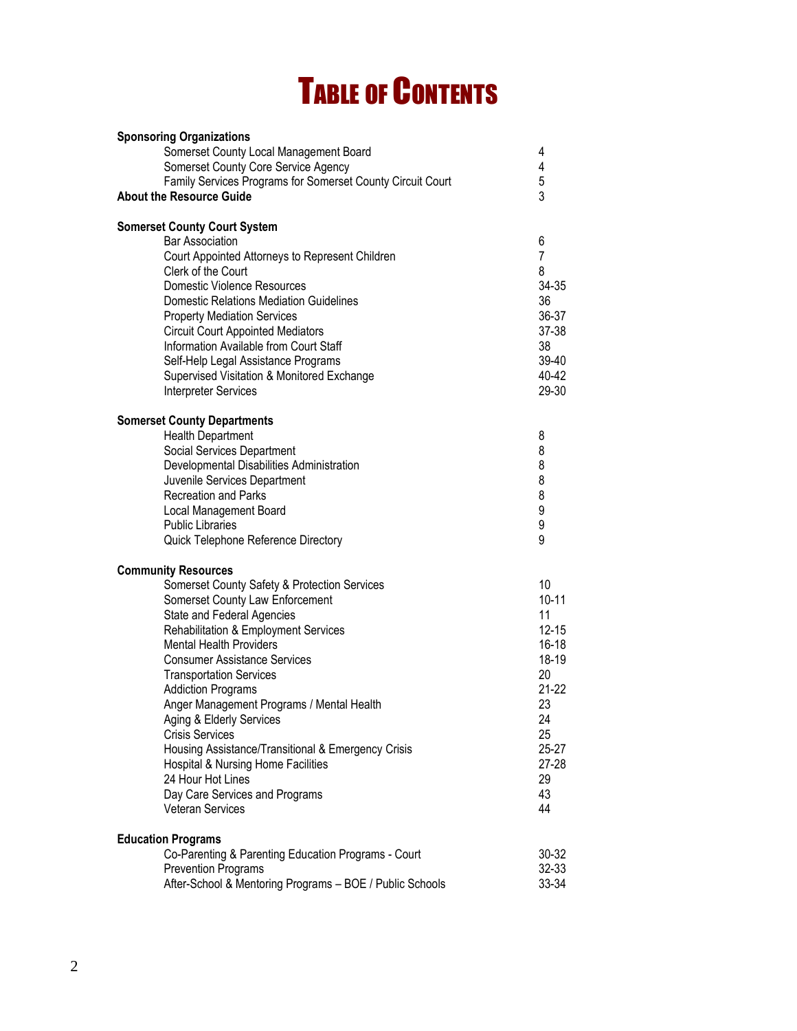## TABLE OF CONTENTS

| <b>Sponsoring Organizations</b>                                                   |   |                |
|-----------------------------------------------------------------------------------|---|----------------|
| Somerset County Local Management Board                                            | 4 |                |
| Somerset County Core Service Agency                                               | 4 |                |
| Family Services Programs for Somerset County Circuit Court                        |   | 5              |
| <b>About the Resource Guide</b>                                                   |   | 3              |
| <b>Somerset County Court System</b>                                               |   |                |
| <b>Bar Association</b>                                                            |   | 6              |
| Court Appointed Attorneys to Represent Children                                   |   | $\overline{7}$ |
| Clerk of the Court                                                                |   | 8              |
| Domestic Violence Resources                                                       |   | 34-35          |
| <b>Domestic Relations Mediation Guidelines</b>                                    |   | 36             |
| <b>Property Mediation Services</b>                                                |   | 36-37          |
| <b>Circuit Court Appointed Mediators</b>                                          |   | 37-38          |
| Information Available from Court Staff                                            |   | 38             |
| Self-Help Legal Assistance Programs                                               |   | 39-40          |
| Supervised Visitation & Monitored Exchange                                        |   | 40-42          |
| Interpreter Services                                                              |   | 29-30          |
| <b>Somerset County Departments</b>                                                |   |                |
| <b>Health Department</b>                                                          | 8 |                |
| Social Services Department                                                        |   | 8              |
| Developmental Disabilities Administration                                         | 8 |                |
| Juvenile Services Department                                                      | 8 |                |
| Recreation and Parks                                                              | 8 |                |
| <b>Local Management Board</b>                                                     | 9 |                |
| <b>Public Libraries</b>                                                           |   | 9              |
| Quick Telephone Reference Directory                                               | 9 |                |
| <b>Community Resources</b>                                                        |   |                |
| Somerset County Safety & Protection Services                                      |   | 10             |
| Somerset County Law Enforcement                                                   |   | $10 - 11$      |
| State and Federal Agencies                                                        |   | 11             |
| Rehabilitation & Employment Services                                              |   | $12 - 15$      |
| <b>Mental Health Providers</b>                                                    |   | $16 - 18$      |
| <b>Consumer Assistance Services</b>                                               |   | 18-19          |
| <b>Transportation Services</b>                                                    |   | 20             |
| <b>Addiction Programs</b>                                                         |   | $21-22$        |
| Anger Management Programs / Mental Health                                         |   | 23             |
| Aging & Elderly Services                                                          |   | 24             |
| <b>Crisis Services</b>                                                            |   | 25             |
| Housing Assistance/Transitional & Emergency Crisis                                |   | 25-27          |
| Hospital & Nursing Home Facilities<br>24 Hour Hot Lines                           |   | 27-28<br>29    |
|                                                                                   |   | 43             |
| Day Care Services and Programs<br><b>Veteran Services</b>                         |   | 44             |
|                                                                                   |   |                |
| <b>Education Programs</b>                                                         |   |                |
| Co-Parenting & Parenting Education Programs - Court<br><b>Prevention Programs</b> |   | 30-32<br>32-33 |
| After-School & Mentoring Programs - BOE / Public Schools                          |   | 33-34          |
|                                                                                   |   |                |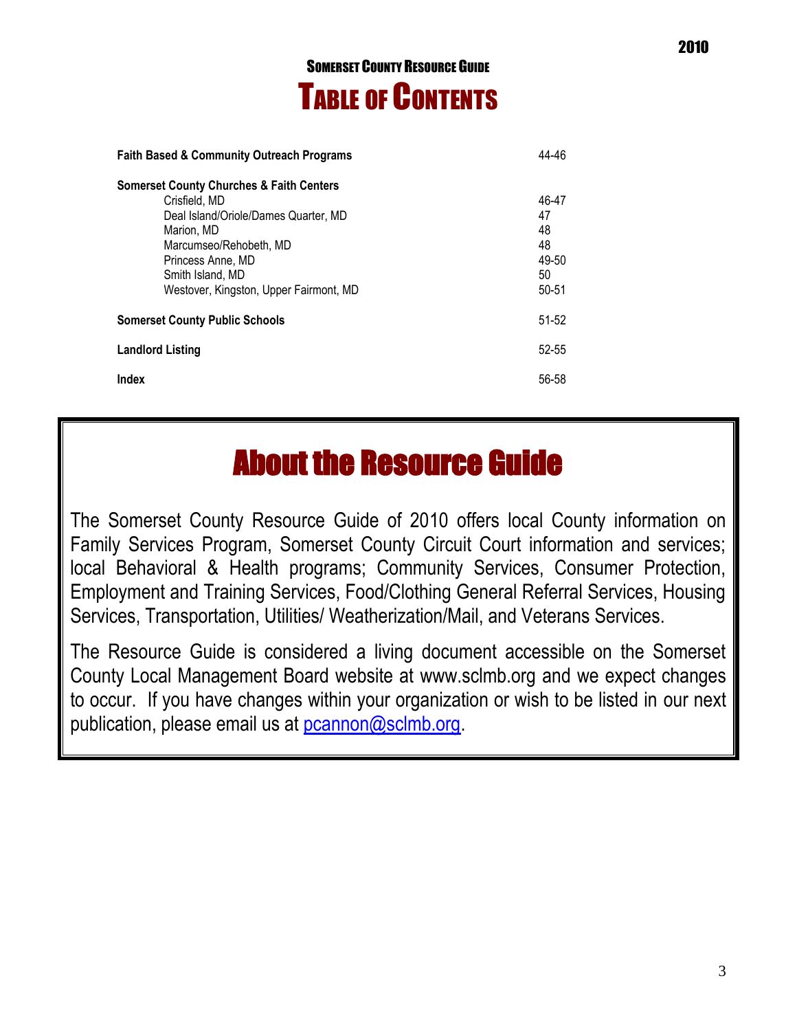## SOMERSET COUNTY RESOURCE GUIDE TABLE OF CONTENTS

| <b>Faith Based &amp; Community Outreach Programs</b>                                                                                                                                                                                    |                                                 |
|-----------------------------------------------------------------------------------------------------------------------------------------------------------------------------------------------------------------------------------------|-------------------------------------------------|
| <b>Somerset County Churches &amp; Faith Centers</b><br>Crisfield, MD<br>Deal Island/Oriole/Dames Quarter, MD<br>Marion, MD<br>Marcumseo/Rehobeth, MD<br>Princess Anne, MD<br>Smith Island, MD<br>Westover, Kingston, Upper Fairmont, MD | 46-47<br>47<br>48<br>48<br>49-50<br>50<br>50-51 |
| <b>Somerset County Public Schools</b>                                                                                                                                                                                                   |                                                 |
| <b>Landlord Listing</b>                                                                                                                                                                                                                 |                                                 |
| <b>Index</b>                                                                                                                                                                                                                            |                                                 |

## About the Resource Guide

The Somerset County Resource Guide of 2010 offers local County information on Family Services Program, Somerset County Circuit Court information and services; local Behavioral & Health programs; Community Services, Consumer Protection, Employment and Training Services, Food/Clothing General Referral Services, Housing Services, Transportation, Utilities/ Weatherization/Mail, and Veterans Services.

The Resource Guide is considered a living document accessible on the Somerset County Local Management Board website at [www.sclmb.org](http://www.sclmb.org/) and we expect changes to occur. If you have changes within your organization or wish to be listed in our next publication, please email us at [pcannon@sclmb.org.](mailto:pcannon@sclmb.org)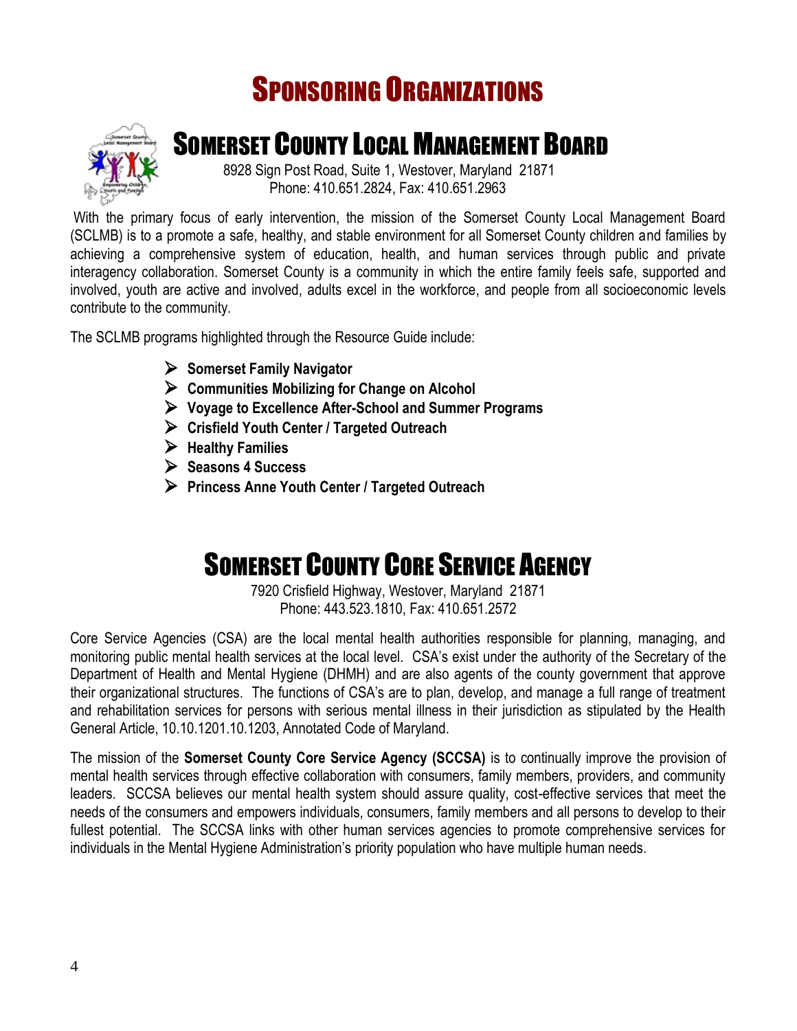## SPONSORING ORGANIZATIONS



## SOMERSET COUNTY LOCAL MANAGEMENT BOARD

 8928 Sign Post Road, Suite 1, Westover, Maryland 21871 Phone: 410.651.2824, Fax: 410.651.2963

With the primary focus of early intervention, the mission of the Somerset County Local Management Board (SCLMB) is to a promote a safe, healthy, and stable environment for all Somerset County children and families by achieving a comprehensive system of education, health, and human services through public and private interagency collaboration. Somerset County is a community in which the entire family feels safe, supported and involved, youth are active and involved, adults excel in the workforce, and people from all socioeconomic levels contribute to the community.

The SCLMB programs highlighted through the Resource Guide include:

- **Somerset Family Navigator**
- **Communities Mobilizing for Change on Alcohol**
- **Voyage to Excellence After-School and Summer Programs**
- **Crisfield Youth Center / Targeted Outreach**
- **Healthy Families**
- **Seasons 4 Success**
- **Princess Anne Youth Center / Targeted Outreach**

## SOMERSET COUNTY CORE SERVICE AGENCY

7920 Crisfield Highway, Westover, Maryland 21871 Phone: 443.523.1810, Fax: 410.651.2572

Core Service Agencies (CSA) are the local mental health authorities responsible for planning, managing, and monitoring public mental health services at the local level. CSA's exist under the authority of the Secretary of the Department of Health and Mental Hygiene (DHMH) and are also agents of the county government that approve their organizational structures. The functions of CSA's are to plan, develop, and manage a full range of treatment and rehabilitation services for persons with serious mental illness in their jurisdiction as stipulated by the Health General Article, 10.10.1201.10.1203, Annotated Code of Maryland.

The mission of the **Somerset County Core Service Agency (SCCSA)** is to continually improve the provision of mental health services through effective collaboration with consumers, family members, providers, and community leaders. SCCSA believes our mental health system should assure quality, cost-effective services that meet the needs of the consumers and empowers individuals, consumers, family members and all persons to develop to their fullest potential. The SCCSA links with other human services agencies to promote comprehensive services for individuals in the Mental Hygiene Administration's priority population who have multiple human needs.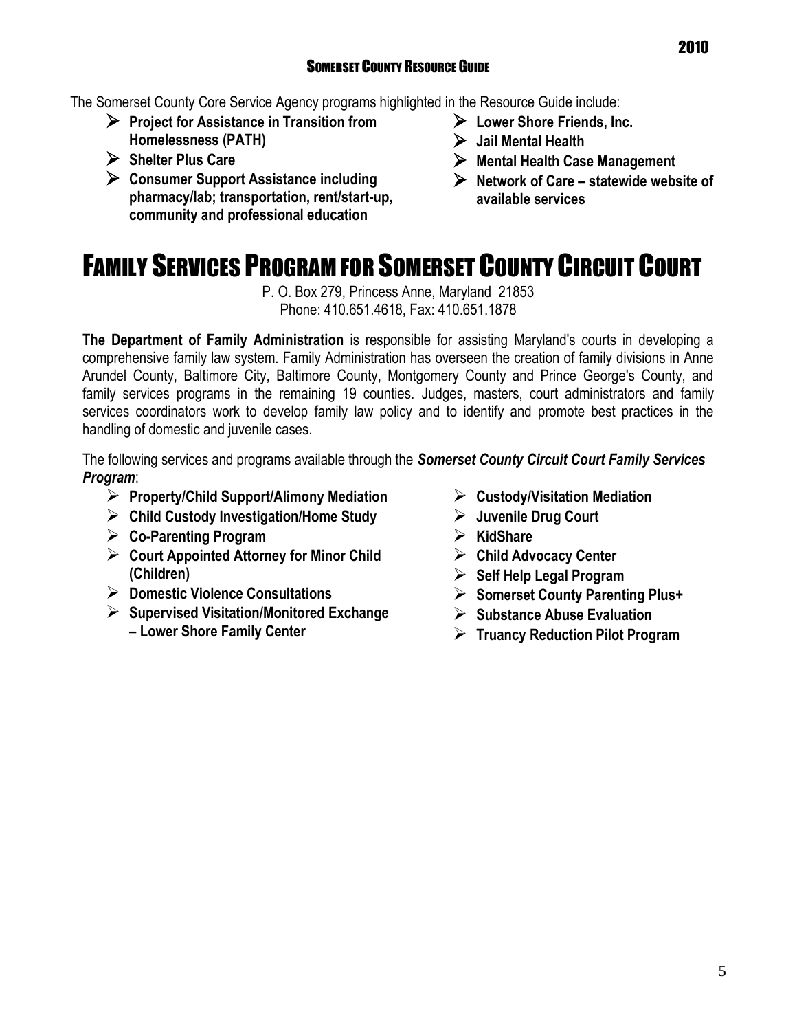### SOMERSET COUNTY RESOURCE GUIDE

The Somerset County Core Service Agency programs highlighted in the Resource Guide include:

- **Project for Assistance in Transition from Homelessness (PATH)**
- **Shelter Plus Care**
- **Consumer Support Assistance including pharmacy/lab; transportation, rent/start-up, community and professional education**
- **Lower Shore Friends, Inc.**
- **Jail Mental Health**
- **Mental Health Case Management**
- **Network of Care – statewide website of available services**

## FAMILY SERVICES PROGRAM FOR SOMERSET COUNTY CIRCUIT COURT

P. O. Box 279, Princess Anne, Maryland 21853 Phone: 410.651.4618, Fax: 410.651.1878

**The Department of Family Administration** is responsible for assisting Maryland's courts in developing a comprehensive family law system. Family Administration has overseen the creation of family divisions in Anne Arundel County, Baltimore City, Baltimore County, Montgomery County and Prince George's County, and family services programs in the remaining 19 counties. Judges, masters, court administrators and family services coordinators work to develop family law policy and to identify and promote best practices in the handling of domestic and juvenile cases.

The following services and programs available through the *Somerset County Circuit Court Family Services Program*:

- **Property/Child Support/Alimony Mediation**
- **Child Custody Investigation/Home Study**
- **Co-Parenting Program**
- **Court Appointed Attorney for Minor Child (Children)**
- **Domestic Violence Consultations**
- **Supervised Visitation/Monitored Exchange – Lower Shore Family Center**
- **Custody/Visitation Mediation**
- **Juvenile Drug Court**
- **KidShare**
- **Child Advocacy Center**
- **Self Help Legal Program**
- **Somerset County Parenting Plus+**
- **Substance Abuse Evaluation**
- **Truancy Reduction Pilot Program**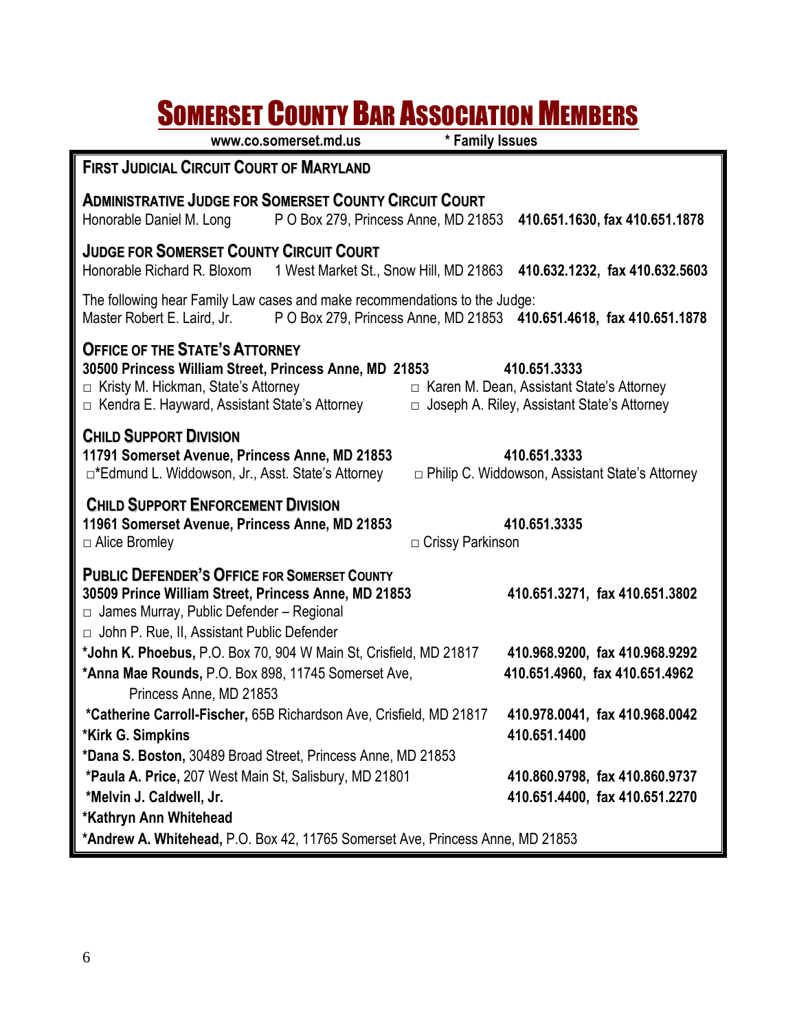## **SOMERSET COUNTY BAR ASSOCIATION MEMBERS**

|                                                                                                                                                                                                                                                       | www.co.somerset.md.us                                                                                                                                                                                                                                                                                                      | * Family Issues                                |                                                                        |  |
|-------------------------------------------------------------------------------------------------------------------------------------------------------------------------------------------------------------------------------------------------------|----------------------------------------------------------------------------------------------------------------------------------------------------------------------------------------------------------------------------------------------------------------------------------------------------------------------------|------------------------------------------------|------------------------------------------------------------------------|--|
| <b>FIRST JUDICIAL CIRCUIT COURT OF MARYLAND</b>                                                                                                                                                                                                       |                                                                                                                                                                                                                                                                                                                            |                                                |                                                                        |  |
| <b>ADMINISTRATIVE JUDGE FOR SOMERSET COUNTY CIRCUIT COURT</b><br>Honorable Daniel M. Long                                                                                                                                                             | P O Box 279, Princess Anne, MD 21853                                                                                                                                                                                                                                                                                       |                                                | 410.651.1630, fax 410.651.1878                                         |  |
| <b>JUDGE FOR SOMERSET COUNTY CIRCUIT COURT</b><br>Honorable Richard R. Bloxom                                                                                                                                                                         |                                                                                                                                                                                                                                                                                                                            |                                                | 1 West Market St., Snow Hill, MD 21863 410.632.1232, fax 410.632.5603  |  |
| The following hear Family Law cases and make recommendations to the Judge:<br>Master Robert E. Laird, Jr.                                                                                                                                             |                                                                                                                                                                                                                                                                                                                            |                                                | P O Box 279, Princess Anne, MD 21853 410.651.4618, fax 410.651.1878    |  |
|                                                                                                                                                                                                                                                       | <b>OFFICE OF THE STATE'S ATTORNEY</b><br>30500 Princess William Street, Princess Anne, MD 21853<br>410.651.3333<br>□ Kristy M. Hickman, State's Attorney<br>$\Box$ Karen M. Dean, Assistant State's Attorney<br>$\Box$ Kendra E. Hayward, Assistant State's Attorney<br>$\Box$ Joseph A. Riley, Assistant State's Attorney |                                                |                                                                        |  |
| <b>CHILD SUPPORT DIVISION</b><br>11791 Somerset Avenue, Princess Anne, MD 21853<br>□*Edmund L. Widdowson, Jr., Asst. State's Attorney                                                                                                                 |                                                                                                                                                                                                                                                                                                                            |                                                | 410.651.3333<br>$\Box$ Philip C. Widdowson, Assistant State's Attorney |  |
| <b>CHILD SUPPORT ENFORCEMENT DIVISION</b><br>11961 Somerset Avenue, Princess Anne, MD 21853<br>$\Box$ Alice Bromley                                                                                                                                   |                                                                                                                                                                                                                                                                                                                            | □ Crissy Parkinson                             | 410.651.3335                                                           |  |
| <b>PUBLIC DEFENDER'S OFFICE FOR SOMERSET COUNTY</b><br>30509 Prince William Street, Princess Anne, MD 21853<br>410.651.3271, fax 410.651.3802<br>$\Box$ James Murray, Public Defender - Regional<br>$\Box$ John P. Rue, II, Assistant Public Defender |                                                                                                                                                                                                                                                                                                                            |                                                |                                                                        |  |
| *John K. Phoebus, P.O. Box 70, 904 W Main St, Crisfield, MD 21817<br>410.968.9200, fax 410.968.9292<br>*Anna Mae Rounds, P.O. Box 898, 11745 Somerset Ave,<br>410.651.4960, fax 410.651.4962<br>Princess Anne, MD 21853                               |                                                                                                                                                                                                                                                                                                                            |                                                |                                                                        |  |
| *Catherine Carroll-Fischer, 65B Richardson Ave, Crisfield, MD 21817<br>*Kirk G. Simpkins                                                                                                                                                              |                                                                                                                                                                                                                                                                                                                            | 410.978.0041, fax 410.968.0042<br>410.651.1400 |                                                                        |  |
| *Dana S. Boston, 30489 Broad Street, Princess Anne, MD 21853<br>*Paula A. Price, 207 West Main St, Salisbury, MD 21801<br>*Melvin J. Caldwell, Jr.                                                                                                    |                                                                                                                                                                                                                                                                                                                            |                                                | 410.860.9798, fax 410.860.9737<br>410.651.4400, fax 410.651.2270       |  |
| *Kathryn Ann Whitehead                                                                                                                                                                                                                                |                                                                                                                                                                                                                                                                                                                            |                                                |                                                                        |  |
| *Andrew A. Whitehead, P.O. Box 42, 11765 Somerset Ave, Princess Anne, MD 21853                                                                                                                                                                        |                                                                                                                                                                                                                                                                                                                            |                                                |                                                                        |  |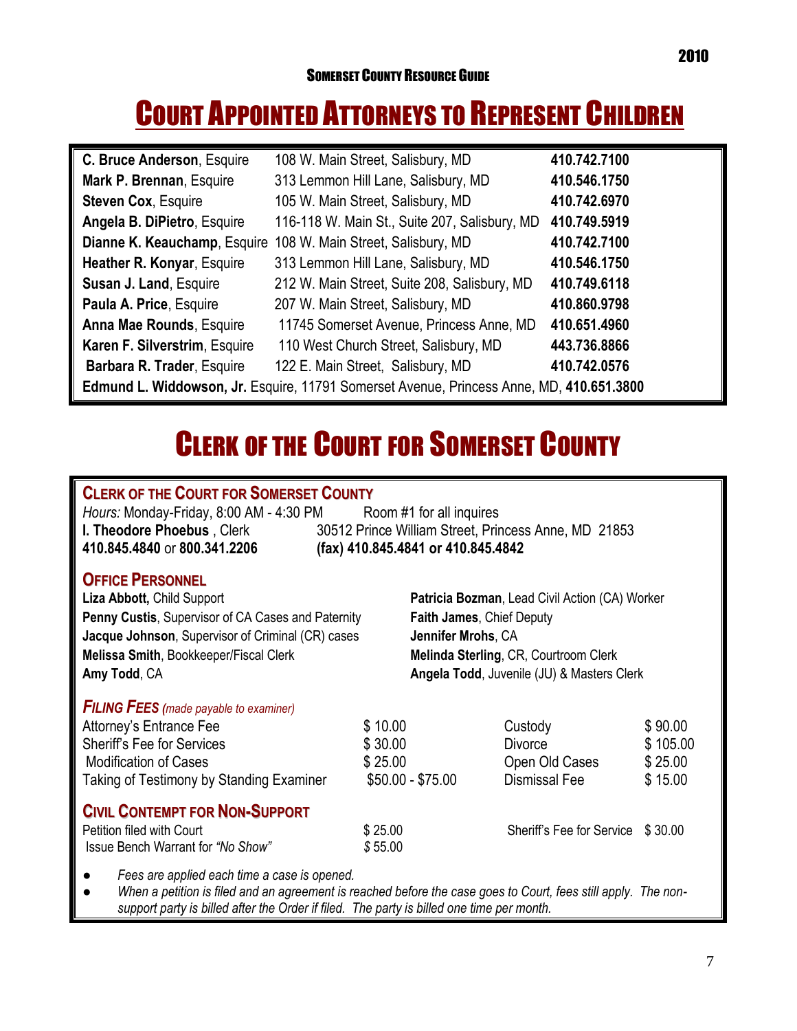## COURT APPOINTED ATTORNEYS TO REPRESENT CHILDREN

| C. Bruce Anderson, Esquire                                                               | 108 W. Main Street, Salisbury, MD                              | 410.742.7100 |  |
|------------------------------------------------------------------------------------------|----------------------------------------------------------------|--------------|--|
| Mark P. Brennan, Esquire                                                                 | 313 Lemmon Hill Lane, Salisbury, MD                            | 410.546.1750 |  |
| <b>Steven Cox, Esquire</b>                                                               | 105 W. Main Street, Salisbury, MD                              | 410.742.6970 |  |
| Angela B. DiPietro, Esquire                                                              | 116-118 W. Main St., Suite 207, Salisbury, MD                  | 410.749.5919 |  |
|                                                                                          | Dianne K. Keauchamp, Esquire 108 W. Main Street, Salisbury, MD | 410.742.7100 |  |
| Heather R. Konyar, Esquire                                                               | 313 Lemmon Hill Lane, Salisbury, MD                            | 410.546.1750 |  |
| Susan J. Land, Esquire                                                                   | 212 W. Main Street, Suite 208, Salisbury, MD                   | 410.749.6118 |  |
| Paula A. Price, Esquire                                                                  | 207 W. Main Street, Salisbury, MD                              | 410.860.9798 |  |
| <b>Anna Mae Rounds, Esquire</b>                                                          | 11745 Somerset Avenue, Princess Anne, MD                       | 410.651.4960 |  |
| Karen F. Silverstrim, Esquire                                                            | 110 West Church Street, Salisbury, MD                          | 443.736.8866 |  |
| Barbara R. Trader, Esquire                                                               | 122 E. Main Street, Salisbury, MD                              | 410.742.0576 |  |
| Edmund L. Widdowson, Jr. Esquire, 11791 Somerset Avenue, Princess Anne, MD, 410.651.3800 |                                                                |              |  |

## CLERK OF THE COURT FOR SOMERSET COUNTY

### **CLERK OF THE COURT FOR SOMERSET COUNTY**

| Hours: Monday-Friday, 8:00 AM - 4:30 PM | Room #1 for all inquires                             |
|-----------------------------------------|------------------------------------------------------|
| <b>I. Theodore Phoebus</b> , Clerk      | 30512 Prince William Street, Princess Anne, MD 21853 |
| 410.845.4840 or 800.341.2206            | (fax) 410.845.4841 or 410.845.4842                   |

### **OFFICE PERSONNEL**

**Liza Abbott,** Child Support **Patricia Bozman**, Lead Civil Action (CA) Worker **Penny Custis**, Supervisor of CA Cases and Paternity **Faith James**, Chief Deputy **Jacque Johnson**, Supervisor of Criminal (CR) cases **Jennifer Mrohs**, CA **Melissa Smith**, Bookkeeper/Fiscal Clerk **Melinda Sterling**, CR, Courtroom Clerk **Amy Todd**, CA **Angela Todd**, Juvenile (JU) & Masters Clerk

*FILING FEES (made payable to examiner)*

Attorney's Entrance Fee  $$ 10.00$  Custody  $$ 90.00$ Sheriff's Fee for Services **6 2000** Sheriff's Fee for Services **6 2000** Bivorce **\$ 105.00** Modification of Cases **6 25.00 5 25.00 6 25.00 1 5 26.00 6 25.00 6 25.00 6 25.00** Taking of Testimony by Standing Examiner  $$50.00 - $75.00$  Dismissal Fee \$ 15.00

### **CIVIL CONTEMPT FOR NON-SUPPORT**

| Petition filed with Court         | \$25.00 |
|-----------------------------------|---------|
| Issue Bench Warrant for "No Show" | \$55.00 |

\$ 25.00 Sheriff's Fee for Service \$ 30.00

*● Fees are applied each time a case is opened.*

When a petition is filed and an agreement is reached before the case goes to Court, fees still apply. The non*support party is billed after the Order if filed. The party is billed one time per month.*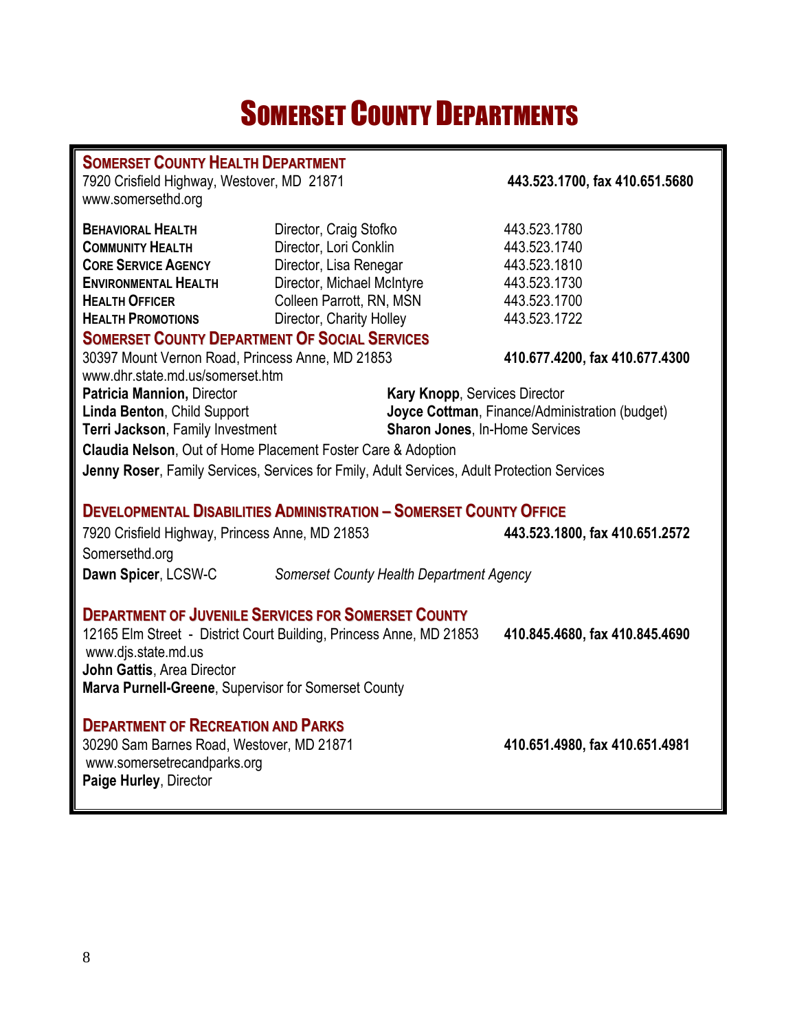## SOMERSET COUNTY DEPARTMENTS

| <b>SOMERSET COUNTY HEALTH DEPARTMENT</b>                        |                                                                                             |                                                |  |  |
|-----------------------------------------------------------------|---------------------------------------------------------------------------------------------|------------------------------------------------|--|--|
| 7920 Crisfield Highway, Westover, MD 21871                      | 443.523.1700, fax 410.651.5680                                                              |                                                |  |  |
| www.somersethd.org                                              |                                                                                             |                                                |  |  |
| <b>BEHAVIORAL HEALTH</b><br>Director, Craig Stofko              |                                                                                             | 443.523.1780                                   |  |  |
| <b>COMMUNITY HEALTH</b><br>Director, Lori Conklin               |                                                                                             | 443.523.1740                                   |  |  |
| <b>CORE SERVICE AGENCY</b>                                      | Director, Lisa Renegar                                                                      | 443.523.1810                                   |  |  |
| <b>ENVIRONMENTAL HEALTH</b>                                     | Director, Michael McIntyre                                                                  | 443.523.1730                                   |  |  |
| <b>HEALTH OFFICER</b>                                           | Colleen Parrott, RN, MSN                                                                    | 443.523.1700                                   |  |  |
| <b>HEALTH PROMOTIONS</b>                                        | Director, Charity Holley                                                                    | 443.523.1722                                   |  |  |
| <b>SOMERSET COUNTY DEPARTMENT OF SOCIAL SERVICES</b>            |                                                                                             |                                                |  |  |
| 30397 Mount Vernon Road, Princess Anne, MD 21853                |                                                                                             | 410.677.4200, fax 410.677.4300                 |  |  |
| www.dhr.state.md.us/somerset.htm                                |                                                                                             |                                                |  |  |
| Patricia Mannion, Director                                      | Kary Knopp, Services Director                                                               |                                                |  |  |
| Linda Benton, Child Support                                     |                                                                                             | Joyce Cottman, Finance/Administration (budget) |  |  |
| Terri Jackson, Family Investment                                | <b>Sharon Jones, In-Home Services</b>                                                       |                                                |  |  |
|                                                                 | <b>Claudia Nelson, Out of Home Placement Foster Care &amp; Adoption</b>                     |                                                |  |  |
|                                                                 | Jenny Roser, Family Services, Services for Fmily, Adult Services, Adult Protection Services |                                                |  |  |
|                                                                 |                                                                                             |                                                |  |  |
|                                                                 | <b>DEVELOPMENTAL DISABILITIES ADMINISTRATION - SOMERSET COUNTY OFFICE</b>                   |                                                |  |  |
| 7920 Crisfield Highway, Princess Anne, MD 21853                 |                                                                                             | 443.523.1800, fax 410.651.2572                 |  |  |
| Somersethd.org                                                  |                                                                                             |                                                |  |  |
| Dawn Spicer, LCSW-C<br>Somerset County Health Department Agency |                                                                                             |                                                |  |  |
|                                                                 |                                                                                             |                                                |  |  |
|                                                                 | <b>DEPARTMENT OF JUVENILE SERVICES FOR SOMERSET COUNTY</b>                                  |                                                |  |  |
|                                                                 | 12165 Elm Street - District Court Building, Princess Anne, MD 21853                         | 410.845.4680, fax 410.845.4690                 |  |  |
| www.djs.state.md.us                                             |                                                                                             |                                                |  |  |
| John Gattis, Area Director                                      |                                                                                             |                                                |  |  |
| Marva Purnell-Greene, Supervisor for Somerset County            |                                                                                             |                                                |  |  |
|                                                                 |                                                                                             |                                                |  |  |
| <b>DEPARTMENT OF RECREATION AND PARKS</b>                       |                                                                                             |                                                |  |  |
| 30290 Sam Barnes Road, Westover, MD 21871                       |                                                                                             | 410.651.4980, fax 410.651.4981                 |  |  |
| www.somersetrecandparks.org                                     |                                                                                             |                                                |  |  |
| Paige Hurley, Director                                          |                                                                                             |                                                |  |  |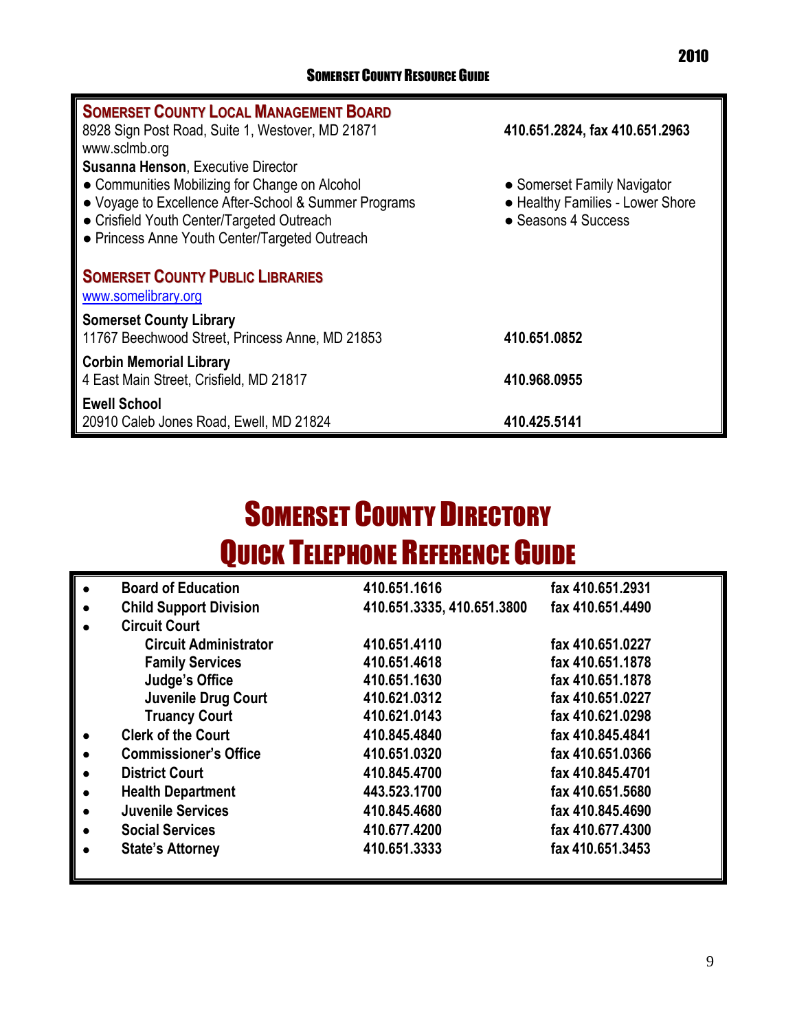| <b>SOMERSET COUNTY LOCAL MANAGEMENT BOARD</b>                  |                                  |
|----------------------------------------------------------------|----------------------------------|
| 8928 Sign Post Road, Suite 1, Westover, MD 21871               | 410.651.2824, fax 410.651.2963   |
| www.sclmb.org                                                  |                                  |
| <b>Susanna Henson, Executive Director</b>                      |                                  |
| • Communities Mobilizing for Change on Alcohol                 | • Somerset Family Navigator      |
| • Voyage to Excellence After-School & Summer Programs          | • Healthy Families - Lower Shore |
| • Crisfield Youth Center/Targeted Outreach                     | • Seasons 4 Success              |
| • Princess Anne Youth Center/Targeted Outreach                 |                                  |
| <b>SOMERSET COUNTY PUBLIC LIBRARIES</b><br>www.somelibrary.org |                                  |
| <b>Somerset County Library</b>                                 |                                  |
| 11767 Beechwood Street, Princess Anne, MD 21853                | 410.651.0852                     |
| <b>Corbin Memorial Library</b>                                 |                                  |
| 4 East Main Street, Crisfield, MD 21817                        | 410.968.0955                     |
| <b>Ewell School</b>                                            |                                  |
| 20910 Caleb Jones Road, Ewell, MD 21824                        | 410.425.5141                     |

## **SOMERSET COUNTY DIRECTORY** QUICK TELEPHONE REFERENCE GUIDE

|           | <b>Board of Education</b>     | 410.651.1616               | fax 410.651.2931 |
|-----------|-------------------------------|----------------------------|------------------|
| $\bullet$ | <b>Child Support Division</b> | 410.651.3335, 410.651.3800 | fax 410.651.4490 |
| $\bullet$ | <b>Circuit Court</b>          |                            |                  |
|           | <b>Circuit Administrator</b>  | 410.651.4110               | fax 410.651.0227 |
|           | <b>Family Services</b>        | 410.651.4618               | fax 410.651.1878 |
|           | Judge's Office                | 410.651.1630               | fax 410.651.1878 |
|           | <b>Juvenile Drug Court</b>    | 410.621.0312               | fax 410.651.0227 |
|           | <b>Truancy Court</b>          | 410.621.0143               | fax 410.621.0298 |
| $\bullet$ | <b>Clerk of the Court</b>     | 410.845.4840               | fax 410,845,4841 |
| $\bullet$ | <b>Commissioner's Office</b>  | 410.651.0320               | fax 410.651.0366 |
| $\bullet$ | <b>District Court</b>         | 410.845.4700               | fax 410,845,4701 |
| $\bullet$ | <b>Health Department</b>      | 443.523.1700               | fax 410.651.5680 |
| $\bullet$ | <b>Juvenile Services</b>      | 410,845,4680               | fax 410.845.4690 |
| $\bullet$ | <b>Social Services</b>        | 410.677.4200               | fax 410.677.4300 |
|           | <b>State's Attorney</b>       | 410.651.3333               | fax 410.651.3453 |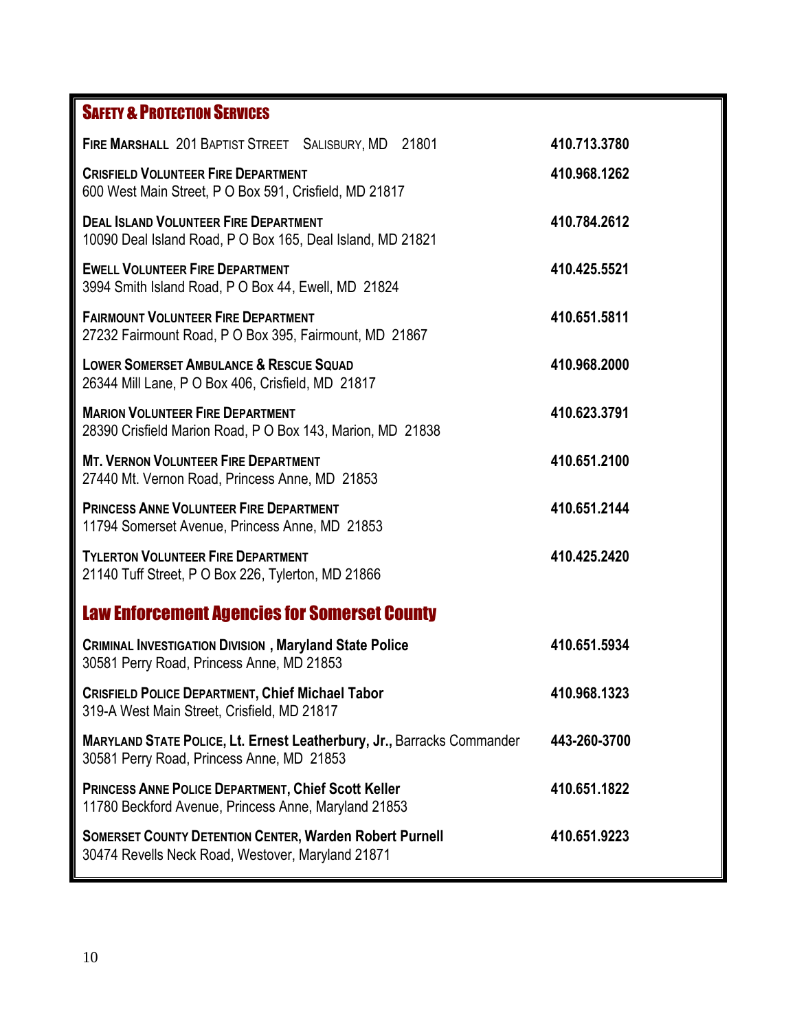### **SAFETY & PROTECTION SERVICES**

| 410.713.3780 |
|--------------|
| 410.968.1262 |
| 410.784.2612 |
| 410.425.5521 |
| 410.651.5811 |
| 410.968.2000 |
| 410.623.3791 |
| 410.651.2100 |
| 410.651.2144 |
| 410.425.2420 |
|              |
| 410.651.5934 |
| 410.968.1323 |
| 443-260-3700 |
| 410.651.1822 |
| 410.651.9223 |
|              |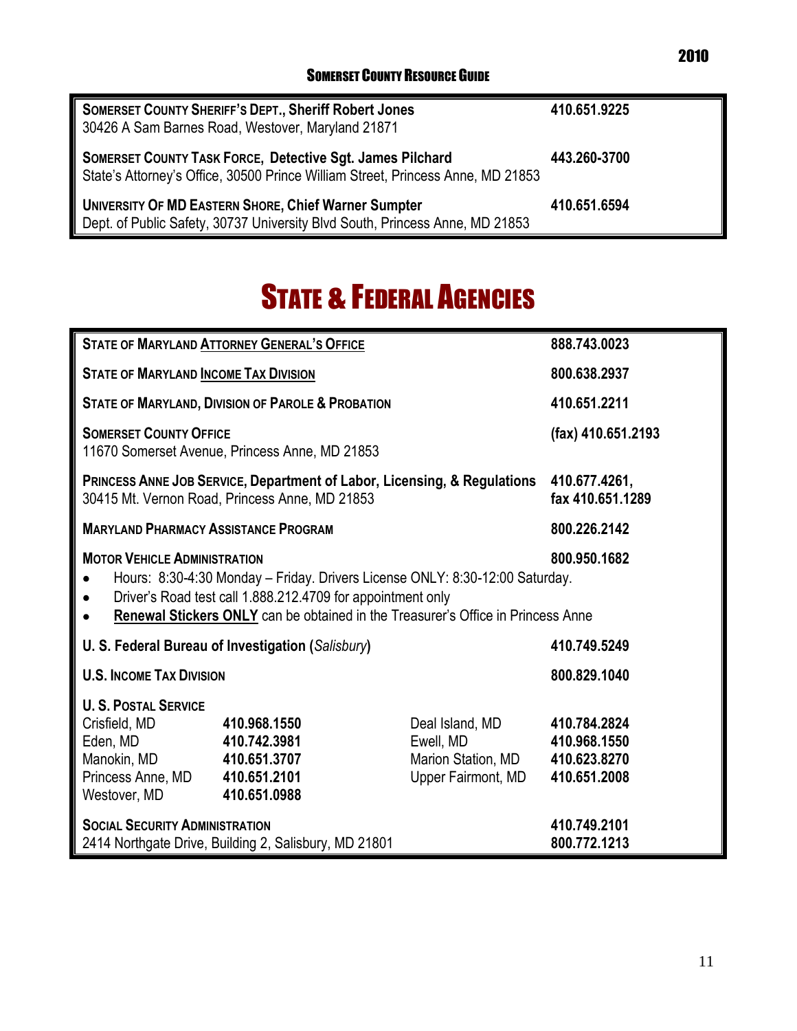| <b>SOMERSET COUNTY SHERIFF'S DEPT., Sheriff Robert Jones</b><br>30426 A Sam Barnes Road, Westover, Maryland 21871                                   | 410.651.9225 |
|-----------------------------------------------------------------------------------------------------------------------------------------------------|--------------|
| <b>SOMERSET COUNTY TASK FORCE, Detective Sgt. James Pilchard</b><br>State's Attorney's Office, 30500 Prince William Street, Princess Anne, MD 21853 | 443.260-3700 |
| <b>UNIVERSITY OF MD EASTERN SHORE, Chief Warner Sumpter</b><br>Dept. of Public Safety, 30737 University Blvd South, Princess Anne, MD 21853         | 410.651.6594 |

## **STATE & FEDERAL AGENCIES**

| <b>STATE OF MARYLAND ATTORNEY GENERAL'S OFFICE</b>                                                                                                                                                                                                                                                                            |                                                                                 |  | 888.743.0023                 |  |
|-------------------------------------------------------------------------------------------------------------------------------------------------------------------------------------------------------------------------------------------------------------------------------------------------------------------------------|---------------------------------------------------------------------------------|--|------------------------------|--|
| <b>STATE OF MARYLAND INCOME TAX DIVISION</b>                                                                                                                                                                                                                                                                                  | 800.638.2937                                                                    |  |                              |  |
|                                                                                                                                                                                                                                                                                                                               | <b>STATE OF MARYLAND, DIVISION OF PAROLE &amp; PROBATION</b>                    |  | 410.651.2211                 |  |
| <b>SOMERSET COUNTY OFFICE</b>                                                                                                                                                                                                                                                                                                 | 11670 Somerset Avenue, Princess Anne, MD 21853                                  |  | (fax) 410.651.2193           |  |
| PRINCESS ANNE JOB SERVICE, Department of Labor, Licensing, & Regulations 410.677.4261,<br>30415 Mt. Vernon Road, Princess Anne, MD 21853                                                                                                                                                                                      | fax 410.651.1289                                                                |  |                              |  |
| <b>MARYLAND PHARMACY ASSISTANCE PROGRAM</b>                                                                                                                                                                                                                                                                                   |                                                                                 |  | 800.226.2142                 |  |
| <b>MOTOR VEHICLE ADMINISTRATION</b><br>800.950.1682<br>Hours: 8:30-4:30 Monday - Friday. Drivers License ONLY: 8:30-12:00 Saturday.<br>$\bullet$<br>Driver's Road test call 1.888.212.4709 for appointment only<br>$\bullet$<br>Renewal Stickers ONLY can be obtained in the Treasurer's Office in Princess Anne<br>$\bullet$ |                                                                                 |  |                              |  |
| U. S. Federal Bureau of Investigation (Salisbury)                                                                                                                                                                                                                                                                             |                                                                                 |  | 410.749.5249                 |  |
| <b>U.S. INCOME TAX DIVISION</b>                                                                                                                                                                                                                                                                                               |                                                                                 |  | 800.829.1040                 |  |
| <b>U. S. POSTAL SERVICE</b><br>Crisfield, MD<br>Eden, MD<br>Manokin, MD 410.651.3707<br>Princess Anne, MD 410.651.2101<br>Westover, MD 410.651.0988                                                                                                                                                                           | 410.784.2824<br>410.968.1550<br>Marion Station, MD 410.623.8270<br>410.651.2008 |  |                              |  |
| <b>SOCIAL SECURITY ADMINISTRATION</b><br>2414 Northgate Drive, Building 2, Salisbury, MD 21801                                                                                                                                                                                                                                |                                                                                 |  | 410.749.2101<br>800.772.1213 |  |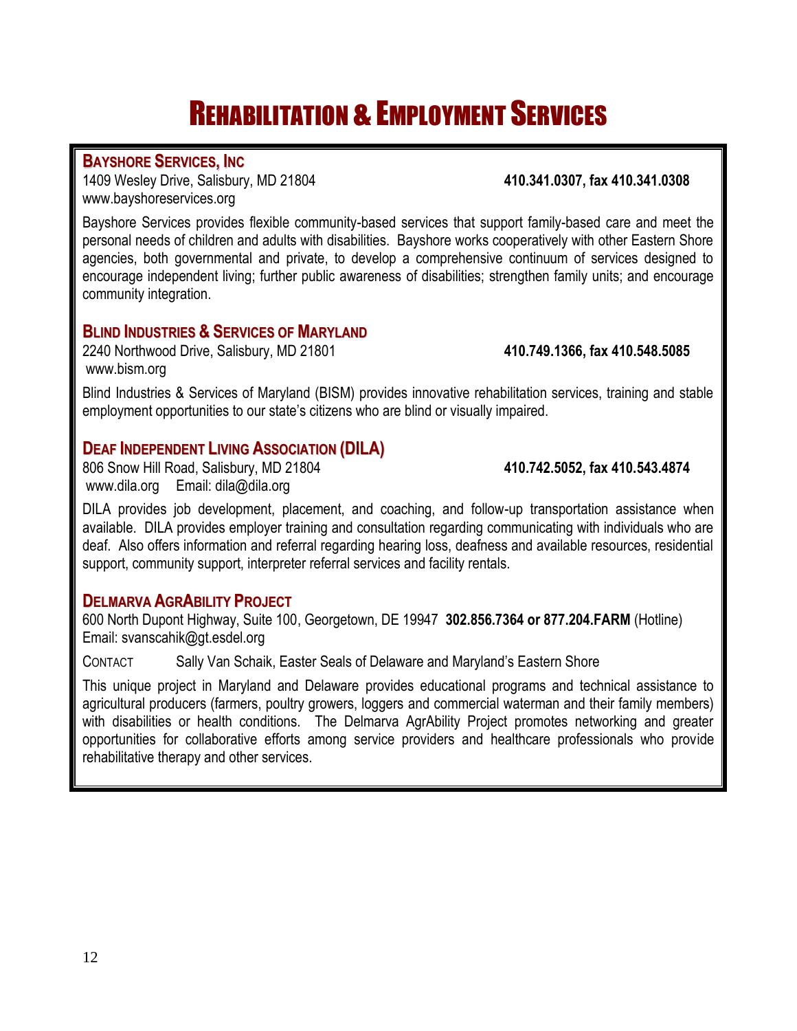## **REHABILITATION & EMPLOYMENT SERVICES**

### **BAYSHORE SERVICES, INC**

 $\overline{\phantom{a}}$ 

1409 Wesley Drive, Salisbury, MD 21804 **410.341.0307, fax 410.341.0308** [www.bayshoreservices.org](http://www.bayshoreservices.org/)

Bayshore Services provides flexible community-based services that support family-based care and meet the personal needs of children and adults with disabilities. Bayshore works cooperatively with other Eastern Shore agencies, both governmental and private, to develop a comprehensive continuum of services designed to encourage independent living; further public awareness of disabilities; strengthen family units; and encourage community integration.

### **BLIND INDUSTRIES & SERVICES OF MARYLAND**

2240 Northwood Drive, Salisbury, MD 21801 **410.749.1366, fax 410.548.5085** [www.bism.org](http://www.bism.org/)

Blind Industries & Services of Maryland (BISM) provides innovative rehabilitation services, training and stable employment opportunities to our state's citizens who are blind or visually impaired.

### **DEAF INDEPENDENT LIVING ASSOCIATION (DILA)**

806 Snow Hill Road, Salisbury, MD 21804 **410.742.5052, fax 410.543.4874** [www.dila.org](http://www.dila.org/) Email: [dila@dila.org](mailto:dila@dila.org)

DILA provides job development, placement, and coaching, and follow-up transportation assistance when available. DILA provides employer training and consultation regarding communicating with individuals who are deaf. Also offers information and referral regarding hearing loss, deafness and available resources, residential support, community support, interpreter referral services and facility rentals.

### **DELMARVA AGRABILITY PROJECT**

600 North Dupont Highway, Suite 100, Georgetown, DE 19947 **302.856.7364 or 877.204.FARM** (Hotline) Email: [svanscahik@gt.esdel.org](mailto:svanscahik@gt.esdel.org)

CONTACT Sally Van Schaik, Easter Seals of Delaware and Maryland's Eastern Shore

This unique project in Maryland and Delaware provides educational programs and technical assistance to agricultural producers (farmers, poultry growers, loggers and commercial waterman and their family members) with disabilities or health conditions. The Delmarva AgrAbility Project promotes networking and greater opportunities for collaborative efforts among service providers and healthcare professionals who provide rehabilitative therapy and other services.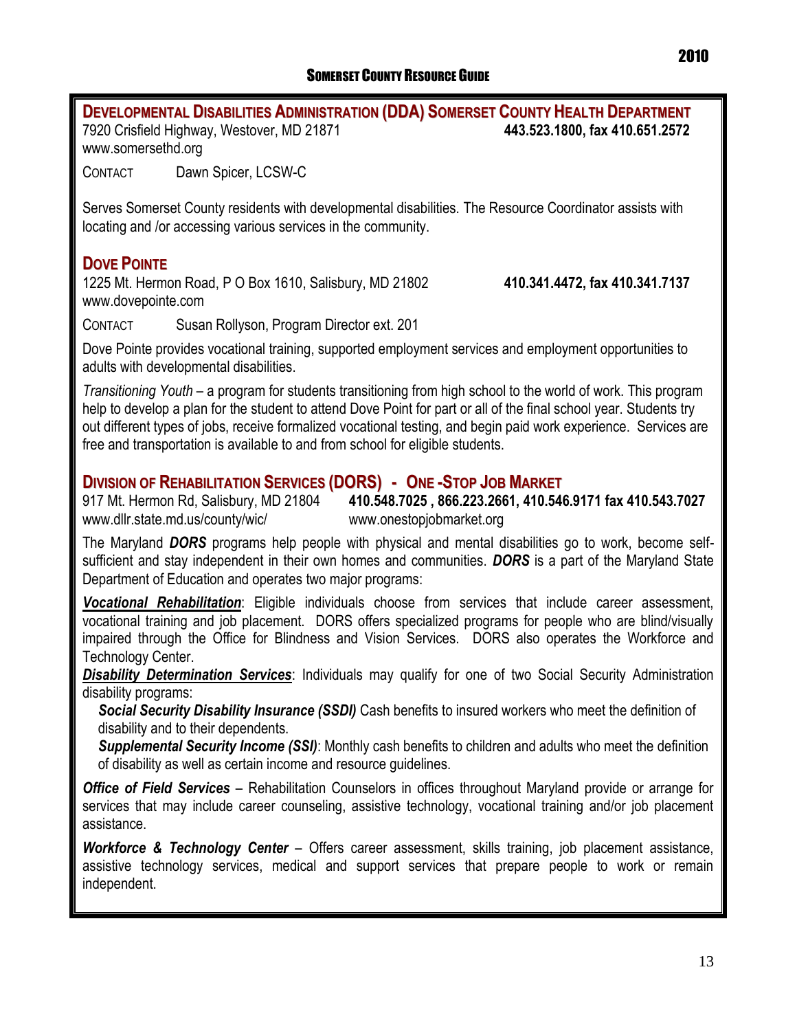**DEVELOPMENTAL DISABILITIES ADMINISTRATION (DDA) SOMERSET COUNTY HEALTH DEPARTMENT** 7920 Crisfield Highway, Westover, MD 21871 **443.523.1800, fax 410.651.2572** www.somersethd.org CONTACT Dawn Spicer, LCSW-C Serves Somerset County residents with developmental disabilities. The Resource Coordinator assists with locating and /or accessing various services in the community. **DOVE POINTE** 1225 Mt. Hermon Road, P O Box 1610, Salisbury, MD 21802 **410.341.4472, fax 410.341.7137** [www.dovepointe.com](http://www.dovepointe.com/) CONTACT Susan Rollyson, Program Director ext. 201 Dove Pointe provides vocational training, supported employment services and employment opportunities to adults with developmental disabilities. *Transitioning Youth* – a program for students transitioning from high school to the world of work. This program help to develop a plan for the student to attend Dove Point for part or all of the final school year. Students try out different types of jobs, receive formalized vocational testing, and begin paid work experience. Services are free and transportation is available to and from school for eligible students. **DIVISION OF REHABILITATION SERVICES (DORS) - ONE -STOP JOB MARKET** 917 Mt. Hermon Rd, Salisbury, MD 21804 **410.548.7025 , 866.223.2661, 410.546.9171 fax 410.543.7027**  [www.dllr.state.md.us/county/wic/](http://www.dllr.state.md.us/county/wic/) www.onestopjobmarket.org

The Maryland *DORS* programs help people with physical and mental disabilities go to work, become selfsufficient and stay independent in their own homes and communities. *DORS* is a part of the Maryland State Department of Education and operates two major programs:

*Vocational Rehabilitation*: Eligible individuals choose from services that include career assessment, vocational training and job placement. DORS offers specialized programs for people who are blind/visually impaired through the Office for Blindness and Vision Services. DORS also operates the Workforce and Technology Center.

*Disability Determination Services*: Individuals may qualify for one of two Social Security Administration disability programs:

*Social Security Disability Insurance (SSDI)* Cash benefits to insured workers who meet the definition of disability and to their dependents.

*Supplemental Security Income (SSI)*: Monthly cash benefits to children and adults who meet the definition of disability as well as certain income and resource guidelines.

**Office of Field Services** – Rehabilitation Counselors in offices throughout Maryland provide or arrange for services that may include career counseling, assistive technology, vocational training and/or job placement assistance.

*Workforce & Technology Center* – Offers career assessment, skills training, job placement assistance, assistive technology services, medical and support services that prepare people to work or remain independent.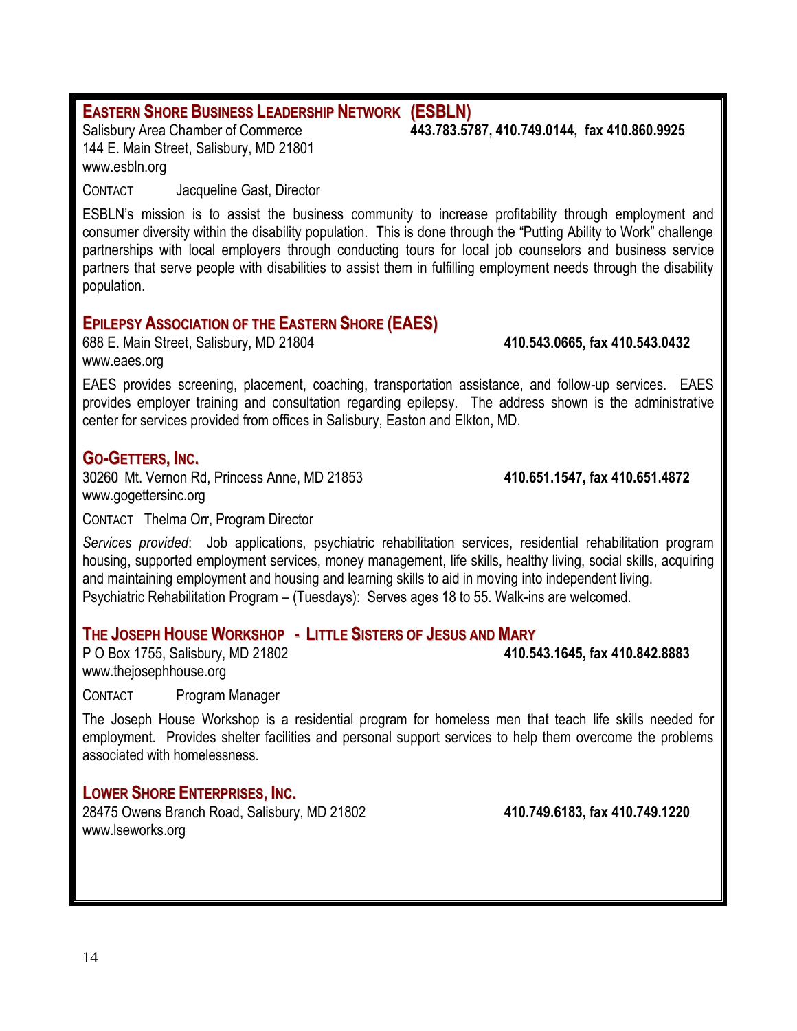### **EASTERN SHORE BUSINESS LEADERSHIP NETWORK (ESBLN)**

144 E. Main Street, Salisbury, MD 21801 [www.esbln.org](http://www.esbln.org/)

CONTACT Jacqueline Gast, Director

ESBLN's mission is to assist the business community to increase profitability through employment and consumer diversity within the disability population. This is done through the "Putting Ability to Work" challenge partnerships with local employers through conducting tours for local job counselors and business service partners that serve people with disabilities to assist them in fulfilling employment needs through the disability population.

### **EPILEPSY ASSOCIATION OF THE EASTERN SHORE (EAES)**

688 E. Main Street, Salisbury, MD 21804 **410.543.0665, fax 410.543.0432**  [www.eaes.org](http://www.eaes.org/)

EAES provides screening, placement, coaching, transportation assistance, and follow-up services. EAES provides employer training and consultation regarding epilepsy. The address shown is the administrative center for services provided from offices in Salisbury, Easton and Elkton, MD.

### **GO-GETTERS, INC.**

30260 Mt. Vernon Rd, Princess Anne, MD 21853 **410.651.1547, fax 410.651.4872**  [www.gogettersinc.org](http://www.gogettersinc.org/)

CONTACT Thelma Orr, Program Director

*Services provided*: Job applications, psychiatric rehabilitation services, residential rehabilitation program housing, supported employment services, money management, life skills, healthy living, social skills, acquiring and maintaining employment and housing and learning skills to aid in moving into independent living. Psychiatric Rehabilitation Program – (Tuesdays): Serves ages 18 to 55. Walk-ins are welcomed.

### **THE JOSEPH HOUSE WORKSHOP - LITTLE SISTERS OF JESUS AND MARY**

P O Box 1755, Salisbury, MD 21802 **410.543.1645, fax 410.842.8883** [www.thejosephhouse.org](http://www.thejosephhouse.org/)

CONTACT Program Manager

The Joseph House Workshop is a residential program for homeless men that teach life skills needed for employment. Provides shelter facilities and personal support services to help them overcome the problems associated with homelessness.

### **LOWER SHORE ENTERPRISES, INC.**

28475 Owens Branch Road, Salisbury, MD 21802 **410.749.6183, fax 410.749.1220**  [www.lseworks.org](http://www.lseworks.org/)

Salisbury Area Chamber of Commerce **443.783.5787, 410.749.0144, fax 410.860.9925**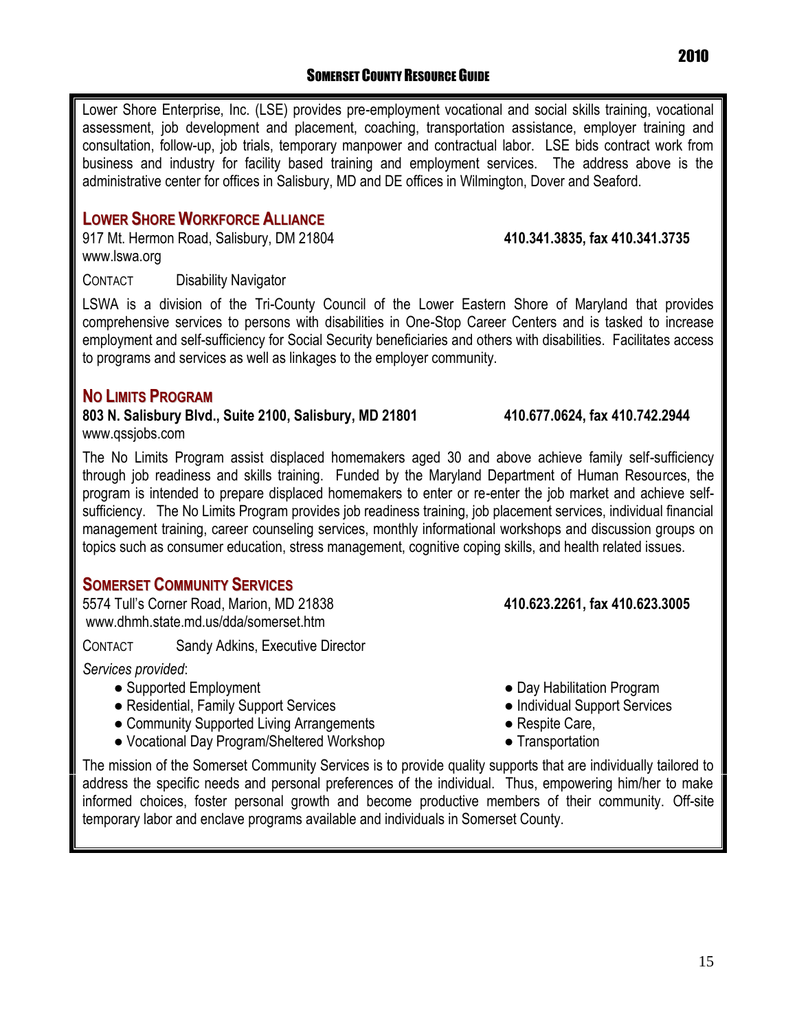15

Lower Shore Enterprise, Inc. (LSE) provides pre-employment vocational and social skills training, vocational assessment, job development and placement, coaching, transportation assistance, employer training and consultation, follow-up, job trials, temporary manpower and contractual labor. LSE bids contract work from business and industry for facility based training and employment services. The address above is the administrative center for offices in Salisbury, MD and DE offices in Wilmington, Dover and Seaford.

### **LOWER SHORE WORKFORCE ALLIANCE**

917 Mt. Hermon Road, Salisbury, DM 21804 **410.341.3835, fax 410.341.3735** [www.lswa.org](http://www.lswa.org/)

### CONTACT Disability Navigator

LSWA is a division of the Tri-County Council of the Lower Eastern Shore of Maryland that provides comprehensive services to persons with disabilities in One-Stop Career Centers and is tasked to increase employment and self-sufficiency for Social Security beneficiaries and others with disabilities. Facilitates access to programs and services as well as linkages to the employer community.

### **NO LIMITS PROGRAM**

**803 N. Salisbury Blvd., Suite 2100, Salisbury, MD 21801 410.677.0624, fax 410.742.2944** [www.qssjobs.com](http://www.qssjobs.com/)

The No Limits Program assist displaced homemakers aged 30 and above achieve family self-sufficiency through job readiness and skills training. Funded by the Maryland Department of Human Resources, the program is intended to prepare displaced homemakers to enter or re-enter the job market and achieve selfsufficiency. The No Limits Program provides job readiness training, job placement services, individual financial management training, career counseling services, monthly informational workshops and discussion groups on topics such as consumer education, stress management, cognitive coping skills, and health related issues.

### **SOMERSET COMMUNITY SERVICES**

5574 Tull's Corner Road, Marion, MD 21838 **410.623.2261, fax 410.623.3005** [www.dhmh.state.md.us/dda/somerset.htm](http://www.dhmh.state.md.us/dda/somerset.htm)

CONTACT Sandy Adkins, Executive Director

*Services provided*:

- Supported Employment Day Habilitation Program
- Residential, Family Support Services Individual Support Services
- Community Supported Living Arrangements Respite Care,
- Vocational Day Program/Sheltered Workshop Transportation
- The mission of the Somerset Community Services is to provide quality supports that are individually tailored to address the specific needs and personal preferences of the individual. Thus, empowering him/her to make informed choices, foster personal growth and become productive members of their community. Off-site temporary labor and enclave programs available and individuals in Somerset County.
- 
- 
- 
-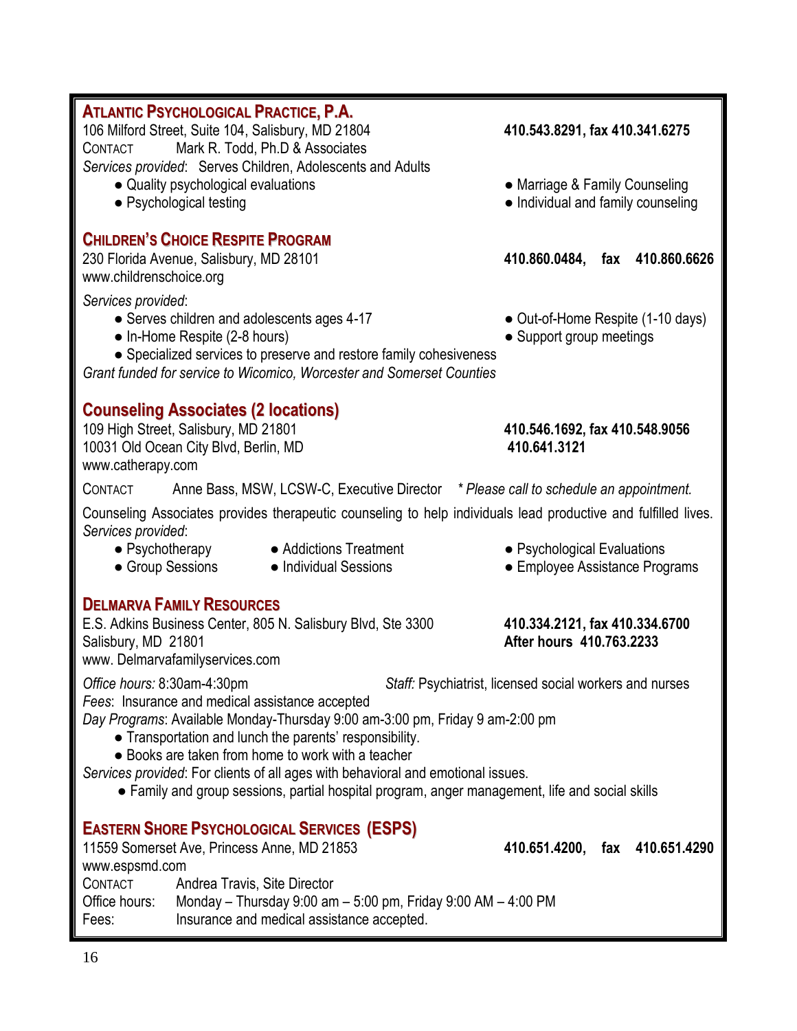| 106 Milford Street, Suite 104, Salisbury, MD 21804<br>Mark R. Todd, Ph.D & Associates<br>CONTACT<br>Services provided: Serves Children, Adolescents and Adults                                                                                                                                                                                                                                                                          | 410.543.8291, fax 410.341.6275                                       |
|-----------------------------------------------------------------------------------------------------------------------------------------------------------------------------------------------------------------------------------------------------------------------------------------------------------------------------------------------------------------------------------------------------------------------------------------|----------------------------------------------------------------------|
| • Quality psychological evaluations<br>• Psychological testing                                                                                                                                                                                                                                                                                                                                                                          | • Marriage & Family Counseling<br>• Individual and family counseling |
| <b>CHILDREN'S CHOICE RESPITE PROGRAM</b><br>230 Florida Avenue, Salisbury, MD 28101<br>www.childrenschoice.org                                                                                                                                                                                                                                                                                                                          | 410.860.0484, fax 410.860.6626                                       |
| Services provided:<br>• Serves children and adolescents ages 4-17<br>• In-Home Respite (2-8 hours)<br>• Specialized services to preserve and restore family cohesiveness<br>Grant funded for service to Wicomico, Worcester and Somerset Counties                                                                                                                                                                                       | • Out-of-Home Respite (1-10 days)<br>• Support group meetings        |
| <b>Counseling Associates (2 locations)</b><br>109 High Street, Salisbury, MD 21801<br>10031 Old Ocean City Blvd, Berlin, MD<br>www.catherapy.com                                                                                                                                                                                                                                                                                        | 410.546.1692, fax 410.548.9056<br>410.641.3121                       |
| Anne Bass, MSW, LCSW-C, Executive Director * Please call to schedule an appointment.<br>CONTACT                                                                                                                                                                                                                                                                                                                                         |                                                                      |
| Counseling Associates provides therapeutic counseling to help individuals lead productive and fulfilled lives.<br>Services provided:                                                                                                                                                                                                                                                                                                    |                                                                      |
| • Psychotherapy<br>• Addictions Treatment<br>• Group Sessions<br>• Individual Sessions                                                                                                                                                                                                                                                                                                                                                  | • Psychological Evaluations<br>• Employee Assistance Programs        |
| <b>DELMARVA FAMILY RESOURCES</b><br>E.S. Adkins Business Center, 805 N. Salisbury Blvd, Ste 3300<br>Salisbury, MD 21801<br>www. Delmarvafamilyservices.com                                                                                                                                                                                                                                                                              | 410.334.2121, fax 410.334.6700<br>After hours 410.763.2233           |
| Office hours: 8:30am-4:30pm                                                                                                                                                                                                                                                                                                                                                                                                             | Staff: Psychiatrist, licensed social workers and nurses              |
| Fees: Insurance and medical assistance accepted<br>Day Programs: Available Monday-Thursday 9:00 am-3:00 pm, Friday 9 am-2:00 pm<br>• Transportation and lunch the parents' responsibility.<br>• Books are taken from home to work with a teacher<br>Services provided: For clients of all ages with behavioral and emotional issues.<br>• Family and group sessions, partial hospital program, anger management, life and social skills |                                                                      |
| <b>EASTERN SHORE PSYCHOLOGICAL SERVICES (ESPS)</b><br>11559 Somerset Ave, Princess Anne, MD 21853<br>www.espsmd.com                                                                                                                                                                                                                                                                                                                     | 410.651.4200, fax 410.651.4290                                       |
| CONTACT<br>Andrea Travis, Site Director<br>Office hours:<br>Monday – Thursday 9:00 am – 5:00 pm, Friday 9:00 AM – 4:00 PM<br>Insurance and medical assistance accepted.<br>Fees:                                                                                                                                                                                                                                                        |                                                                      |
|                                                                                                                                                                                                                                                                                                                                                                                                                                         |                                                                      |

**ATLANTIC PSYCHOLOGICAL PRACTICE, P.A.**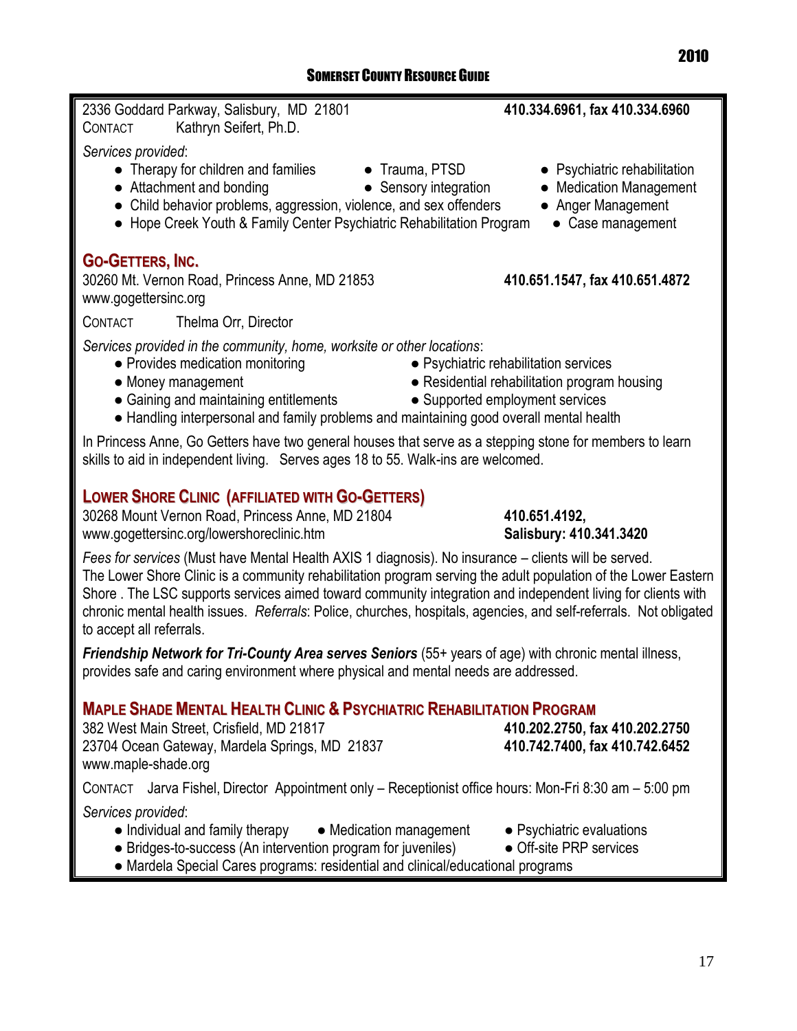| 2336 Goddard Parkway, Salisbury, MD 21801<br>Kathryn Seifert, Ph.D.<br>CONTACT                                                                                                                                                                                                                                                                                                                    | 410.334.6961, fax 410.334.6960                                                                                              |  |
|---------------------------------------------------------------------------------------------------------------------------------------------------------------------------------------------------------------------------------------------------------------------------------------------------------------------------------------------------------------------------------------------------|-----------------------------------------------------------------------------------------------------------------------------|--|
| Services provided:<br>• Therapy for children and families<br>• Trauma, PTSD<br>• Attachment and bonding<br>• Child behavior problems, aggression, violence, and sex offenders<br>• Hope Creek Youth & Family Center Psychiatric Rehabilitation Program                                                                                                                                            | • Psychiatric rehabilitation<br>• Sensory integration<br>• Medication Management<br>• Anger Management<br>• Case management |  |
| <b>GO-GETTERS, INC.</b><br>30260 Mt. Vernon Road, Princess Anne, MD 21853<br>www.gogettersinc.org                                                                                                                                                                                                                                                                                                 | 410.651.1547, fax 410.651.4872                                                                                              |  |
| Thelma Orr, Director<br>CONTACT                                                                                                                                                                                                                                                                                                                                                                   |                                                                                                                             |  |
| Services provided in the community, home, worksite or other locations:<br>• Provides medication monitoring<br>• Psychiatric rehabilitation services<br>• Residential rehabilitation program housing<br>• Money management<br>• Supported employment services<br>• Gaining and maintaining entitlements<br>• Handling interpersonal and family problems and maintaining good overall mental health |                                                                                                                             |  |
| In Princess Anne, Go Getters have two general houses that serve as a stepping stone for members to learn<br>skills to aid in independent living. Serves ages 18 to 55. Walk-ins are welcomed.                                                                                                                                                                                                     |                                                                                                                             |  |
| <b>LOWER SHORE CLINIC (AFFILIATED WITH GO-GETTERS)</b><br>30268 Mount Vernon Road, Princess Anne, MD 21804<br>www.gogettersinc.org/lowershoreclinic.htm                                                                                                                                                                                                                                           | 410.651.4192,<br>Salisbury: 410.341.3420                                                                                    |  |

*Fees for services* (Must have Mental Health AXIS 1 diagnosis). No insurance – clients will be served. The Lower Shore Clinic is a community rehabilitation program serving the adult population of the Lower Eastern Shore . The LSC supports services aimed toward community integration and independent living for clients with chronic mental health issues. *Referrals*: Police, churches, hospitals, agencies, and self-referrals. Not obligated to accept all referrals.

*Friendship Network for Tri-County Area serves Seniors* (55+ years of age) with chronic mental illness, provides safe and caring environment where physical and mental needs are addressed.

## **MAPLE SHADE MENTAL HEALTH CLINIC & PSYCHIATRIC REHABILITATION PROGRAM**

382 West Main Street, Crisfield, MD 21817 23704 Ocean Gateway, Mardela Springs, MD 21837 **410.742.7400, fax 410.742.6452** www.maple-shade.org

CONTACT Jarva Fishel, Director Appointment only – Receptionist office hours: Mon-Fri 8:30 am – 5:00 pm *Services provided*:

- Individual and family therapy Medication management Psychiatric evaluations
- Bridges-to-success (An intervention program for juveniles) Off-site PRP services
- Mardela Special Cares programs: residential and clinical/educational programs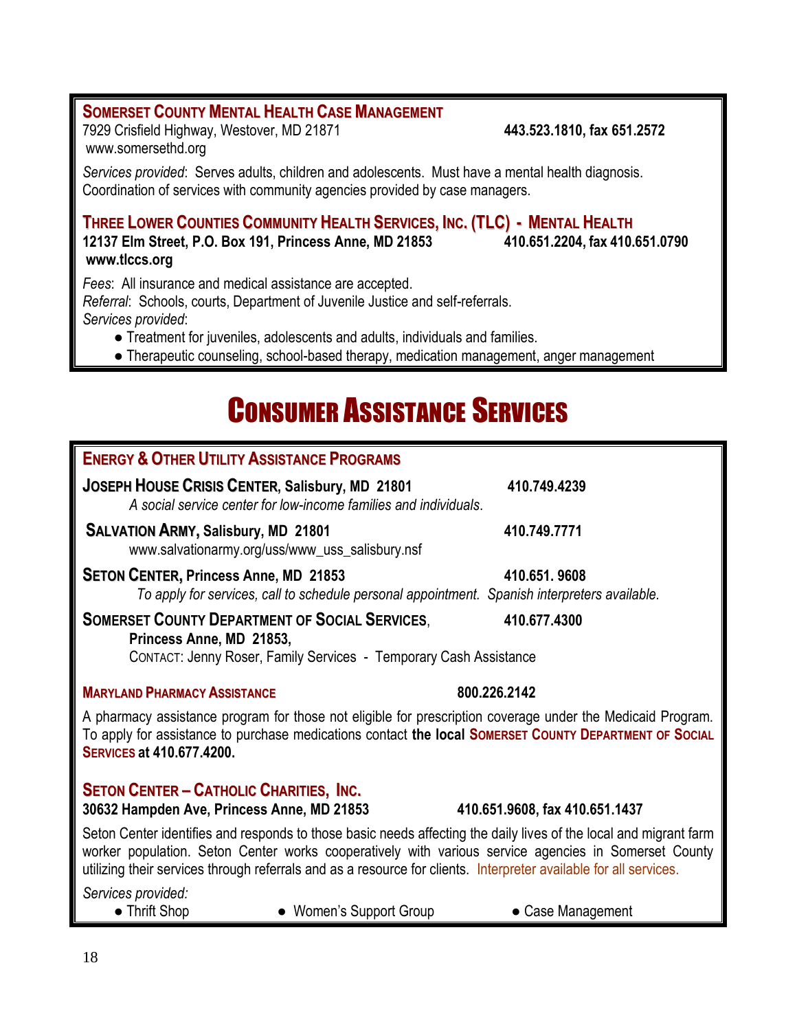### **SOMERSET COUNTY MENTAL HEALTH CASE MANAGEMENT** 7929 Crisfield Highway, Westover, MD 21871 **443.523.1810, fax 651.2572**

www.somersethd.org

*Services provided*: Serves adults, children and adolescents. Must have a mental health diagnosis. Coordination of services with community agencies provided by case managers.

### THREE LOWER COUNTIES COMMUNITY HEALTH SERVICES, INC. (TLC) - MENTAL HEALTH

**12137 Elm Street, P.O. Box 191, Princess Anne, MD 21853 410.651.2204, fax 410.651.0790 [www.tlccs.org](http://www.tlccs.org/)**

*Fees*: All insurance and medical assistance are accepted.

*Referral*: Schools, courts, Department of Juvenile Justice and self-referrals. *Services provided*:

● Treatment for juveniles, adolescents and adults, individuals and families.

• Therapeutic counseling, school-based therapy, medication management, anger management

## **CONSUMER ASSISTANCE SERVICES**

| <b>ENERGY &amp; OTHER UTILITY ASSISTANCE PROGRAMS</b>                                                                                                                                                                                                                                                                                          |                                |  |
|------------------------------------------------------------------------------------------------------------------------------------------------------------------------------------------------------------------------------------------------------------------------------------------------------------------------------------------------|--------------------------------|--|
| JOSEPH HOUSE CRISIS CENTER, Salisbury, MD 21801<br>A social service center for low-income families and individuals.                                                                                                                                                                                                                            | 410.749.4239                   |  |
| <b>SALVATION ARMY, Salisbury, MD 21801</b><br>www.salvationarmy.org/uss/www_uss_salisbury.nsf                                                                                                                                                                                                                                                  | 410.749.7771                   |  |
| <b>SETON CENTER, Princess Anne, MD 21853</b><br>To apply for services, call to schedule personal appointment. Spanish interpreters available.                                                                                                                                                                                                  | 410.651.9608                   |  |
| <b>SOMERSET COUNTY DEPARTMENT OF SOCIAL SERVICES,</b><br>Princess Anne, MD 21853,<br>CONTACT: Jenny Roser, Family Services - Temporary Cash Assistance                                                                                                                                                                                         | 410.677.4300                   |  |
| <b>MARYLAND PHARMACY ASSISTANCE</b>                                                                                                                                                                                                                                                                                                            | 800.226.2142                   |  |
| A pharmacy assistance program for those not eligible for prescription coverage under the Medicaid Program.<br>To apply for assistance to purchase medications contact the local SOMERSET COUNTY DEPARTMENT OF SOCIAL<br><b>SERVICES at 410.677.4200.</b>                                                                                       |                                |  |
| <b>SETON CENTER - CATHOLIC CHARITIES, INC.</b><br>30632 Hampden Ave, Princess Anne, MD 21853                                                                                                                                                                                                                                                   | 410.651.9608, fax 410.651.1437 |  |
| Seton Center identifies and responds to those basic needs affecting the daily lives of the local and migrant farm<br>worker population. Seton Center works cooperatively with various service agencies in Somerset County<br>utilizing their services through referrals and as a resource for clients. Interpreter available for all services. |                                |  |
| Services provided:<br>• Thrift Shop<br>• Women's Support Group                                                                                                                                                                                                                                                                                 | • Case Management              |  |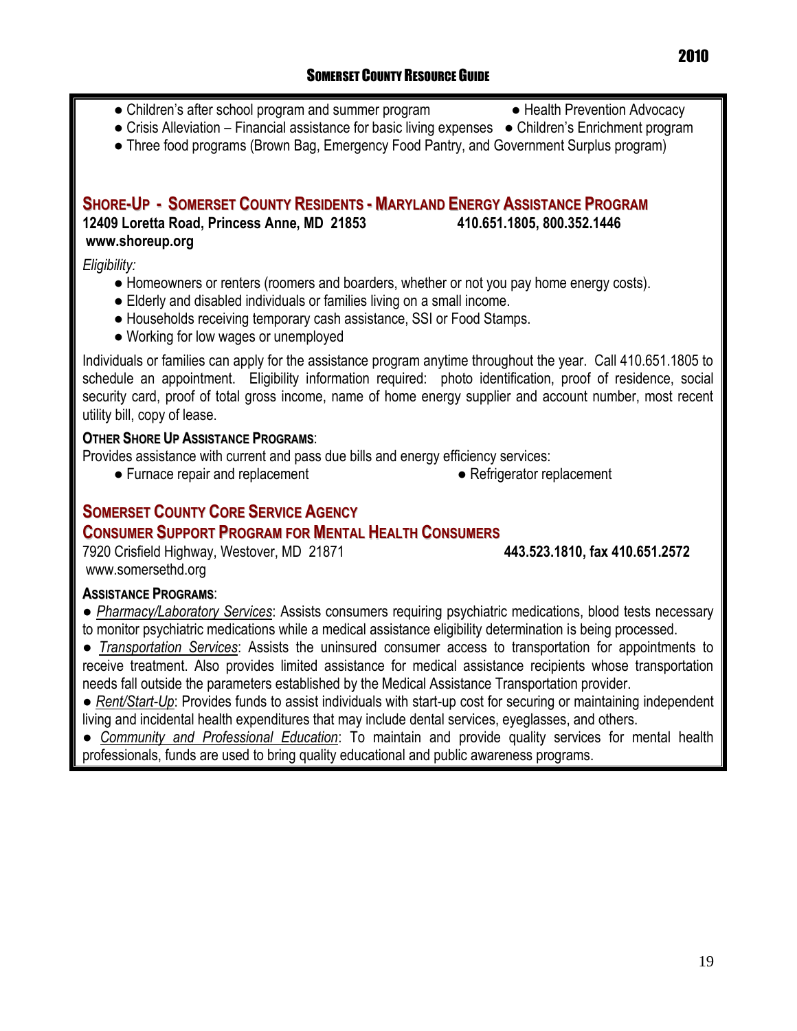- Children's after school program and summer program 
→ Health Prevention Advocacy
	-
- Crisis Alleviation Financial assistance for basic living expenses Children's Enrichment program
- Three food programs (Brown Bag, Emergency Food Pantry, and Government Surplus program)

### **SHORE-UP - SOMERSET COUNTY RESIDENTS - MARYLAND ENERGY ASSISTANCE PROGRAM 12409 Loretta Road, Princess Anne, MD 21853 410.651.1805, 800.352.1446 [www.shoreup.org](http://www.shoreup.org/)**

*Eligibility:*

- Homeowners or renters (roomers and boarders, whether or not you pay home energy costs).
- Elderly and disabled individuals or families living on a small income.
- Households receiving temporary cash assistance, SSI or Food Stamps.
- Working for low wages or unemployed

Individuals or families can apply for the assistance program anytime throughout the year. Call 410.651.1805 to schedule an appointment. Eligibility information required: photo identification, proof of residence, social security card, proof of total gross income, name of home energy supplier and account number, most recent utility bill, copy of lease.

### **OTHER SHORE UP ASSISTANCE PROGRAMS**:

Provides assistance with current and pass due bills and energy efficiency services:

- Furnace repair and replacement Pefrigerator replacement
	-

### **SOMERSET COUNTY CORE SERVICE AGENCY**

### **CONSUMER SUPPORT PROGRAM FOR MENTAL HEALTH CONSUMERS**

7920 Crisfield Highway, Westover, MD 21871 **443.523.1810, fax 410.651.2572** [www.somersethd.org](http://www.somersethd.org/)

### **ASSISTANCE PROGRAMS**:

● *Pharmacy/Laboratory Services*: Assists consumers requiring psychiatric medications, blood tests necessary to monitor psychiatric medications while a medical assistance eligibility determination is being processed.

● *Transportation Services*: Assists the uninsured consumer access to transportation for appointments to receive treatment. Also provides limited assistance for medical assistance recipients whose transportation needs fall outside the parameters established by the Medical Assistance Transportation provider.

● *Rent/Start-Up*: Provides funds to assist individuals with start-up cost for securing or maintaining independent living and incidental health expenditures that may include dental services, eyeglasses, and others.

● *Community and Professional Education*: To maintain and provide quality services for mental health professionals, funds are used to bring quality educational and public awareness programs.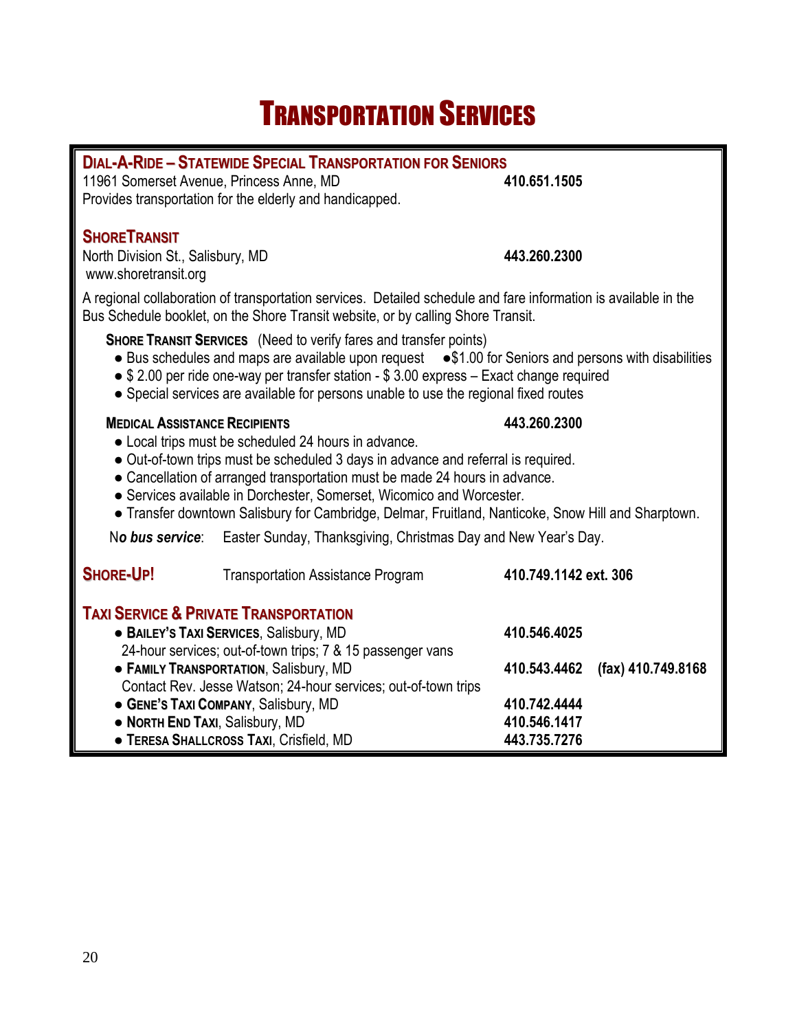## TRANSPORTATION SERVICES

П

| <b>DIAL-A-RIDE - STATEWIDE SPECIAL TRANSPORTATION FOR SENIORS</b>                                                                                                                                                                                                                                                                                                               |                                                                                                     |                       |
|---------------------------------------------------------------------------------------------------------------------------------------------------------------------------------------------------------------------------------------------------------------------------------------------------------------------------------------------------------------------------------|-----------------------------------------------------------------------------------------------------|-----------------------|
| 11961 Somerset Avenue, Princess Anne, MD                                                                                                                                                                                                                                                                                                                                        |                                                                                                     | 410.651.1505          |
|                                                                                                                                                                                                                                                                                                                                                                                 | Provides transportation for the elderly and handicapped.                                            |                       |
| <b>SHORETRANSIT</b>                                                                                                                                                                                                                                                                                                                                                             |                                                                                                     |                       |
| North Division St., Salisbury, MD                                                                                                                                                                                                                                                                                                                                               |                                                                                                     | 443.260.2300          |
| www.shoretransit.org                                                                                                                                                                                                                                                                                                                                                            |                                                                                                     |                       |
| A regional collaboration of transportation services. Detailed schedule and fare information is available in the<br>Bus Schedule booklet, on the Shore Transit website, or by calling Shore Transit.                                                                                                                                                                             |                                                                                                     |                       |
| <b>SHORE TRANSIT SERVICES</b> (Need to verify fares and transfer points)<br>• Bus schedules and maps are available upon request • \$1.00 for Seniors and persons with disabilities<br>$\bullet$ \$ 2.00 per ride one-way per transfer station - \$ 3.00 express - Exact change required<br>• Special services are available for persons unable to use the regional fixed routes |                                                                                                     |                       |
| <b>MEDICAL ASSISTANCE RECIPIENTS</b>                                                                                                                                                                                                                                                                                                                                            |                                                                                                     | 443.260.2300          |
|                                                                                                                                                                                                                                                                                                                                                                                 | • Local trips must be scheduled 24 hours in advance.                                                |                       |
|                                                                                                                                                                                                                                                                                                                                                                                 | • Out-of-town trips must be scheduled 3 days in advance and referral is required.                   |                       |
|                                                                                                                                                                                                                                                                                                                                                                                 | • Cancellation of arranged transportation must be made 24 hours in advance.                         |                       |
|                                                                                                                                                                                                                                                                                                                                                                                 | • Services available in Dorchester, Somerset, Wicomico and Worcester.                               |                       |
|                                                                                                                                                                                                                                                                                                                                                                                 | • Transfer downtown Salisbury for Cambridge, Delmar, Fruitland, Nanticoke, Snow Hill and Sharptown. |                       |
| Easter Sunday, Thanksgiving, Christmas Day and New Year's Day.<br>No bus service:                                                                                                                                                                                                                                                                                               |                                                                                                     |                       |
| <b>SHORE-UP!</b>                                                                                                                                                                                                                                                                                                                                                                | <b>Transportation Assistance Program</b>                                                            | 410.749.1142 ext. 306 |
|                                                                                                                                                                                                                                                                                                                                                                                 | <b>TAXI SERVICE &amp; PRIVATE TRANSPORTATION</b>                                                    |                       |
|                                                                                                                                                                                                                                                                                                                                                                                 | • BAILEY'S TAXI SERVICES, Salisbury, MD                                                             | 410.546.4025          |
| 24-hour services; out-of-town trips; 7 & 15 passenger vans                                                                                                                                                                                                                                                                                                                      |                                                                                                     |                       |
| • FAMILY TRANSPORTATION, Salisbury, MD<br>(fax) 410.749.8168<br>410.543.4462                                                                                                                                                                                                                                                                                                    |                                                                                                     |                       |
| Contact Rev. Jesse Watson; 24-hour services; out-of-town trips                                                                                                                                                                                                                                                                                                                  |                                                                                                     |                       |
| • GENE'S TAXI COMPANY, Salisbury, MD<br>410.742.4444                                                                                                                                                                                                                                                                                                                            |                                                                                                     |                       |
| • NORTH END TAXI, Salisbury, MD<br>410.546.1417<br>443.735.7276                                                                                                                                                                                                                                                                                                                 |                                                                                                     |                       |
| • TERESA SHALLCROSS TAXI, Crisfield, MD                                                                                                                                                                                                                                                                                                                                         |                                                                                                     |                       |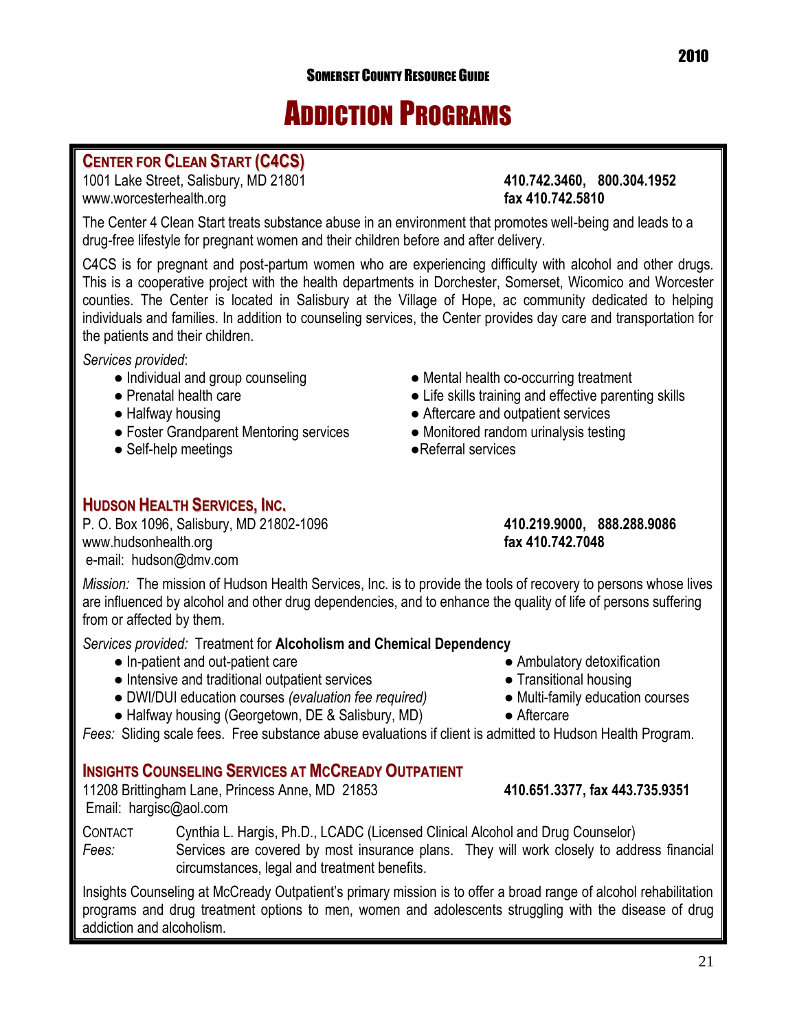## ADDICTION PROGRAMS

### **CENTER FOR CLEAN START (C4CS)**

1001 Lake Street, Salisbury, MD 21801 **410.742.3460, 800.304.1952** [www.worcesterhealth.org](http://www.worcesterhealth.org/) **fax 410.742.5810**

The Center 4 Clean Start treats substance abuse in an environment that promotes well-being and leads to a drug-free lifestyle for pregnant women and their children before and after delivery.

C4CS is for pregnant and post-partum women who are experiencing difficulty with alcohol and other drugs. This is a cooperative project with the health departments in Dorchester, Somerset, Wicomico and Worcester counties. The Center is located in Salisbury at the Village of Hope, ac community dedicated to helping individuals and families. In addition to counseling services, the Center provides day care and transportation for the patients and their children.

*Services provided*:

- 
- 
- 
- Foster Grandparent Mentoring services Monitored random urinalysis testing
- Self-help meetings and a services below a services of the services of the services of the services of the services
- Individual and group counseling entity of Mental health co-occurring treatment
- Prenatal health care  **Conserverse Example 2** Life skills training and effective parenting skills
- Halfway housing button and outpatient services
	-
	-

### **HUDSON HEALTH SERVICES, INC.**

P. O. Box 1096, Salisbury, MD 21802-1096 **410.219.9000, 888.288.9086** [www.hudsonhealth.org](http://www.hudsonhealth.org/) **fax 410.742.7048** e-mail: [hudson@dmv.com](mailto:hudson@dmv.com)

*Mission:* The mission of Hudson Health Services, Inc. is to provide the tools of recovery to persons whose lives are influenced by alcohol and other drug dependencies, and to enhance the quality of life of persons suffering from or affected by them.

*Services provided:* Treatment for **Alcoholism and Chemical Dependency**

- In-patient and out-patient care Ambulatory detoxification
- Intensive and traditional outpatient services Transitional housing
- DWI/DUI education courses *(evaluation fee required)* Multi-family education courses
- Halfway housing (Georgetown, DE & Salisbury, MD) Aftercare

*Fees:* Sliding scale fees. Free substance abuse evaluations if client is admitted to Hudson Health Program.

### **INSIGHTS COUNSELING SERVICES AT MCCREADY OUTPATIENT**

11208 Brittingham Lane, Princess Anne, MD 21853 **410.651.3377, fax 443.735.9351**  Email: [hargisc@aol.com](mailto:hargisc@aol.com)

CONTACT Cynthia L. Hargis, Ph.D., LCADC (Licensed Clinical Alcohol and Drug Counselor) Fees: Services are covered by most insurance plans. They will work closely to address financial circumstances, legal and treatment benefits.

Insights Counseling at McCready Outpatient's primary mission is to offer a broad range of alcohol rehabilitation programs and drug treatment options to men, women and adolescents struggling with the disease of drug addiction and alcoholism.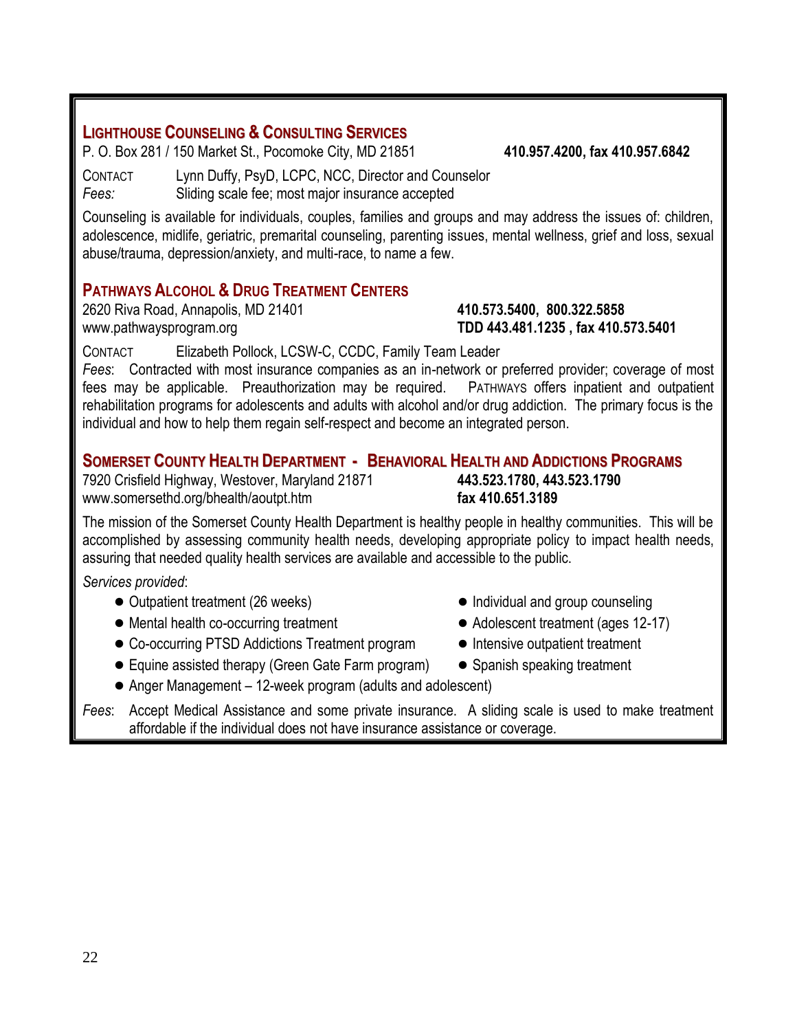### **LIGHTHOUSE COUNSELING & CONSULTING SERVICES**

P. O. Box 281 / 150 Market St., Pocomoke City, MD 21851 **410.957.4200, fax 410.957.6842**

CONTACT Lynn Duffy, PsyD, LCPC, NCC, Director and Counselor *Fees:* Sliding scale fee; most major insurance accepted

Counseling is available for individuals, couples, families and groups and may address the issues of: children, adolescence, midlife, geriatric, premarital counseling, parenting issues, mental wellness, grief and loss, sexual abuse/trauma, depression/anxiety, and multi-race, to name a few.

### **PATHWAYS ALCOHOL & DRUG TREATMENT CENTERS**

2620 Riva Road, Annapolis, MD 21401 **410.573.5400, 800.322.5858** [www.pathwaysprogram.org](http://www.pathwaysprogram.org/) **TDD 443.481.1235 , fax 410.573.5401**

CONTACT Elizabeth Pollock, LCSW-C, CCDC, Family Team Leader

*Fees*: Contracted with most insurance companies as an in-network or preferred provider; coverage of most fees may be applicable. Preauthorization may be required. PATHWAYS offers inpatient and outpatient rehabilitation programs for adolescents and adults with alcohol and/or drug addiction. The primary focus is the individual and how to help them regain self-respect and become an integrated person.

### **SOMERSET COUNTY HEALTH DEPARTMENT - BEHAVIORAL HEALTH AND ADDICTIONS PROGRAMS**

7920 Crisfield Highway, Westover, Maryland 21871 **443.523.1780, 443.523.1790** [www.somersethd.org/bhealth/aoutpt.htm](http://www.somersethd.org/bhealth/aoutpt.htm) **fax 410.651.3189** 

The mission of the Somerset County Health Department is healthy people in healthy communities. This will be accomplished by assessing community health needs, developing appropriate policy to impact health needs, assuring that needed quality health services are available and accessible to the public.

*Services provided*:

- 
- Mental health co-occurring treatment Adolescent treatment (ages 12-17)
- Co-occurring PTSD Addictions Treatment program Intensive outpatient treatment
- Equine assisted therapy (Green Gate Farm program) Spanish speaking treatment
- Outpatient treatment (26 weeks) Individual and group counseling
	-
	-
	-
- Anger Management 12-week program (adults and adolescent)

*Fees*: Accept Medical Assistance and some private insurance. A sliding scale is used to make treatment affordable if the individual does not have insurance assistance or coverage.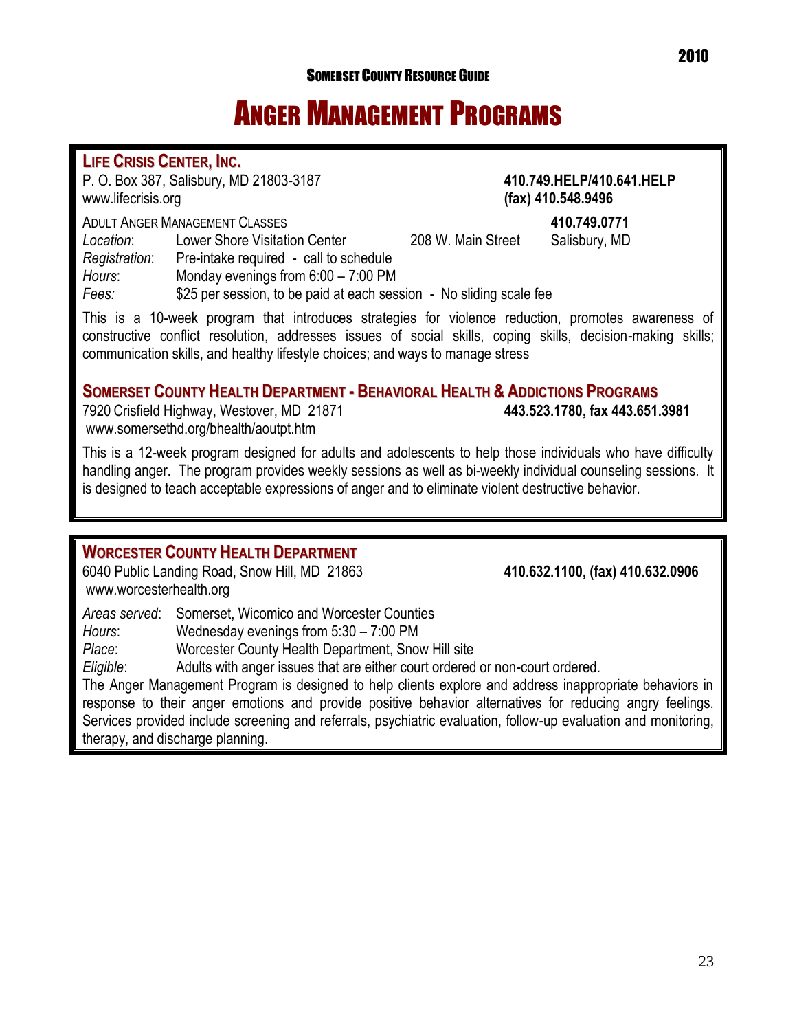## ANGER MANAGEMENT PROGRAMS

### **LIFE CRISIS CENTER, INC.**

P. O. Box 387, Salisbury, MD 21803-3187 **410.749.HELP/410.641.HELP** [www.lifecrisis.org](http://www.lifecrisis.org/) **(fax) 410.548.9496** ADULT ANGER MANAGEMENT CLASSES **410.749.0771** *Location*: Lower Shore Visitation Center 208 W. Main Street Salisbury, MD *Registration*: Pre-intake required - call to schedule *Hours*: Monday evenings from 6:00 – 7:00 PM *Fees:* \$25 per session, to be paid at each session - No sliding scale fee

This is a 10-week program that introduces strategies for violence reduction, promotes awareness of constructive conflict resolution, addresses issues of social skills, coping skills, decision-making skills; communication skills, and healthy lifestyle choices; and ways to manage stress

### **SOMERSET COUNTY HEALTH DEPARTMENT - BEHAVIORAL HEALTH & ADDICTIONS PROGRAMS**

7920 Crisfield Highway, Westover, MD 21871 **443.523.1780, fax 443.651.3981** [www.somersethd.org/bhealth/aoutpt.htm](http://www.somersethd.org/bhealth/aoutpt.htm)

This is a 12-week program designed for adults and adolescents to help those individuals who have difficulty handling anger. The program provides weekly sessions as well as bi-weekly individual counseling sessions. It is designed to teach acceptable expressions of anger and to eliminate violent destructive behavior.

### **WORCESTER COUNTY HEALTH DEPARTMENT**

6040 Public Landing Road, Snow Hill, MD 21863 **410.632.1100, (fax) 410.632.0906** [www.worcesterhealth.org](http://www.worcesterhealth.org/)

*Areas served*: Somerset, Wicomico and Worcester Counties

*Hours*: Wednesday evenings from 5:30 – 7:00 PM

*Place*: Worcester County Health Department, Snow Hill site

*Eligible*: Adults with anger issues that are either court ordered or non-court ordered.

The Anger Management Program is designed to help clients explore and address inappropriate behaviors in response to their anger emotions and provide positive behavior alternatives for reducing angry feelings. Services provided include screening and referrals, psychiatric evaluation, follow-up evaluation and monitoring, therapy, and discharge planning.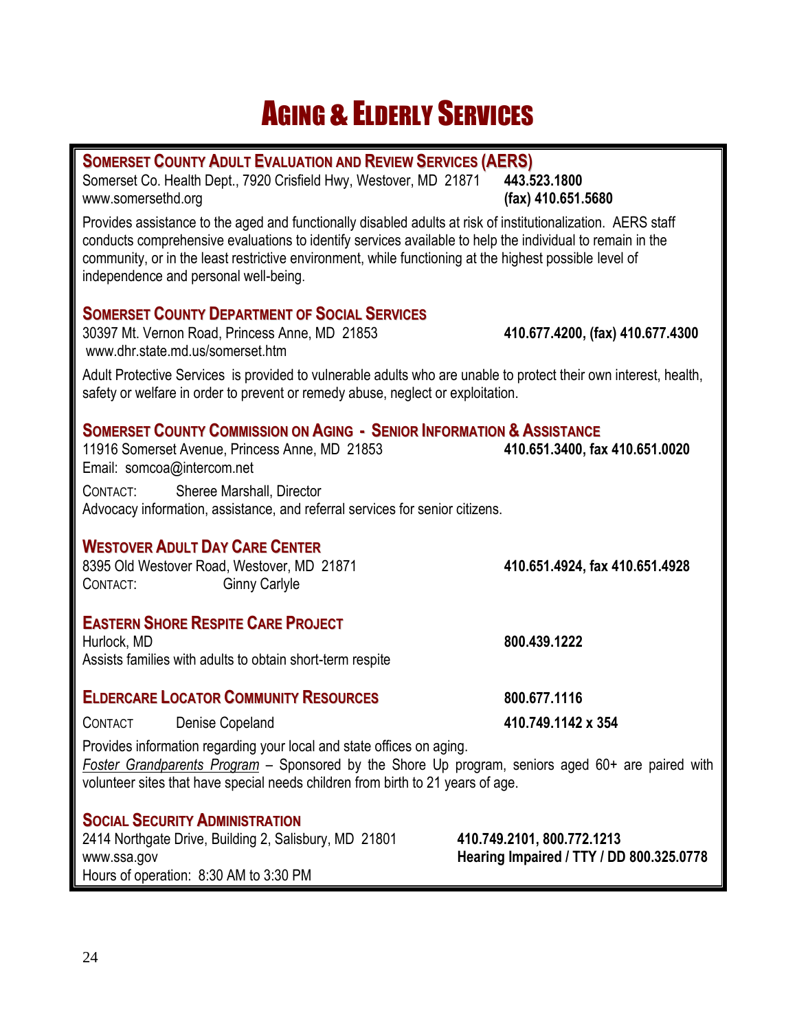## **AGING & ELDERLY SERVICES**

| <b>SOMERSET COUNTY ADULT EVALUATION AND REVIEW SERVICES (AERS)</b><br>Somerset Co. Health Dept., 7920 Crisfield Hwy, Westover, MD 21871                                                                                                                                                                                                                                                            | 443.523.1800                                                           |
|----------------------------------------------------------------------------------------------------------------------------------------------------------------------------------------------------------------------------------------------------------------------------------------------------------------------------------------------------------------------------------------------------|------------------------------------------------------------------------|
| www.somersethd.org<br>Provides assistance to the aged and functionally disabled adults at risk of institutionalization. AERS staff<br>conducts comprehensive evaluations to identify services available to help the individual to remain in the<br>community, or in the least restrictive environment, while functioning at the highest possible level of<br>independence and personal well-being. | (fax) 410.651.5680                                                     |
| <b>SOMERSET COUNTY DEPARTMENT OF SOCIAL SERVICES</b><br>30397 Mt. Vernon Road, Princess Anne, MD 21853<br>www.dhr.state.md.us/somerset.htm                                                                                                                                                                                                                                                         | 410.677.4200, (fax) 410.677.4300                                       |
| Adult Protective Services is provided to vulnerable adults who are unable to protect their own interest, health,<br>safety or welfare in order to prevent or remedy abuse, neglect or exploitation.                                                                                                                                                                                                |                                                                        |
| <b>SOMERSET COUNTY COMMISSION ON AGING - SENIOR INFORMATION &amp; ASSISTANCE</b><br>11916 Somerset Avenue, Princess Anne, MD 21853<br>Email: somcoa@intercom.net                                                                                                                                                                                                                                   | 410.651.3400, fax 410.651.0020                                         |
| Sheree Marshall, Director<br>CONTACT:<br>Advocacy information, assistance, and referral services for senior citizens.                                                                                                                                                                                                                                                                              |                                                                        |
| <b>WESTOVER ADULT DAY CARE CENTER</b><br>8395 Old Westover Road, Westover, MD 21871<br><b>Ginny Carlyle</b><br>CONTACT:                                                                                                                                                                                                                                                                            | 410.651.4924, fax 410.651.4928                                         |
| <b>EASTERN SHORE RESPITE CARE PROJECT</b><br>Hurlock, MD<br>Assists families with adults to obtain short-term respite                                                                                                                                                                                                                                                                              | 800.439.1222                                                           |
| <b>ELDERCARE LOCATOR COMMUNITY RESOURCES</b>                                                                                                                                                                                                                                                                                                                                                       | 800.677.1116                                                           |
| <b>CONTACT</b><br>Denise Copeland                                                                                                                                                                                                                                                                                                                                                                  | 410.749.1142 x 354                                                     |
| Provides information regarding your local and state offices on aging.<br>Foster Grandparents Program - Sponsored by the Shore Up program, seniors aged 60+ are paired with<br>volunteer sites that have special needs children from birth to 21 years of age.                                                                                                                                      |                                                                        |
| <b>SOCIAL SECURITY ADMINISTRATION</b><br>2414 Northgate Drive, Building 2, Salisbury, MD 21801<br>www.ssa.gov<br>Hours of operation: 8:30 AM to 3:30 PM                                                                                                                                                                                                                                            | 410.749.2101, 800.772.1213<br>Hearing Impaired / TTY / DD 800.325.0778 |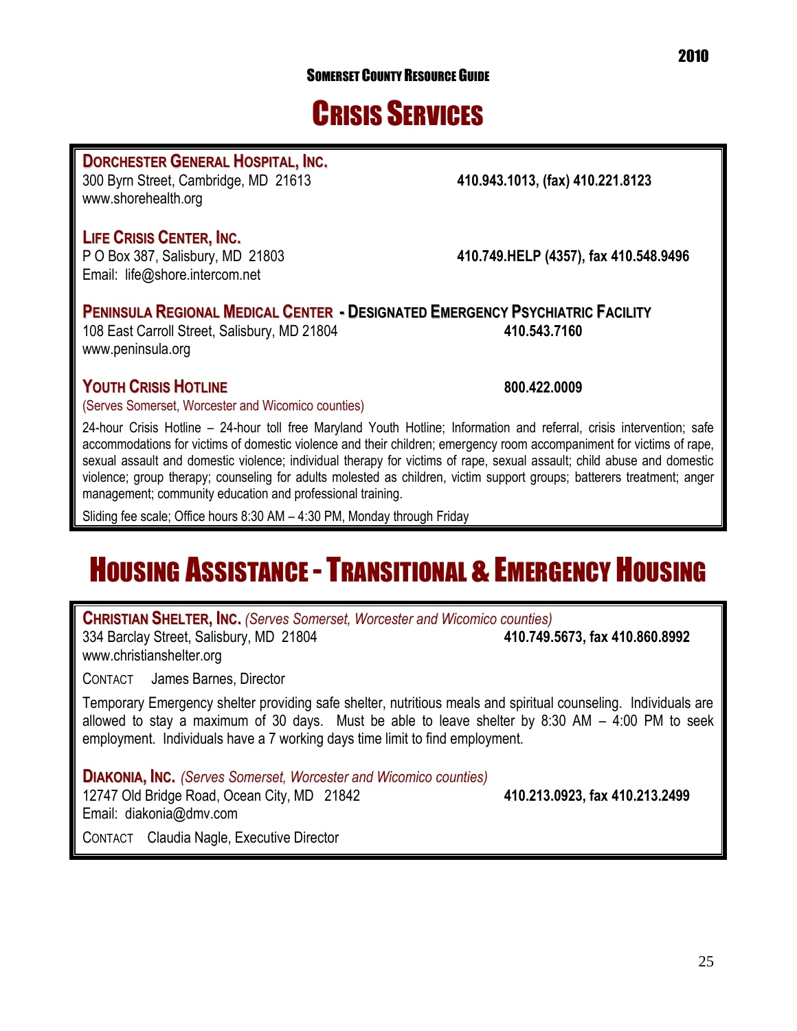25

## CRISIS SERVICES

### **DORCHESTER GENERAL HOSPITAL, INC.**

300 Byrn Street, Cambridge, MD 21613 **410.943.1013, (fax) 410.221.8123** [www.shorehealth.org](http://www.shorehealth.org/)

### **LIFE CRISIS CENTER, INC.**

P O Box 387, Salisbury, MD 21803 **410.749.HELP (4357), fax 410.548.9496** Email: [life@shore.intercom.net](mailto:life@shore.intercom.net)

**PENINSULA REGIONAL MEDICAL CENTER - DESIGNATED EMERGENCY PSYCHIATRIC FACILITY** 108 East Carroll Street, Salisbury, MD 21804 **410.543.7160** [www.peninsula.org](http://www.peninsula.org/) 

### **YOUTH CRISIS HOTLINE 800.422.0009**

(Serves Somerset, Worcester and Wicomico counties)

24-hour Crisis Hotline – 24-hour toll free Maryland Youth Hotline; Information and referral, crisis intervention; safe accommodations for victims of domestic violence and their children; emergency room accompaniment for victims of rape, sexual assault and domestic violence; individual therapy for victims of rape, sexual assault; child abuse and domestic violence; group therapy; counseling for adults molested as children, victim support groups; batterers treatment; anger management; community education and professional training.

Sliding fee scale; Office hours 8:30 AM – 4:30 PM, Monday through Friday

## **HOUSING ASSISTANCE - TRANSITIONAL & EMERGENCY HOUSING**

**CHRISTIAN SHELTER, INC.** *(Serves Somerset, Worcester and Wicomico counties)* 334 Barclay Street, Salisbury, MD 21804 **410.749.5673, fax 410.860.8992** [www.christianshelter.org](http://www.christianshelter.org/)

CONTACT James Barnes, Director

Temporary Emergency shelter providing safe shelter, nutritious meals and spiritual counseling. Individuals are allowed to stay a maximum of 30 days. Must be able to leave shelter by 8:30 AM – 4:00 PM to seek employment. Individuals have a 7 working days time limit to find employment.

**DIAKONIA, INC.** *(Serves Somerset, Worcester and Wicomico counties)* 12747 Old Bridge Road, Ocean City, MD 21842 **410.213.0923, fax 410.213.2499** Email: diakonia@dmv.com CONTACT Claudia Nagle, Executive Director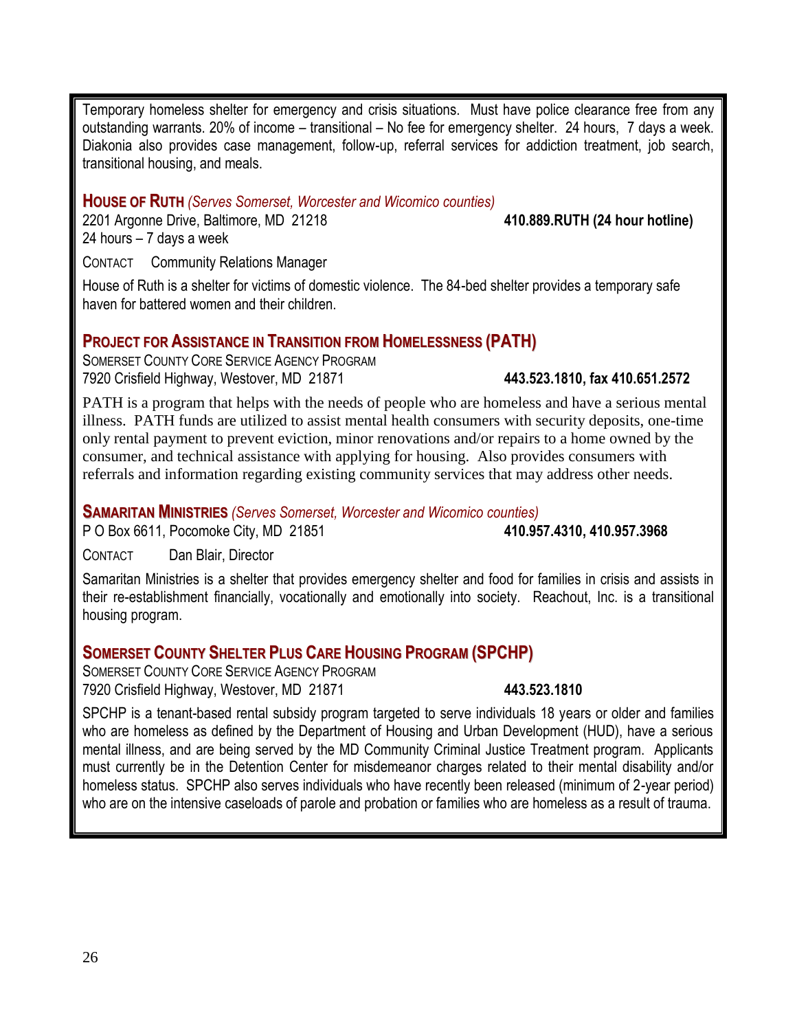Temporary homeless shelter for emergency and crisis situations. Must have police clearance free from any outstanding warrants. 20% of income – transitional – No fee for emergency shelter. 24 hours, 7 days a week. Diakonia also provides case management, follow-up, referral services for addiction treatment, job search, transitional housing, and meals.

### **HOUSE OF RUTH** *(Serves Somerset, Worcester and Wicomico counties)*

2201 Argonne Drive, Baltimore, MD 21218 **410.889.RUTH (24 hour hotline)** 24 hours – 7 days a week

CONTACT Community Relations Manager

House of Ruth is a shelter for victims of domestic violence. The 84-bed shelter provides a temporary safe haven for battered women and their children.

### **PROJECT FOR ASSISTANCE IN TRANSITION FROM HOMELESSNESS (PATH)**

SOMERSET COUNTY CORE SERVICE AGENCY PROGRAM 7920 Crisfield Highway, Westover, MD 21871 **443.523.1810, fax 410.651.2572**

PATH is a program that helps with the needs of people who are homeless and have a serious mental illness. PATH funds are utilized to assist mental health consumers with security deposits, one-time only rental payment to prevent eviction, minor renovations and/or repairs to a home owned by the consumer, and technical assistance with applying for housing. Also provides consumers with referrals and information regarding existing community services that may address other needs.

**SAMARITAN MINISTRIES** *(Serves Somerset, Worcester and Wicomico counties)*

### P O Box 6611, Pocomoke City, MD 21851 **410.957.4310, 410.957.3968**

CONTACT Dan Blair, Director

Samaritan Ministries is a shelter that provides emergency shelter and food for families in crisis and assists in their re-establishment financially, vocationally and emotionally into society. Reachout, Inc. is a transitional housing program.

### **SOMERSET COUNTY SHELTER PLUS CARE HOUSING PROGRAM (SPCHP)**

SOMERSET COUNTY CORE SERVICE AGENCY PROGRAM 7920 Crisfield Highway, Westover, MD 21871 **443.523.1810**

SPCHP is a tenant-based rental subsidy program targeted to serve individuals 18 years or older and families who are homeless as defined by the Department of Housing and Urban Development (HUD), have a serious mental illness, and are being served by the MD Community Criminal Justice Treatment program. Applicants must currently be in the Detention Center for misdemeanor charges related to their mental disability and/or homeless status. SPCHP also serves individuals who have recently been released (minimum of 2-year period) who are on the intensive caseloads of parole and probation or families who are homeless as a result of trauma.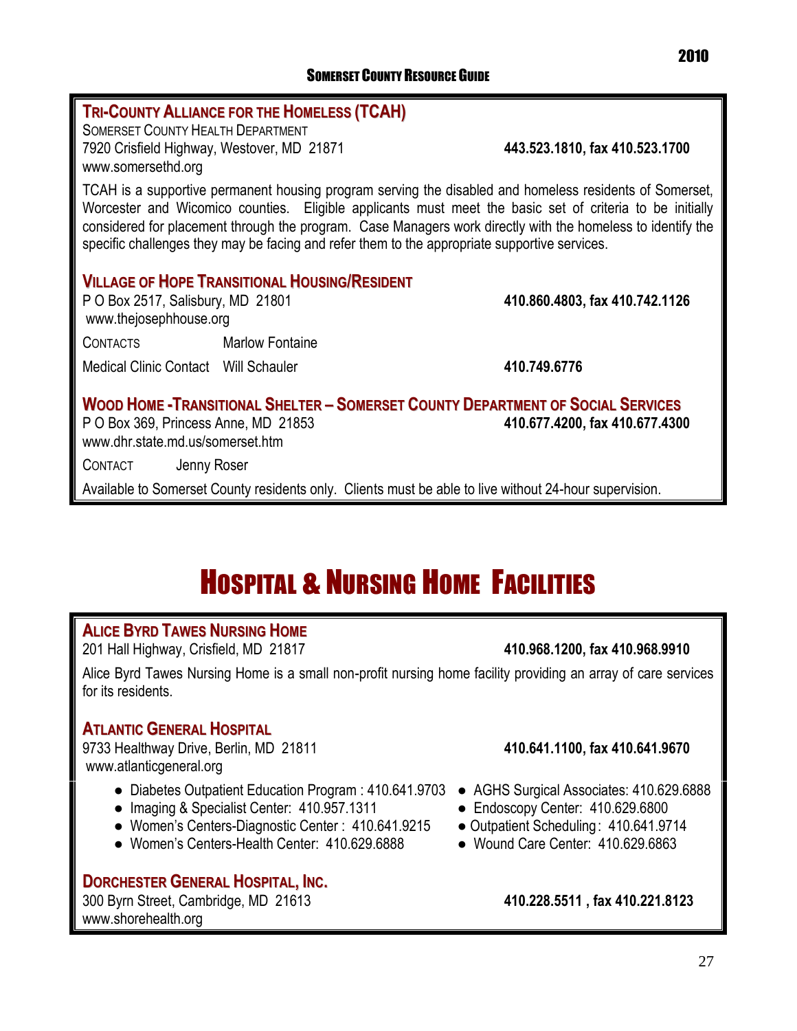### **TRI-COUNTY ALLIANCE FOR THE HOMELESS (TCAH)** SOMERSET COUNTY HEALTH DEPARTMENT 7920 Crisfield Highway, Westover, MD 21871 **443.523.1810, fax 410.523.1700** [www.somersethd.org](http://www.somersethd.org/) TCAH is a supportive permanent housing program serving the disabled and homeless residents of Somerset, Worcester and Wicomico counties. Eligible applicants must meet the basic set of criteria to be initially considered for placement through the program. Case Managers work directly with the homeless to identify the specific challenges they may be facing and refer them to the appropriate supportive services. **VILLAGE OF HOPE TRANSITIONAL HOUSING/RESIDENT** P O Box 2517, Salisbury, MD 21801 **410.860.4803, fax 410.742.1126** [www.thejosephhouse.org](http://www.thejosephhouse.org/) CONTACTS Marlow Fontaine Medical Clinic Contact Will Schauler **410.749.6776 WOOD HOME -TRANSITIONAL SHELTER – SOMERSET COUNTY DEPARTMENT OF SOCIAL SERVICES** P O Box 369, Princess Anne, MD 21853 **410.677.4200, fax 410.677.4300** [www.dhr.state.md.us/somerset.htm](http://www.dhr.state.md.us/somerset.htm)

CONTACT Jenny Roser

Available to Somerset County residents only. Clients must be able to live without 24-hour supervision.

## HOSPITAL & NURSING HOME FACILITIES

### **ALICE BYRD TAWES NURSING HOME**

201 Hall Highway, Crisfield, MD 21817 **410.968.1200, fax 410.968.9910** 

Alice Byrd Tawes Nursing Home is a small non-profit nursing home facility providing an array of care services for its residents.

### **ATLANTIC GENERAL HOSPITAL**

9733 Healthway Drive, Berlin, MD 21811 **410.641.1100, fax 410.641.9670** [www.atlanticgeneral.org](http://www.atlanticgeneral.org/)

- Diabetes Outpatient Education Program : 410.641.9703 AGHS Surgical Associates: 410.629.6888
- Imaging & Specialist Center: 410.957.1311 Endoscopy Center: 410.629.6800
- Women's Centers-Diagnostic Center : 410.641.9215 Outpatient Scheduling: 410.641.9714
- Women's Centers-Health Center: 410.629.6888 Wound Care Center: 410.629.6863

### **DORCHESTER GENERAL HOSPITAL, INC.**

300 Byrn Street, Cambridge, MD 21613 **410.228.5511 , fax 410.221.8123** [www.shorehealth.org](http://www.shorehealth.org/)

- 
- 
- 
-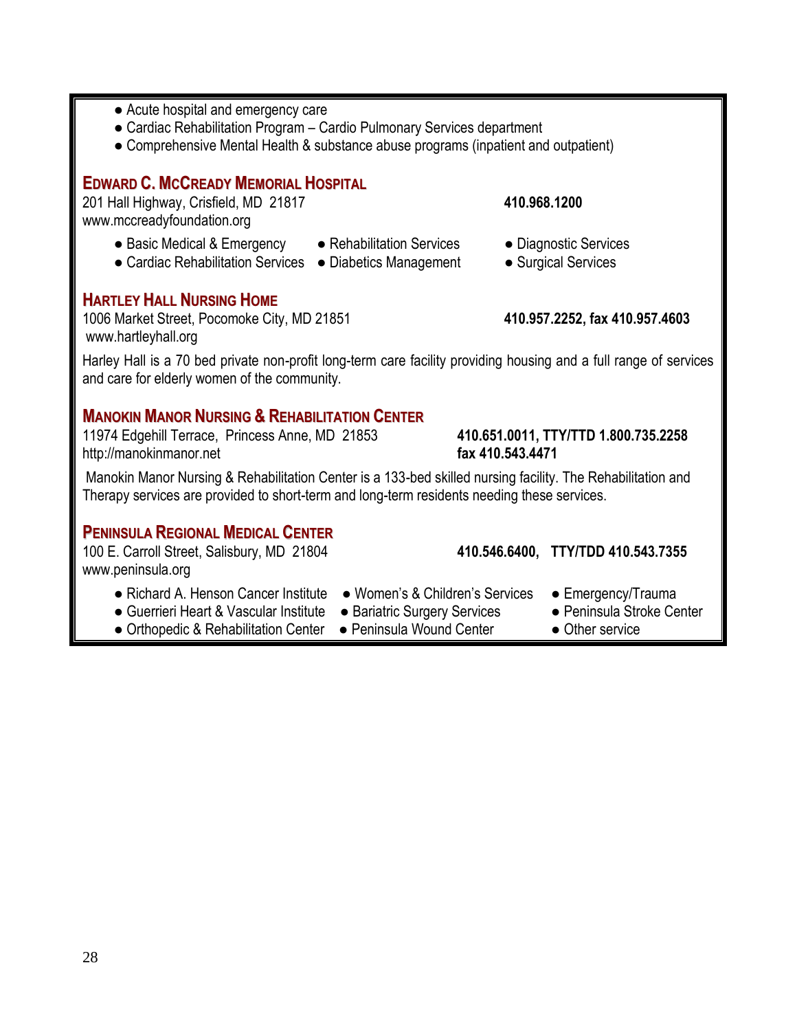- Acute hospital and emergency care
- Cardiac Rehabilitation Program Cardio Pulmonary Services department
- Comprehensive Mental Health & substance abuse programs (inpatient and outpatient)

### **EDWARD C. MCCREADY MEMORIAL HOSPITAL**

201 Hall Highway, Crisfield, MD 21817 **410.968.1200**  [www.mccreadyfoundation.org](http://www.mccreadyfoundation.org/)

- Basic Medical & Emergency Rehabilitation Services Diagnostic Services
- Cardiac Rehabilitation Services Diabetics Management Surgical Services

### **HARTLEY HALL NURSING HOME**

1006 Market Street, Pocomoke City, MD 21851 **410.957.2252, fax 410.957.4603** [www.hartleyhall.org](http://www.hartleyhall.org/)

Harley Hall is a 70 bed private non-profit long-term care facility providing housing and a full range of services and care for elderly women of the community.

### **MANOKIN MANOR NURSING & REHABILITATION CENTER**

11974 Edgehill Terrace, Princess Anne, MD 21853 **410.651.0011, TTY/TTD 1.800.735.2258** [http://manokinmanor.net](http://manokinmanor.net/) **fax 410.543.4471**

Manokin Manor Nursing & Rehabilitation Center is a 133-bed skilled nursing facility. The Rehabilitation and Therapy services are provided to short-term and long-term residents needing these services.

### **PENINSULA REGIONAL MEDICAL CENTER**

100 E. Carroll Street, Salisbury, MD 21804 **410.546.6400, TTY/TDD 410.543.7355** [www.peninsula.org](http://www.peninsula.org/)

- Richard A. Henson Cancer Institute Women's & Children's Services Emergency/Trauma
- Guerrieri Heart & Vascular Institute Bariatric Surgery Services Peninsula Stroke Center
- Orthopedic & Rehabilitation Center Peninsula Wound Center Other service
- - -
		-
- 
-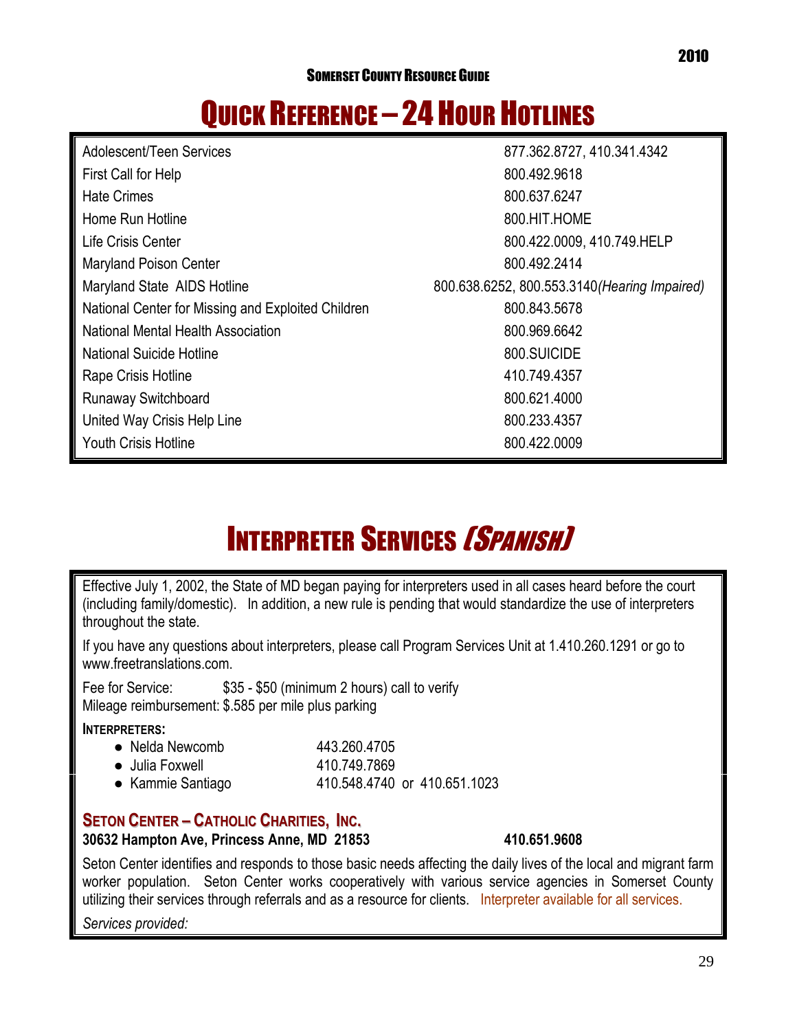## QUICK REFERENCE - 24 HOUR HOTLINES

| Adolescent/Teen Services                           | 877.362.8727, 410.341.4342                    |
|----------------------------------------------------|-----------------------------------------------|
| First Call for Help                                | 800.492.9618                                  |
| <b>Hate Crimes</b>                                 | 800.637.6247                                  |
| Home Run Hotline                                   | 800.HIT.HOME                                  |
| Life Crisis Center                                 | 800.422.0009, 410.749.HELP                    |
| <b>Maryland Poison Center</b>                      | 800.492.2414                                  |
| Maryland State AIDS Hotline                        | 800.638.6252, 800.553.3140 (Hearing Impaired) |
| National Center for Missing and Exploited Children | 800.843.5678                                  |
| National Mental Health Association                 | 800.969.6642                                  |
| <b>National Suicide Hotline</b>                    | 800.SUICIDE                                   |
| Rape Crisis Hotline                                | 410.749.4357                                  |
| <b>Runaway Switchboard</b>                         | 800.621.4000                                  |
| United Way Crisis Help Line                        | 800.233.4357                                  |
| <b>Youth Crisis Hotline</b>                        | 800.422.0009                                  |

## **INTERPRETER SERVICES [SPANISH]**

Effective July 1, 2002, the State of MD began paying for interpreters used in all cases heard before the court (including family/domestic). In addition, a new rule is pending that would standardize the use of interpreters throughout the state.

If you have any questions about interpreters, please call Program Services Unit at 1.410.260.1291 or go to [www.freetranslations.com.](http://www.freetranslations.com/)

Fee for Service: \$35 - \$50 (minimum 2 hours) call to verify Mileage reimbursement: \$.585 per mile plus parking

### **INTERPRETERS:**

| • Nelda Newcomb         | 443.260.4705                 |
|-------------------------|------------------------------|
| $\bullet$ Julia Foxwell | 410.749.7869                 |
| • Kammie Santiago       | 410.548.4740 or 410.651.1023 |

### **SETON CENTER – CATHOLIC CHARITIES, INC.**

### **30632 Hampton Ave, Princess Anne, MD 21853 410.651.9608**

Seton Center identifies and responds to those basic needs affecting the daily lives of the local and migrant farm worker population. Seton Center works cooperatively with various service agencies in Somerset County utilizing their services through referrals and as a resource for clients. Interpreter available for all services.

*Services provided:*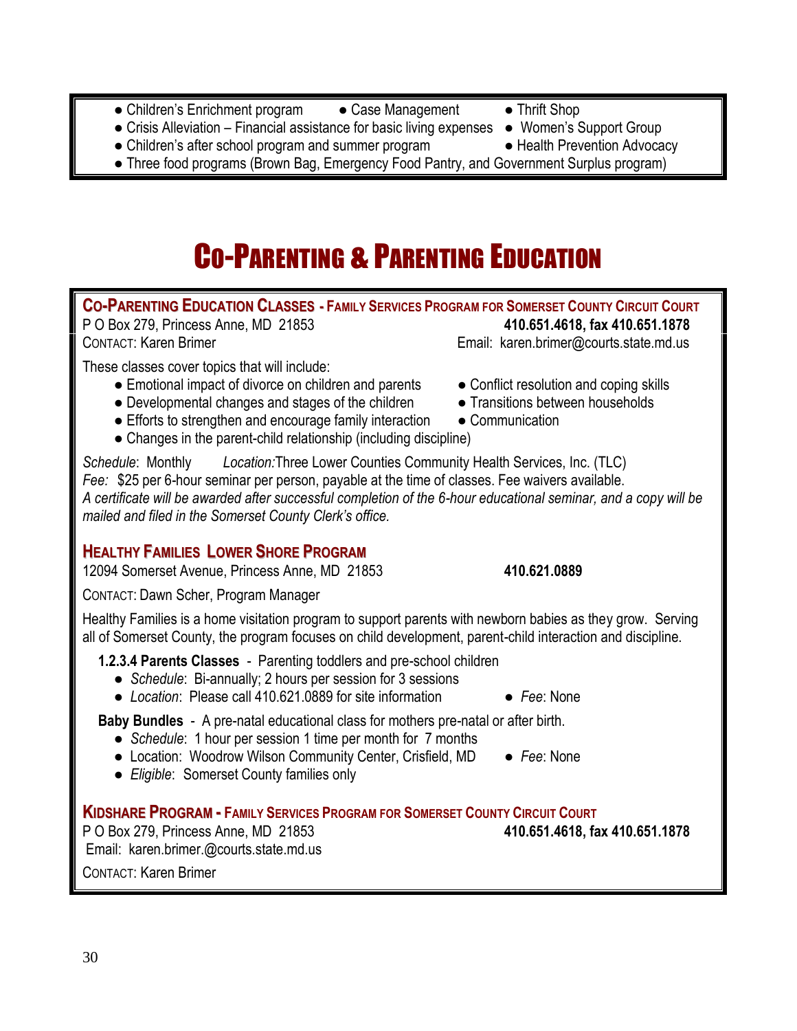- Children's Enrichment program Case Management Thrift Shop
- Crisis Alleviation Financial assistance for basic living expenses Women's Support Group
- Children's after school program and summer program Health Prevention Advocacy
- Three food programs (Brown Bag, Emergency Food Pantry, and Government Surplus program)

## CO-PARENTING & PARENTING EDUCATION

**CO-PARENTING EDUCATION CLASSES - FAMILY SERVICES PROGRAM FOR SOMERSET COUNTY CIRCUIT COURT** P O Box 279, Princess Anne, MD 21853 **410.651.4618, fax 410.651.1878**

CONTACT: Karen Brimer **Email:** [karen.brimer@courts.state.md.us](mailto:Karen.brimer@courts.state.md.us)

These classes cover topics that will include:

- Emotional impact of divorce on children and parents Conflict resolution and coping skills
- Developmental changes and stages of the children Transitions between households
- $\bullet$  Efforts to strengthen and encourage family interaction  $\bullet$  Communication
- Changes in the parent-child relationship (including discipline)

*Schedule*: Monthly *Location:*Three Lower Counties Community Health Services, Inc. (TLC) *Fee:* \$25 per 6-hour seminar per person, payable at the time of classes. Fee waivers available. *A certificate will be awarded after successful completion of the 6-hour educational seminar, and a copy will be mailed and filed in the Somerset County Clerk's office.*

### **HEALTHY FAMILIES LOWER SHORE PROGRAM**

12094 Somerset Avenue, Princess Anne, MD 21853 **410.621.0889**

CONTACT: Dawn Scher, Program Manager

Healthy Families is a home visitation program to support parents with newborn babies as they grow. Serving all of Somerset County, the program focuses on child development, parent-child interaction and discipline.

**1.2.3.4 Parents Classes** - Parenting toddlers and pre-school children

- *Schedule*: Bi-annually; 2 hours per session for 3 sessions
- *Location*: Please call 410.621.0889 for site information *Fee*: None

**Baby Bundles** - A pre-natal educational class for mothers pre-natal or after birth.

- *Schedule*: 1 hour per session 1 time per month for 7 months
- Location: Woodrow Wilson Community Center, Crisfield, MD Fee: None
- *Eligible*: Somerset County families only

**KIDSHARE PROGRAM - FAMILY SERVICES PROGRAM FOR SOMERSET COUNTY CIRCUIT COURT**

P O Box 279, Princess Anne, MD 21853 **410.651.4618, fax 410.651.1878** Email: [karen.brimer.@courts.state.md.us](mailto:karen.brimer.@courts.state.md.us)

CONTACT: Karen Brimer

- 
- 
- 
- 
-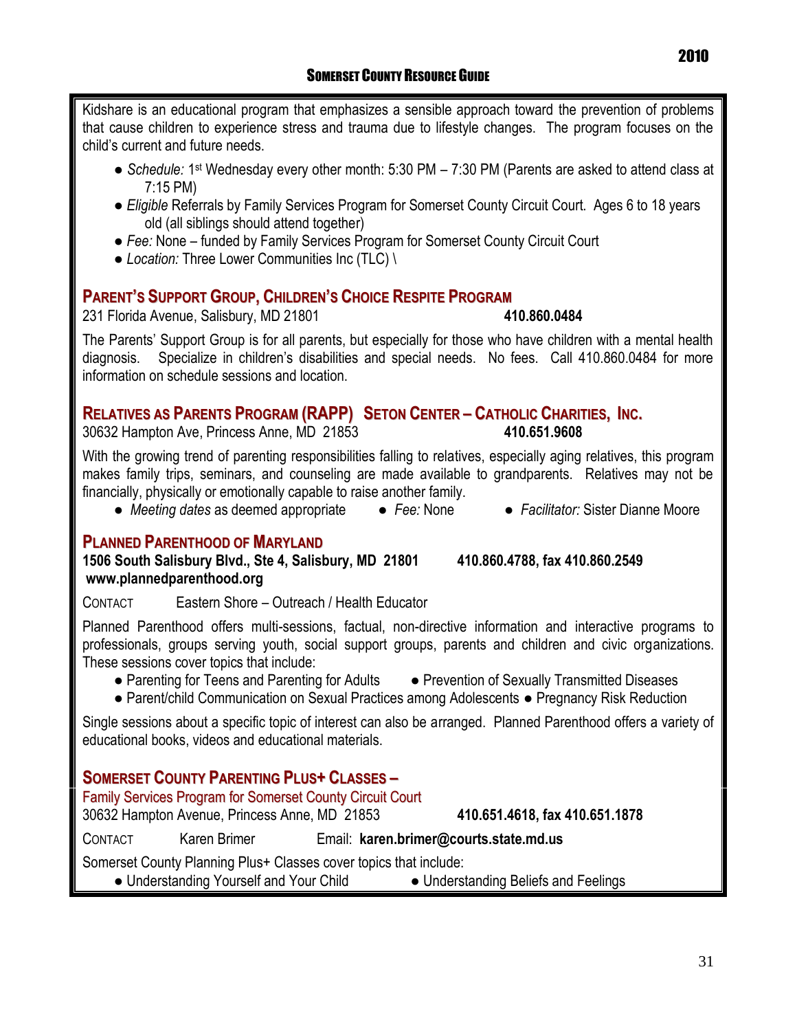Kidshare is an educational program that emphasizes a sensible approach toward the prevention of problems that cause children to experience stress and trauma due to lifestyle changes. The program focuses on the child's current and future needs.

- *Schedule:* 1<sup>st</sup> Wednesday every other month: 5:30 PM 7:30 PM (Parents are asked to attend class at 7:15 PM)
- *Eligible* Referrals by Family Services Program for Somerset County Circuit Court. Ages 6 to 18 years old (all siblings should attend together)
- Fee: None funded by Family Services Program for Somerset County Circuit Court
- *Location:* Three Lower Communities Inc (TLC) \

### **PARENT'S SUPPORT GROUP, CHILDREN'S CHOICE RESPITE PROGRAM**

231 Florida Avenue, Salisbury, MD 21801 **410.860.0484**

The Parents' Support Group is for all parents, but especially for those who have children with a mental health diagnosis. Specialize in children's disabilities and special needs. No fees. Call 410.860.0484 for more information on schedule sessions and location.

### **RELATIVES AS PARENTS PROGRAM (RAPP) SETON CENTER – CATHOLIC CHARITIES, INC.**

30632 Hampton Ave, Princess Anne, MD 21853 **410.651.9608**

With the growing trend of parenting responsibilities falling to relatives, especially aging relatives, this program makes family trips, seminars, and counseling are made available to grandparents. Relatives may not be financially, physically or emotionally capable to raise another family.

● *Meeting dates* as deemed appropriate ● *Fee:* None ● *Facilitator:* Sister Dianne Moore

### **PLANNED PARENTHOOD OF MARYLAND**

**1506 South Salisbury Blvd., Ste 4, Salisbury, MD 21801 410.860.4788, fax 410.860.2549 [www.plannedparenthood.org](http://www.plannedparenthood.org/)**

CONTACT Eastern Shore – Outreach / Health Educator

Planned Parenthood offers multi-sessions, factual, non-directive information and interactive programs to professionals, groups serving youth, social support groups, parents and children and civic organizations. These sessions cover topics that include:

- Parenting for Teens and Parenting for Adults Prevention of Sexually Transmitted Diseases
- Parent/child Communication on Sexual Practices among Adolescents Pregnancy Risk Reduction

Single sessions about a specific topic of interest can also be arranged. Planned Parenthood offers a variety of educational books, videos and educational materials.

### **SOMERSET COUNTY PARENTING PLUS+ CLASSES –**

Family Services Program for Somerset County Circuit Court

30632 Hampton Avenue, Princess Anne, MD 21853 **410.651.4618, fax 410.651.1878**

CONTACT Karen Brimer Email: **[karen.brimer@courts.state.md.us](mailto:karen.brimer@courts.state.md.us)**

Somerset County Planning Plus+ Classes cover topics that include:

● Understanding Yourself and Your Child ● Understanding Beliefs and Feelings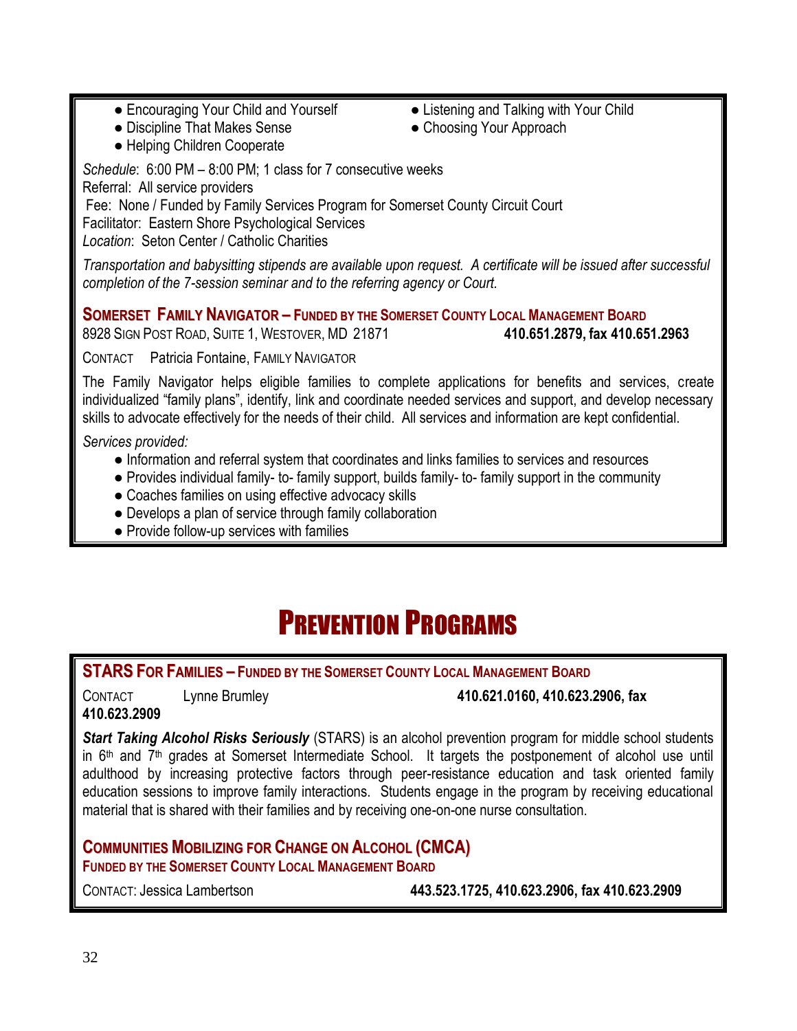- Encouraging Your Child and Yourself Listening and Talking with Your Child
	-
- Discipline That Makes Sense Choosing Your Approach
- Helping Children Cooperate

*Schedule*: 6:00 PM – 8:00 PM; 1 class for 7 consecutive weeks Referral: All service providers

Fee: None / Funded by Family Services Program for Somerset County Circuit Court Facilitator: Eastern Shore Psychological Services

*Location*: Seton Center / Catholic Charities

*Transportation and babysitting stipends are available upon request. A certificate will be issued after successful completion of the 7-session seminar and to the referring agency or Court.*

**SOMERSET FAMILY NAVIGATOR - FUNDED BY THE SOMERSET COUNTY LOCAL MANAGEMENT BOARD** 

8928 SIGN POST ROAD, SUITE 1, WESTOVER, MD 21871 **410.651.2879, fax 410.651.2963**

CONTACT Patricia Fontaine, FAMILY NAVIGATOR

The Family Navigator helps eligible families to complete applications for benefits and services, create individualized "family plans", identify, link and coordinate needed services and support, and develop necessary skills to advocate effectively for the needs of their child. All services and information are kept confidential.

*Services provided:*

- Information and referral system that coordinates and links families to services and resources
- Provides individual family- to- family support, builds family- to- family support in the community
- Coaches families on using effective advocacy skills
- Develops a plan of service through family collaboration
- Provide follow-up services with families

## PREVENTION PROGRAMS

**STARS FOR FAMILIES – FUNDED BY THE SOMERSET COUNTY LOCAL MANAGEMENT BOARD** 

**410.623.2909**

### CONTACT Lynne Brumley **410.621.0160, 410.623.2906, fax**

*Start Taking Alcohol Risks Seriously* (STARS) is an alcohol prevention program for middle school students in  $6<sup>th</sup>$  and  $7<sup>th</sup>$  grades at Somerset Intermediate School. It targets the postponement of alcohol use until adulthood by increasing protective factors through peer-resistance education and task oriented family education sessions to improve family interactions. Students engage in the program by receiving educational material that is shared with their families and by receiving one-on-one nurse consultation.

**COMMUNITIES MOBILIZING FOR CHANGE ON ALCOHOL (CMCA) FUNDED BY THE SOMERSET COUNTY LOCAL MANAGEMENT BOARD**

CONTACT: Jessica Lambertson **443.523.1725, 410.623.2906, fax 410.623.2909**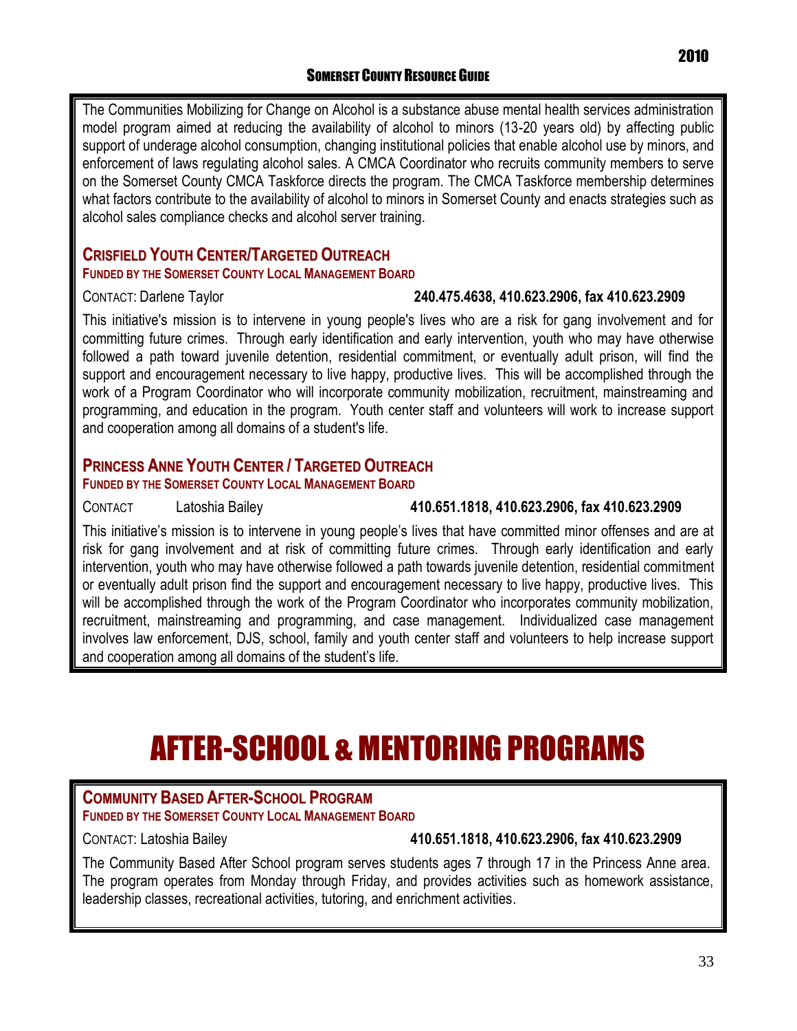The Communities Mobilizing for Change on Alcohol is a substance abuse mental health services administration model program aimed at reducing the availability of alcohol to minors (13-20 years old) by affecting public support of underage alcohol consumption, changing institutional policies that enable alcohol use by minors, and enforcement of laws regulating alcohol sales. A CMCA Coordinator who recruits community members to serve on the Somerset County CMCA Taskforce directs the program. The CMCA Taskforce membership determines what factors contribute to the availability of alcohol to minors in Somerset County and enacts strategies such as alcohol sales compliance checks and alcohol server training.

### **CRISFIELD YOUTH CENTER/TARGETED OUTREACH**

### **FUNDED BY THE SOMERSET COUNTY LOCAL MANAGEMENT BOARD**

### CONTACT: Darlene Taylor **240.475.4638, 410.623.2906, fax 410.623.2909**

This initiative's mission is to intervene in young people's lives who are a risk for gang involvement and for committing future crimes. Through early identification and early intervention, youth who may have otherwise followed a path toward juvenile detention, residential commitment, or eventually adult prison, will find the support and encouragement necessary to live happy, productive lives. This will be accomplished through the work of a Program Coordinator who will incorporate community mobilization, recruitment, mainstreaming and programming, and education in the program. Youth center staff and volunteers will work to increase support and cooperation among all domains of a student's life.

### **PRINCESS ANNE YOUTH CENTER / TARGETED OUTREACH**

**FUNDED BY THE SOMERSET COUNTY LOCAL MANAGEMENT BOARD** 

### CONTACT Latoshia Bailey **410.651.1818, 410.623.2906, fax 410.623.2909**

This initiative's mission is to intervene in young people's lives that have committed minor offenses and are at risk for gang involvement and at risk of committing future crimes. Through early identification and early intervention, youth who may have otherwise followed a path towards juvenile detention, residential commitment or eventually adult prison find the support and encouragement necessary to live happy, productive lives. This will be accomplished through the work of the Program Coordinator who incorporates community mobilization, recruitment, mainstreaming and programming, and case management. Individualized case management involves law enforcement, DJS, school, family and youth center staff and volunteers to help increase support and cooperation among all domains of the student's life.

## AFTER-SCHOOL & MENTORING PROGRAMS

### **COMMUNITY BASED AFTER-SCHOOL PROGRAM**

**FUNDED BY THE SOMERSET COUNTY LOCAL MANAGEMENT BOARD** 

### CONTACT: Latoshia Bailey **410.651.1818, 410.623.2906, fax 410.623.2909**

The Community Based After School program serves students ages 7 through 17 in the Princess Anne area. The program operates from Monday through Friday, and provides activities such as homework assistance, leadership classes, recreational activities, tutoring, and enrichment activities.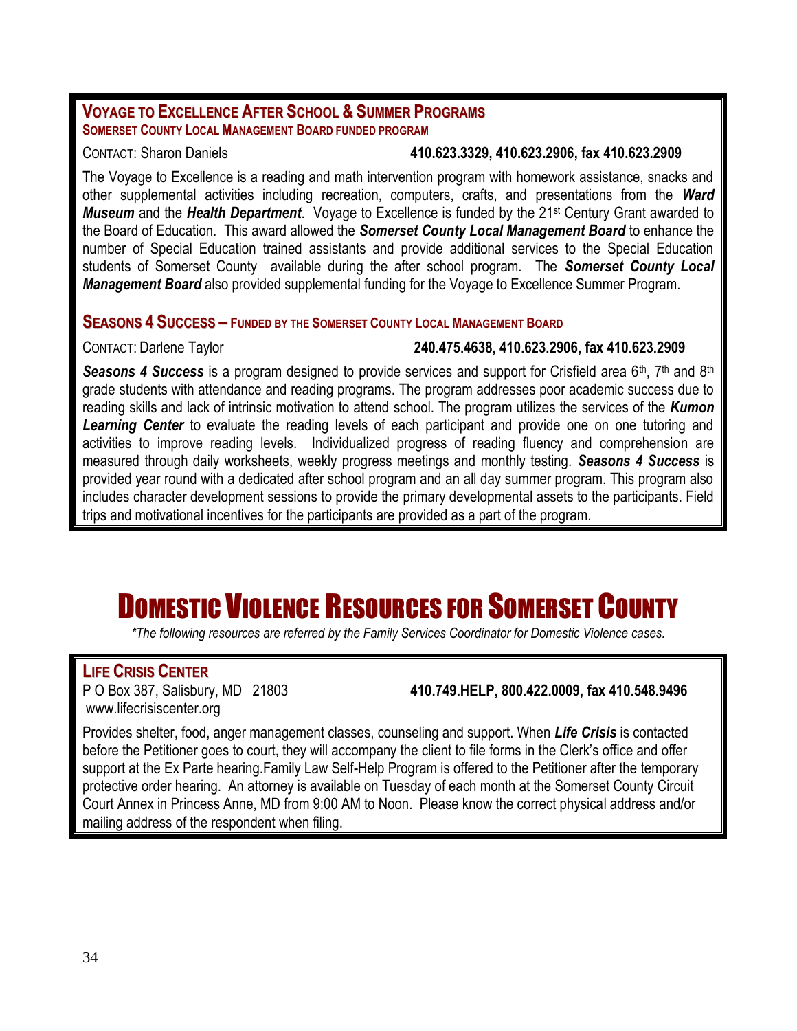### **VOYAGE TO EXCELLENCE AFTER SCHOOL & SUMMER PROGRAMS SOMERSET COUNTY LOCAL MANAGEMENT BOARD FUNDED PROGRAM**

### CONTACT: Sharon Daniels **410.623.3329, 410.623.2906, fax 410.623.2909**

The Voyage to Excellence is a reading and math intervention program with homework assistance, snacks and other supplemental activities including recreation, computers, crafts, and presentations from the *Ward Museum* and the *Health Department*. Voyage to Excellence is funded by the 21<sup>st</sup> Century Grant awarded to the Board of Education. This award allowed the *Somerset County Local Management Board* to enhance the number of Special Education trained assistants and provide additional services to the Special Education students of Somerset County available during the after school program. The *Somerset County Local Management Board* also provided supplemental funding for the Voyage to Excellence Summer Program.

### **SEASONS 4 SUCCESS – FUNDED BY THE SOMERSET COUNTY LOCAL MANAGEMENT BOARD**

### CONTACT: Darlene Taylor **240.475.4638, 410.623.2906, fax 410.623.2909**

**Seasons 4 Success** is a program designed to provide services and support for Crisfield area 6<sup>th</sup>, 7<sup>th</sup> and 8<sup>th</sup> grade students with attendance and reading programs. The program addresses poor academic success due to reading skills and lack of intrinsic motivation to attend school. The program utilizes the services of the *Kumon Learning Center* to evaluate the reading levels of each participant and provide one on one tutoring and activities to improve reading levels. Individualized progress of reading fluency and comprehension are measured through daily worksheets, weekly progress meetings and monthly testing. *Seasons 4 Success* is provided year round with a dedicated after school program and an all day summer program. This program also includes character development sessions to provide the primary developmental assets to the participants. Field trips and motivational incentives for the participants are provided as a part of the program.

## DOMESTIC VIOLENCE RESOURCES FOR SOMERSET COUNTY

*\*The following resources are referred by the Family Services Coordinator for Domestic Violence cases.*

**LIFE CRISIS CENTER** [www.lifecrisiscenter.org](http://www.lifecrisiscenter.org/)

P O Box 387, Salisbury, MD 21803 **410.749.HELP, 800.422.0009, fax 410.548.9496**

Provides shelter, food, anger management classes, counseling and support. When *Life Crisis* is contacted before the Petitioner goes to court, they will accompany the client to file forms in the Clerk's office and offer support at the Ex Parte hearing.Family Law Self-Help Program is offered to the Petitioner after the temporary protective order hearing. An attorney is available on Tuesday of each month at the Somerset County Circuit Court Annex in Princess Anne, MD from 9:00 AM to Noon. Please know the correct physical address and/or mailing address of the respondent when filing.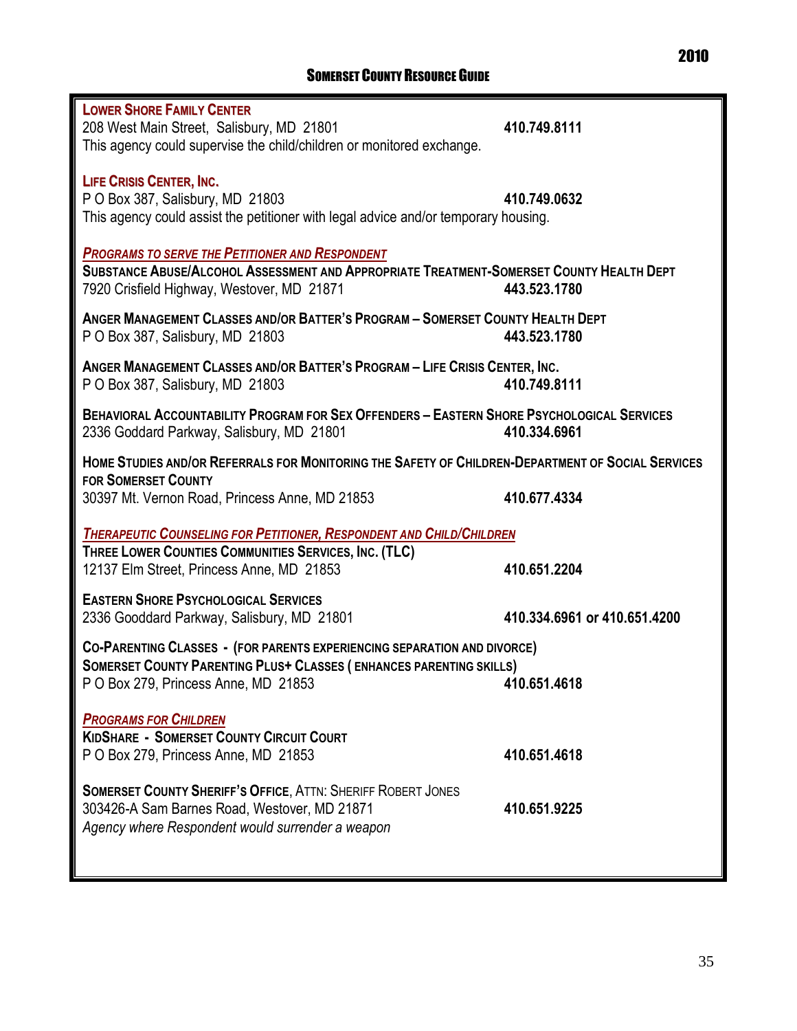| <b>LOWER SHORE FAMILY CENTER</b><br>208 West Main Street, Salisbury, MD 21801<br>This agency could supervise the child/children or monitored exchange.                                                                | 410.749.8111                 |  |  |
|-----------------------------------------------------------------------------------------------------------------------------------------------------------------------------------------------------------------------|------------------------------|--|--|
| <b>LIFE CRISIS CENTER, INC.</b><br>P O Box 387, Salisbury, MD 21803<br>This agency could assist the petitioner with legal advice and/or temporary housing.                                                            | 410.749.0632                 |  |  |
| <b>PROGRAMS TO SERVE THE PETITIONER AND RESPONDENT</b><br>SUBSTANCE ABUSE/ALCOHOL ASSESSMENT AND APPROPRIATE TREATMENT-SOMERSET COUNTY HEALTH DEPT<br>7920 Crisfield Highway, Westover, MD 21871                      | 443.523.1780                 |  |  |
| ANGER MANAGEMENT CLASSES AND/OR BATTER'S PROGRAM - SOMERSET COUNTY HEALTH DEPT<br>P O Box 387, Salisbury, MD 21803                                                                                                    | 443.523.1780                 |  |  |
| ANGER MANAGEMENT CLASSES AND/OR BATTER'S PROGRAM - LIFE CRISIS CENTER, INC.<br>P O Box 387, Salisbury, MD 21803                                                                                                       | 410.749.8111                 |  |  |
| <b>BEHAVIORAL ACCOUNTABILITY PROGRAM FOR SEX OFFENDERS - EASTERN SHORE PSYCHOLOGICAL SERVICES</b><br>2336 Goddard Parkway, Salisbury, MD 21801                                                                        | 410.334.6961                 |  |  |
| HOME STUDIES AND/OR REFERRALS FOR MONITORING THE SAFETY OF CHILDREN-DEPARTMENT OF SOCIAL SERVICES<br><b>FOR SOMERSET COUNTY</b><br>30397 Mt. Vernon Road, Princess Anne, MD 21853                                     | 410.677.4334                 |  |  |
| <b>THERAPEUTIC COUNSELING FOR PETITIONER, RESPONDENT AND CHILD/CHILDREN</b><br>THREE LOWER COUNTIES COMMUNITIES SERVICES, INC. (TLC)<br>12137 Elm Street, Princess Anne, MD 21853<br>410.651.2204                     |                              |  |  |
| <b>EASTERN SHORE PSYCHOLOGICAL SERVICES</b><br>2336 Gooddard Parkway, Salisbury, MD 21801                                                                                                                             | 410.334.6961 or 410.651.4200 |  |  |
| <b>CO-PARENTING CLASSES - (FOR PARENTS EXPERIENCING SEPARATION AND DIVORCE)</b><br><b>SOMERSET COUNTY PARENTING PLUS+ CLASSES (ENHANCES PARENTING SKILLS)</b><br>P O Box 279, Princess Anne, MD 21853<br>410.651.4618 |                              |  |  |
| <b>PROGRAMS FOR CHILDREN</b><br><b>KIDSHARE - SOMERSET COUNTY CIRCUIT COURT</b><br>P O Box 279, Princess Anne, MD 21853                                                                                               | 410.651.4618                 |  |  |
| <b>SOMERSET COUNTY SHERIFF'S OFFICE, ATTN: SHERIFF ROBERT JONES</b><br>303426-A Sam Barnes Road, Westover, MD 21871<br>Agency where Respondent would surrender a weapon                                               | 410.651.9225                 |  |  |
|                                                                                                                                                                                                                       |                              |  |  |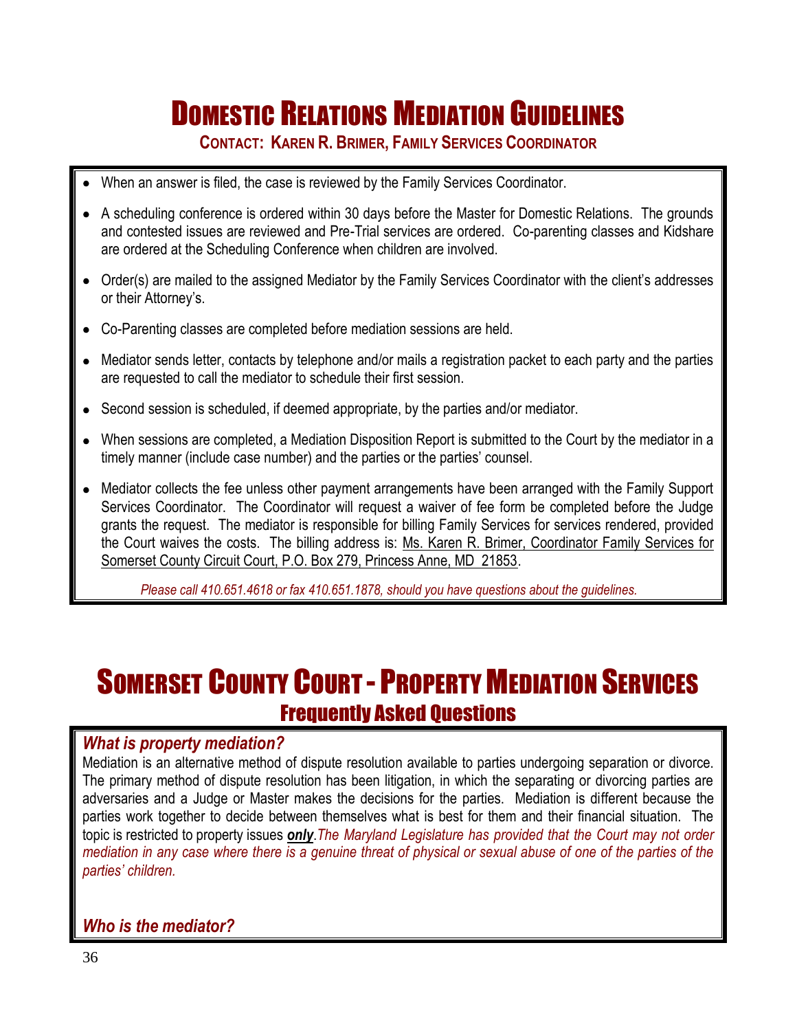## DOMESTIC RELATIONS MEDIATION GUIDELINES

**CONTACT: KAREN R. BRIMER, FAMILY SERVICES COORDINATOR**

- When an answer is filed, the case is reviewed by the Family Services Coordinator.
- A scheduling conference is ordered within 30 days before the Master for Domestic Relations. The grounds and contested issues are reviewed and Pre-Trial services are ordered. Co-parenting classes and Kidshare are ordered at the Scheduling Conference when children are involved.
- Order(s) are mailed to the assigned Mediator by the Family Services Coordinator with the client's addresses or their Attorney's.
- Co-Parenting classes are completed before mediation sessions are held.
- Mediator sends letter, contacts by telephone and/or mails a registration packet to each party and the parties are requested to call the mediator to schedule their first session.
- Second session is scheduled, if deemed appropriate, by the parties and/or mediator.
- When sessions are completed, a Mediation Disposition Report is submitted to the Court by the mediator in a timely manner (include case number) and the parties or the parties' counsel.
- Mediator collects the fee unless other payment arrangements have been arranged with the Family Support Services Coordinator. The Coordinator will request a waiver of fee form be completed before the Judge grants the request. The mediator is responsible for billing Family Services for services rendered, provided the Court waives the costs. The billing address is: Ms. Karen R. Brimer, Coordinator Family Services for Somerset County Circuit Court, P.O. Box 279, Princess Anne, MD 21853.

*Please call 410.651.4618 or fax 410.651.1878, should you have questions about the guidelines.*

## SOMERSET COUNTY COURT - PROPERTY MEDIATION SERVICES Frequently Asked Questions

### *What is property mediation?*

Mediation is an alternative method of dispute resolution available to parties undergoing separation or divorce. The primary method of dispute resolution has been litigation, in which the separating or divorcing parties are adversaries and a Judge or Master makes the decisions for the parties. Mediation is different because the parties work together to decide between themselves what is best for them and their financial situation. The topic is restricted to property issues *only*.*The Maryland Legislature has provided that the Court may not order mediation in any case where there is a genuine threat of physical or sexual abuse of one of the parties of the parties' children.*

*Who is the mediator?*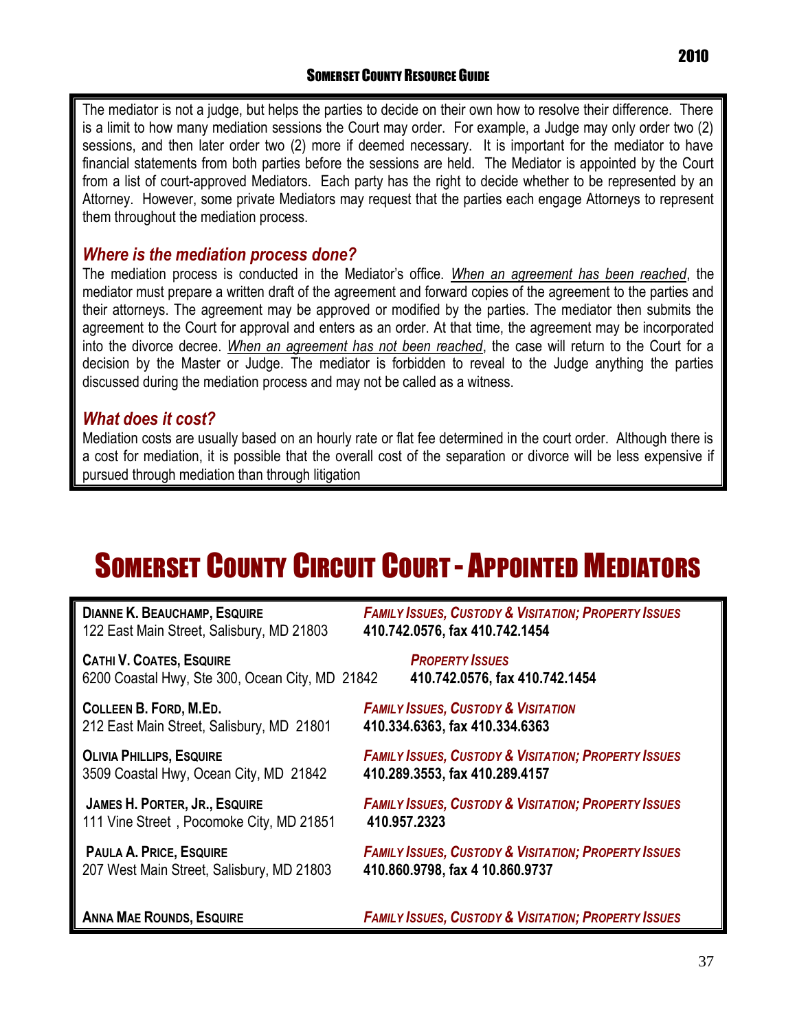The mediator is not a judge, but helps the parties to decide on their own how to resolve their difference. There is a limit to how many mediation sessions the Court may order. For example, a Judge may only order two (2) sessions, and then later order two (2) more if deemed necessary. It is important for the mediator to have financial statements from both parties before the sessions are held. The Mediator is appointed by the Court from a list of court-approved Mediators. Each party has the right to decide whether to be represented by an Attorney. However, some private Mediators may request that the parties each engage Attorneys to represent them throughout the mediation process.

### *Where is the mediation process done?*

The mediation process is conducted in the Mediator's office. *When an agreement has been reached*, the mediator must prepare a written draft of the agreement and forward copies of the agreement to the parties and their attorneys. The agreement may be approved or modified by the parties. The mediator then submits the agreement to the Court for approval and enters as an order. At that time, the agreement may be incorporated into the divorce decree. *When an agreement has not been reached*, the case will return to the Court for a decision by the Master or Judge. The mediator is forbidden to reveal to the Judge anything the parties discussed during the mediation process and may not be called as a witness.

### *What does it cost?*

Mediation costs are usually based on an hourly rate or flat fee determined in the court order. Although there is a cost for mediation, it is possible that the overall cost of the separation or divorce will be less expensive if pursued through mediation than through litigation

## SOMERSET COUNTY CIRCUIT COURT - APPOINTED MEDIATORS

| <b>DIANNE K. BEAUCHAMP, ESQUIRE</b>             | <b>FAMILY ISSUES, CUSTODY &amp; VISITATION; PROPERTY ISSUES</b> |
|-------------------------------------------------|-----------------------------------------------------------------|
| 122 East Main Street, Salisbury, MD 21803       | 410.742.0576, fax 410.742.1454                                  |
| <b>CATHI V. COATES, ESQUIRE</b>                 | <b>PROPERTY ISSUES</b>                                          |
| 6200 Coastal Hwy, Ste 300, Ocean City, MD 21842 | 410.742.0576, fax 410.742.1454                                  |
| <b>COLLEEN B. FORD, M.ED.</b>                   | <b>FAMILY ISSUES, CUSTODY &amp; VISITATION</b>                  |
| 212 East Main Street, Salisbury, MD 21801       | 410.334.6363, fax 410.334.6363                                  |
| <b>OLIVIA PHILLIPS, ESQUIRE</b>                 | <b>FAMILY ISSUES, CUSTODY &amp; VISITATION; PROPERTY ISSUES</b> |
| 3509 Coastal Hwy, Ocean City, MD 21842          | 410.289.3553, fax 410.289.4157                                  |
| <b>JAMES H. PORTER, JR., ESQUIRE</b>            | <b>FAMILY ISSUES, CUSTODY &amp; VISITATION; PROPERTY ISSUES</b> |
| 111 Vine Street, Pocomoke City, MD 21851        | 410.957.2323                                                    |
| <b>PAULA A. PRICE, ESQUIRE</b>                  | <b>FAMILY ISSUES, CUSTODY &amp; VISITATION; PROPERTY ISSUES</b> |
| 207 West Main Street, Salisbury, MD 21803       | 410.860.9798, fax 4 10.860.9737                                 |
| <b>ANNA MAE ROUNDS, ESQUIRE</b>                 | <b>FAMILY ISSUES, CUSTODY &amp; VISITATION; PROPERTY ISSUES</b> |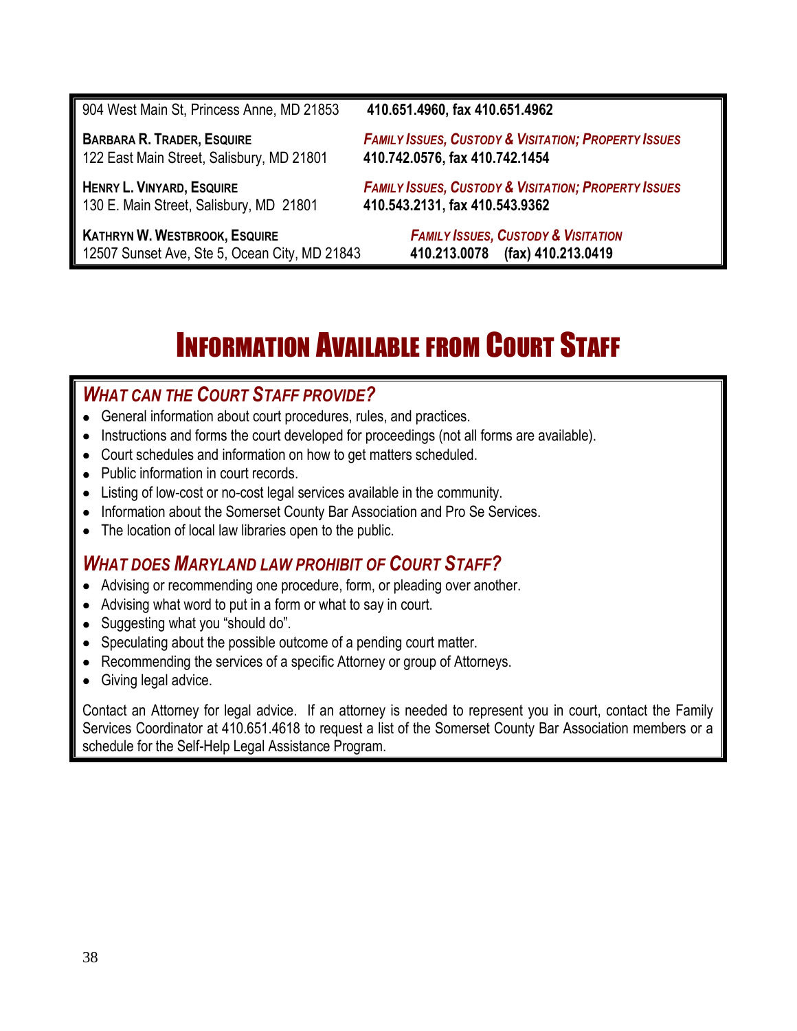904 West Main St, Princess Anne, MD 21853 **410.651.4960, fax 410.651.4962** BARBARA R. TRADER, ESQUIRE FAMILY ISSUES, CUSTODY & VISITATION; PROPERTY ISSUES 122 East Main Street, Salisbury, MD 21801 **410.742.0576, fax 410.742.1454** HENRY L. VINYARD, ESQUIRE FAMILY ISSUES, CUSTODY & VISITATION; PROPERTY ISSUES 130 E. Main Street, Salisbury, MD 21801 **410.543.2131, fax 410.543.9362 KATHRYN W. WESTBROOK, ESQUIRE** *FAMILY ISSUES, CUSTODY & VISITATION* 12507 Sunset Ave, Ste 5, Ocean City, MD 21843 **410.213.0078 (fax) 410.213.0419**

## INFORMATION AVAILABLE FROM COURT STAFF

### *WHAT CAN THE COURT STAFF PROVIDE?*

- General information about court procedures, rules, and practices.
- Instructions and forms the court developed for proceedings (not all forms are available).
- Court schedules and information on how to get matters scheduled.
- Public information in court records.
- Listing of low-cost or no-cost legal services available in the community.
- Information about the Somerset County Bar Association and Pro Se Services.
- The location of local law libraries open to the public.

### *WHAT DOES MARYLAND LAW PROHIBIT OF COURT STAFF?*

- Advising or recommending one procedure, form, or pleading over another.
- Advising what word to put in a form or what to say in court.
- Suggesting what you "should do".
- Speculating about the possible outcome of a pending court matter.
- Recommending the services of a specific Attorney or group of Attorneys.
- Giving legal advice.

Contact an Attorney for legal advice. If an attorney is needed to represent you in court, contact the Family Services Coordinator at 410.651.4618 to request a list of the Somerset County Bar Association members or a schedule for the Self-Help Legal Assistance Program.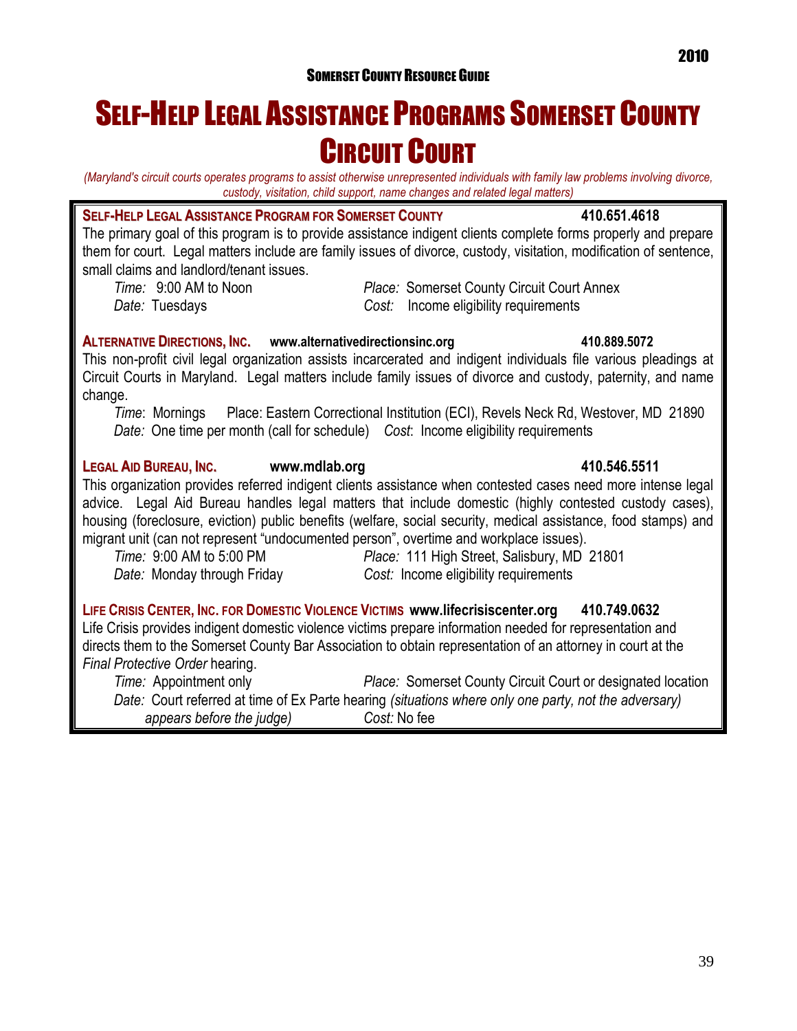## SELF-HELP LEGAL ASSISTANCE PROGRAMS SOMERSET COUNTY CIRCUIT COURT

*(Maryland's circuit courts operates programs to assist otherwise unrepresented individuals with family law problems involving divorce, custody, visitation, child support, name changes and related legal matters)*

### **SELF-HELP LEGAL ASSISTANCE PROGRAM FOR SOMERSET COUNTY 410.651.4618**

The primary goal of this program is to provide assistance indigent clients complete forms properly and prepare them for court. Legal matters include are family issues of divorce, custody, visitation, modification of sentence, small claims and landlord/tenant issues.

*Time:* 9:00 AM to Noon *Place:* Somerset County Circuit Court Annex *Date:* Tuesdays *Cost:* Income eligibility requirements

### **ALTERNATIVE DIRECTIONS, INC. [www.alternativedirectionsinc.org](http://www.alternativedirectionsinc.org/) 410.889.5072**

This non-profit civil legal organization assists incarcerated and indigent individuals file various pleadings at Circuit Courts in Maryland. Legal matters include family issues of divorce and custody, paternity, and name change.

*Time*: Mornings Place: Eastern Correctional Institution (ECI), Revels Neck Rd, Westover, MD 21890 *Date:* One time per month (call for schedule) *Cost*: Income eligibility requirements

### **LEGAL AID BUREAU, INC. [www.mdlab.org](http://www.mdlab.org/) 410.546.5511**

This organization provides referred indigent clients assistance when contested cases need more intense legal advice. Legal Aid Bureau handles legal matters that include domestic (highly contested custody cases), housing (foreclosure, eviction) public benefits (welfare, social security, medical assistance, food stamps) and migrant unit (can not represent "undocumented person", overtime and workplace issues).

*Time:* 9:00 AM to 5:00 PM *Place:* 111 High Street, Salisbury, MD 21801 *Date:* Monday through Friday *Cost:* Income eligibility requirements

LIFE CRISIS CENTER, INC. FOR DOMESTIC VIOLENCE VICTIMS [www.lifecrisiscenter.org](http://www.lifecrisiscenter.org/) 410.749.0632 Life Crisis provides indigent domestic violence victims prepare information needed for representation and directs them to the Somerset County Bar Association to obtain representation of an attorney in court at the *Final Protective Order* hearing.

*Time:* Appointment only *Place:* Somerset County Circuit Court or designated location *Date:* Court referred at time of Ex Parte hearing *(situations where only one party, not the adversary) appears before the judge) Cost:* No fee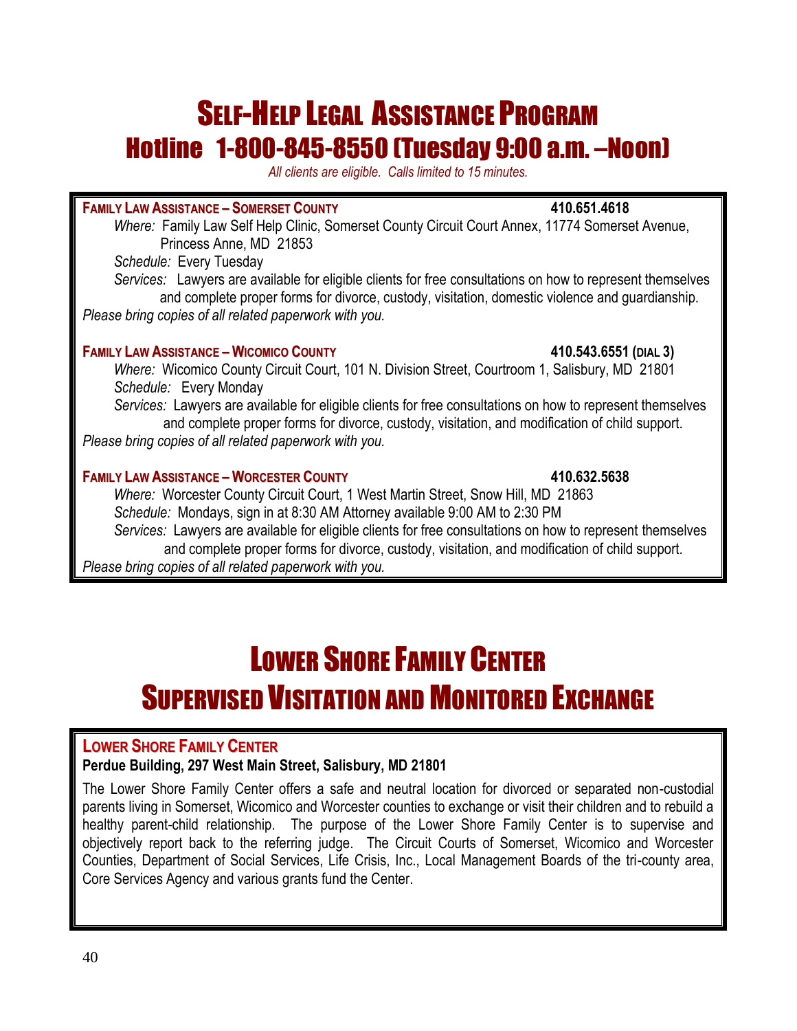## SELF-HELP LEGAL ASSISTANCE PROGRAM Hotline 1-800-845-8550 (Tuesday 9:00 a.m. –Noon)

*All clients are eligible. Calls limited to 15 minutes.*

### **FAMILY LAW ASSISTANCE – SOMERSET COUNTY 410.651.4618**

*Where:* Family Law Self Help Clinic, Somerset County Circuit Court Annex, 11774 Somerset Avenue, Princess Anne, MD 21853

*Schedule:* Every Tuesday

*Services:* Lawyers are available for eligible clients for free consultations on how to represent themselves and complete proper forms for divorce, custody, visitation, domestic violence and guardianship. *Please bring copies of all related paperwork with you.*

### **FAMILY LAW ASSISTANCE – WICOMICO COUNTY 410.543.6551 (DIAL 3)**

*Where:* Wicomico County Circuit Court, 101 N. Division Street, Courtroom 1, Salisbury, MD 21801 *Schedule:* Every Monday

*Services:* Lawyers are available for eligible clients for free consultations on how to represent themselves and complete proper forms for divorce, custody, visitation, and modification of child support. *Please bring copies of all related paperwork with you.*

### **FAMILY LAW ASSISTANCE – WORCESTER COUNTY 410.632.5638**

*Where:* Worcester County Circuit Court, 1 West Martin Street, Snow Hill, MD 21863 *Schedule:* Mondays, sign in at 8:30 AM Attorney available 9:00 AM to 2:30 PM *Services:* Lawyers are available for eligible clients for free consultations on how to represent themselves

and complete proper forms for divorce, custody, visitation, and modification of child support. *Please bring copies of all related paperwork with you.*

## LOWER SHORE FAMILY CENTER SUPERVISED VISITATION AND MONITORED EXCHANGE

### **LOWER SHORE FAMILY CENTER**

### **Perdue Building, 297 West Main Street, Salisbury, MD 21801**

The Lower Shore Family Center offers a safe and neutral location for divorced or separated non-custodial parents living in Somerset, Wicomico and Worcester counties to exchange or visit their children and to rebuild a healthy parent-child relationship. The purpose of the Lower Shore Family Center is to supervise and objectively report back to the referring judge. The Circuit Courts of Somerset, Wicomico and Worcester Counties, Department of Social Services, Life Crisis, Inc., Local Management Boards of the tri-county area, Core Services Agency and various grants fund the Center.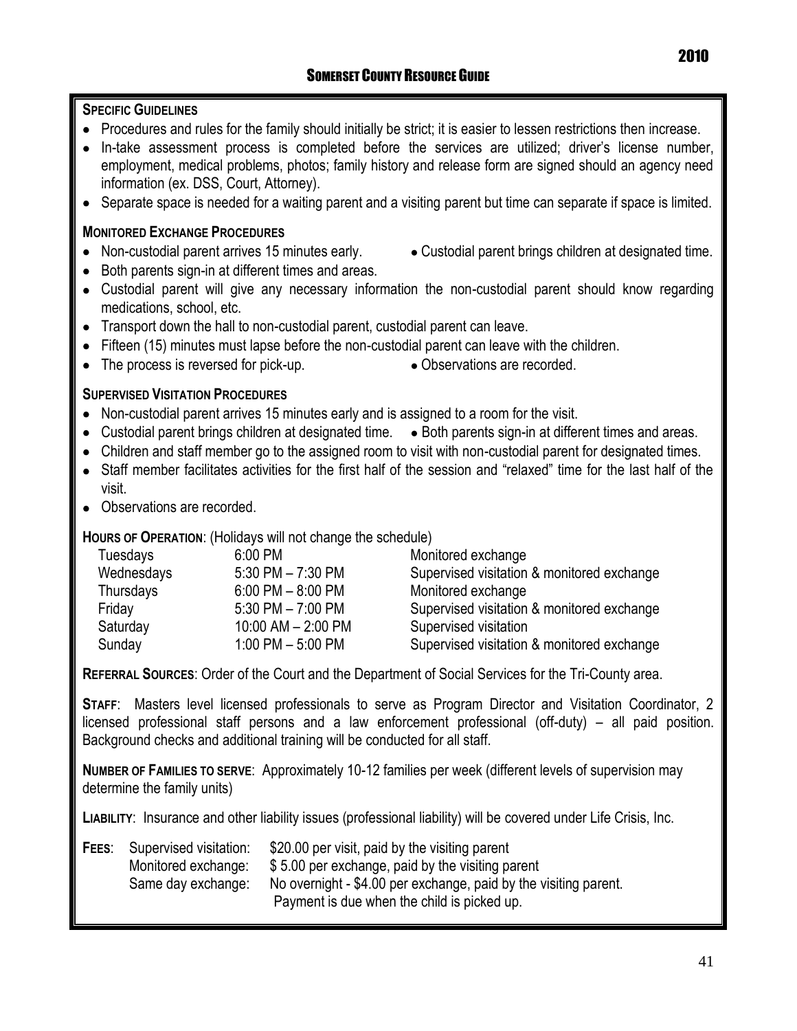### **SPECIFIC GUIDELINES**

- Procedures and rules for the family should initially be strict; it is easier to lessen restrictions then increase.
- $\bullet$  In-take assessment process is completed before the services are utilized; driver's license number, employment, medical problems, photos; family history and release form are signed should an agency need information (ex. DSS, Court, Attorney).
- Separate space is needed for a waiting parent and a visiting parent but time can separate if space is limited.

### **MONITORED EXCHANGE PROCEDURES**

- Non-custodial parent arrives 15 minutes early. Custodial parent brings children at designated time.
- Both parents sign-in at different times and areas.
- Custodial parent will give any necessary information the non-custodial parent should know regarding medications, school, etc.
- Transport down the hall to non-custodial parent, custodial parent can leave.
- Fifteen (15) minutes must lapse before the non-custodial parent can leave with the children.
- The process is reversed for pick-up. <br>• Observations are recorded.
	-

### **SUPERVISED VISITATION PROCEDURES**

- Non-custodial parent arrives 15 minutes early and is assigned to a room for the visit.
- Custodial parent brings children at designated time. Both parents sign-in at different times and areas.
- Children and staff member go to the assigned room to visit with non-custodial parent for designated times.
- Staff member facilitates activities for the first half of the session and "relaxed" time for the last half of the visit.
- Observations are recorded.

### **HOURS OF OPERATION**: (Holidays will not change the schedule)

| Tuesdays   | 6:00 PM                | Monitored exchange                         |
|------------|------------------------|--------------------------------------------|
| Wednesdays | $5:30$ PM $- 7:30$ PM  | Supervised visitation & monitored exchange |
| Thursdays  | $6:00$ PM $-8:00$ PM   | Monitored exchange                         |
| Friday     | $5:30$ PM $- 7:00$ PM  | Supervised visitation & monitored exchange |
| Saturday   | $10:00$ AM $- 2:00$ PM | Supervised visitation                      |
| Sunday     | 1:00 PM $-$ 5:00 PM    | Supervised visitation & monitored exchange |

**REFERRAL SOURCES**: Order of the Court and the Department of Social Services for the Tri-County area.

**STAFF**: Masters level licensed professionals to serve as Program Director and Visitation Coordinator, 2 licensed professional staff persons and a law enforcement professional (off-duty) – all paid position. Background checks and additional training will be conducted for all staff.

**NUMBER OF FAMILIES TO SERVE**: Approximately 10-12 families per week (different levels of supervision may determine the family units)

**LIABILITY**: Insurance and other liability issues (professional liability) will be covered under Life Crisis, Inc.

| FEES: | Supervised visitation: | \$20.00 per visit, paid by the visiting parent                   |
|-------|------------------------|------------------------------------------------------------------|
|       | Monitored exchange:    | \$5.00 per exchange, paid by the visiting parent                 |
|       | Same day exchange:     | No overnight - \$4.00 per exchange, paid by the visiting parent. |
|       |                        | Payment is due when the child is picked up.                      |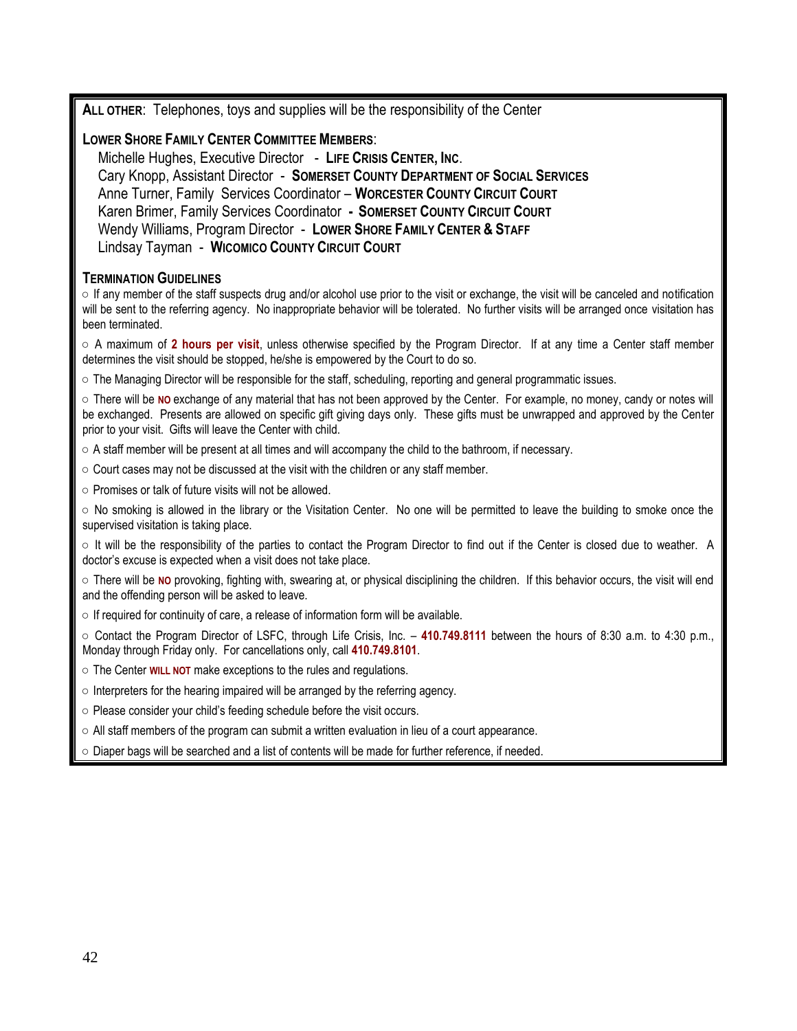**ALL OTHER**: Telephones, toys and supplies will be the responsibility of the Center

### **LOWER SHORE FAMILY CENTER COMMITTEE MEMBERS**:

Michelle Hughes, Executive Director - **LIFE CRISIS CENTER, INC**. Cary Knopp, Assistant Director - **SOMERSET COUNTY DEPARTMENT OF SOCIAL SERVICES** Anne Turner, Family Services Coordinator – **WORCESTER COUNTY CIRCUIT COURT** Karen Brimer, Family Services Coordinator **- SOMERSET COUNTY CIRCUIT COURT** Wendy Williams, Program Director - **LOWER SHORE FAMILY CENTER & STAFF** Lindsay Tayman - **WICOMICO COUNTY CIRCUIT COURT**

### **TERMINATION GUIDELINES**

**○** If any member of the staff suspects drug and/or alcohol use prior to the visit or exchange, the visit will be canceled and notification will be sent to the referring agency. No inappropriate behavior will be tolerated. No further visits will be arranged once visitation has been terminated.

**○** A maximum of **2 hours per visit**, unless otherwise specified by the Program Director. If at any time a Center staff member determines the visit should be stopped, he/she is empowered by the Court to do so.

**○** The Managing Director will be responsible for the staff, scheduling, reporting and general programmatic issues.

**○** There will be **NO** exchange of any material that has not been approved by the Center. For example, no money, candy or notes will be exchanged. Presents are allowed on specific gift giving days only. These gifts must be unwrapped and approved by the Center prior to your visit. Gifts will leave the Center with child.

**○** A staff member will be present at all times and will accompany the child to the bathroom, if necessary.

- **○** Court cases may not be discussed at the visit with the children or any staff member.
- **○** Promises or talk of future visits will not be allowed.

**○** No smoking is allowed in the library or the Visitation Center. No one will be permitted to leave the building to smoke once the supervised visitation is taking place.

**○** It will be the responsibility of the parties to contact the Program Director to find out if the Center is closed due to weather. A doctor's excuse is expected when a visit does not take place.

**○** There will be **NO** provoking, fighting with, swearing at, or physical disciplining the children. If this behavior occurs, the visit will end and the offending person will be asked to leave.

**○** If required for continuity of care, a release of information form will be available.

**○** Contact the Program Director of LSFC, through Life Crisis, Inc. – **410.749.8111** between the hours of 8:30 a.m. to 4:30 p.m., Monday through Friday only. For cancellations only, call **410.749.8101**.

- **○** The Center **WILL NOT** make exceptions to the rules and regulations.
- Interpreters for the hearing impaired will be arranged by the referring agency.
- **○** Please consider your child's feeding schedule before the visit occurs.
- **○** All staff members of the program can submit a written evaluation in lieu of a court appearance.
- **○** Diaper bags will be searched and a list of contents will be made for further reference, if needed.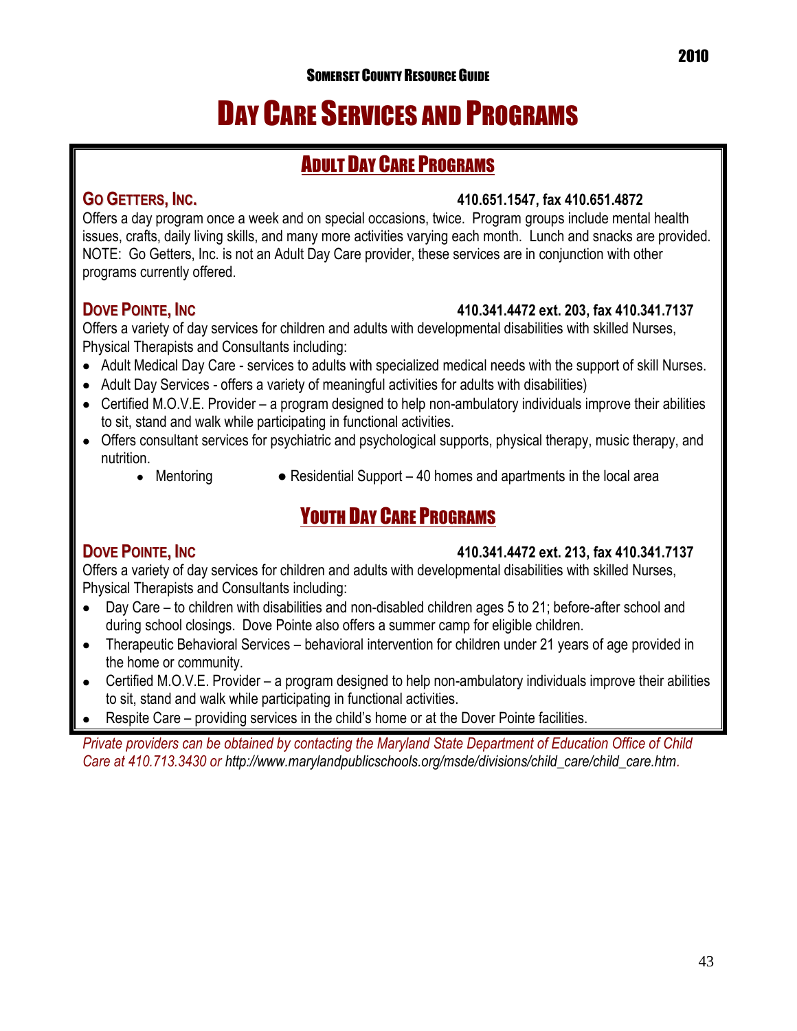### SOMERSET COUNTY RESOURCE GUIDE

## DAY CARE SERVICES AND PROGRAMS

### ADULT DAY CARE PROGRAMS

### **GO GETTERS, INC. 410.651.1547, fax 410.651.4872**

Offers a day program once a week and on special occasions, twice. Program groups include mental health issues, crafts, daily living skills, and many more activities varying each month. Lunch and snacks are provided. NOTE: Go Getters, Inc. is not an Adult Day Care provider, these services are in conjunction with other programs currently offered.

### **DOVE POINTE, INC 410.341.4472 ext. 203, fax 410.341.7137**

Offers a variety of day services for children and adults with developmental disabilities with skilled Nurses, Physical Therapists and Consultants including:

- Adult Medical Day Care services to adults with specialized medical needs with the support of skill Nurses.
- Adult Day Services offers a variety of meaningful activities for adults with disabilities)
- Certified M.O.V.E. Provider a program designed to help non-ambulatory individuals improve their abilities to sit, stand and walk while participating in functional activities.
- Offers consultant services for psychiatric and psychological supports, physical therapy, music therapy, and nutrition.
	-
	- Mentoring  $\bullet$  Residential Support 40 homes and apartments in the local area

### YOUTH DAY CARE PROGRAMS

### **DOVE POINTE, INC 410.341.4472 ext. 213, fax 410.341.7137**

Offers a variety of day services for children and adults with developmental disabilities with skilled Nurses, Physical Therapists and Consultants including:

- Day Care to children with disabilities and non-disabled children ages 5 to 21; before-after school and during school closings. Dove Pointe also offers a summer camp for eligible children.
- Therapeutic Behavioral Services behavioral intervention for children under 21 years of age provided in  $\bullet$ the home or community.
- Certified M.O.V.E. Provider a program designed to help non-ambulatory individuals improve their abilities  $\bullet$ to sit, stand and walk while participating in functional activities.
- Respite Care providing services in the child's home or at the Dover Pointe facilities.

*Private providers can be obtained by contacting the Maryland State Department of Education Office of Child Care at 410.713.3430 or [http://www.marylandpublicschools.org/msde/divisions/child\\_care/child\\_care.htm.](http://www.marylandpublicschools.org/msde/divisions/child_care/child_care.htm)*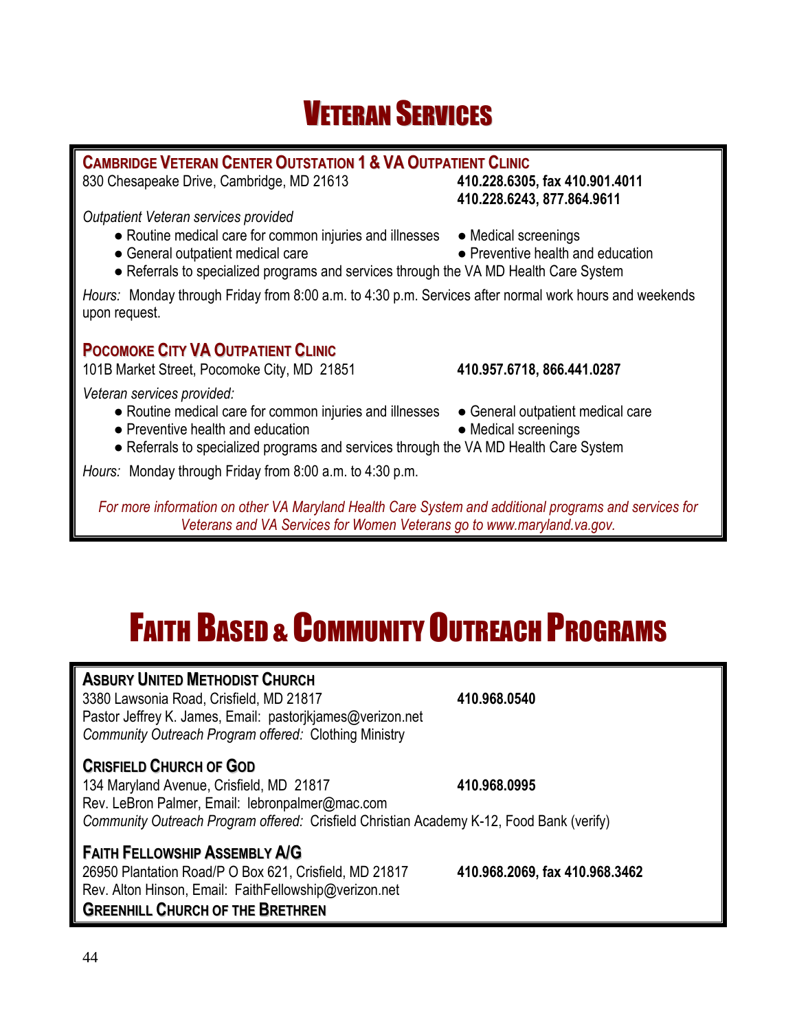## VETERAN SERVICES

### **CAMBRIDGE VETERAN CENTER OUTSTATION 1 & VA OUTPATIENT CLINIC**

830 Chesapeake Drive, Cambridge, MD 21613 **410.228.6305, fax 410.901.4011**

*Outpatient Veteran services provided*

- Routine medical care for common injuries and illnesses Medical screenings
- General outpatient medical care <br>● Preventive health and education
- 

**410.228.6243, 877.864.9611**

● Referrals to specialized programs and services through the VA MD Health Care System

*Hours:* Monday through Friday from 8:00 a.m. to 4:30 p.m. Services after normal work hours and weekends upon request.

### **POCOMOKE CITY VA OUTPATIENT CLINIC**

101B Market Street, Pocomoke City, MD 21851 **410.957.6718, 866.441.0287**

*Veteran services provided:*

- Routine medical care for common injuries and illnesses General outpatient medical care
- Preventive health and education <br>● Medical screenings
- -
- Referrals to specialized programs and services through the VA MD Health Care System

*Hours:* Monday through Friday from 8:00 a.m. to 4:30 p.m.

*For more information on other VA Maryland Health Care System and additional programs and services for Veterans and VA Services for Women Veterans go to www.maryland.va.gov.*

## FAITH BASED & COMMUNITY OUTREACH PROGRAMS

### **ASBURY UNITED METHODIST CHURCH**

3380 Lawsonia Road, Crisfield, MD 21817 **410.968.0540** Pastor Jeffrey K. James, Email: [pastorjkjames@verizon.net](mailto:pastorjkjames@verizon.net) *Community Outreach Program offered:* Clothing Ministry

### **CRISFIELD CHURCH OF GOD**

134 Maryland Avenue, Crisfield, MD 21817 **410.968.0995** Rev. LeBron Palmer, Email: lebronpalmer@mac.com *Community Outreach Program offered:* Crisfield Christian Academy K-12, Food Bank (verify)

### **FAITH FELLOWSHIP ASSEMBLY A/G**

Rev. Alton Hinson, Email: [FaithFellowship@verizon.net](mailto:FaithFellowship@verizon.net) **GREENHILL CHURCH OF THE BRETHREN**

26950 Plantation Road/P O Box 621, Crisfield, MD 21817 **410.968.2069, fax 410.968.3462**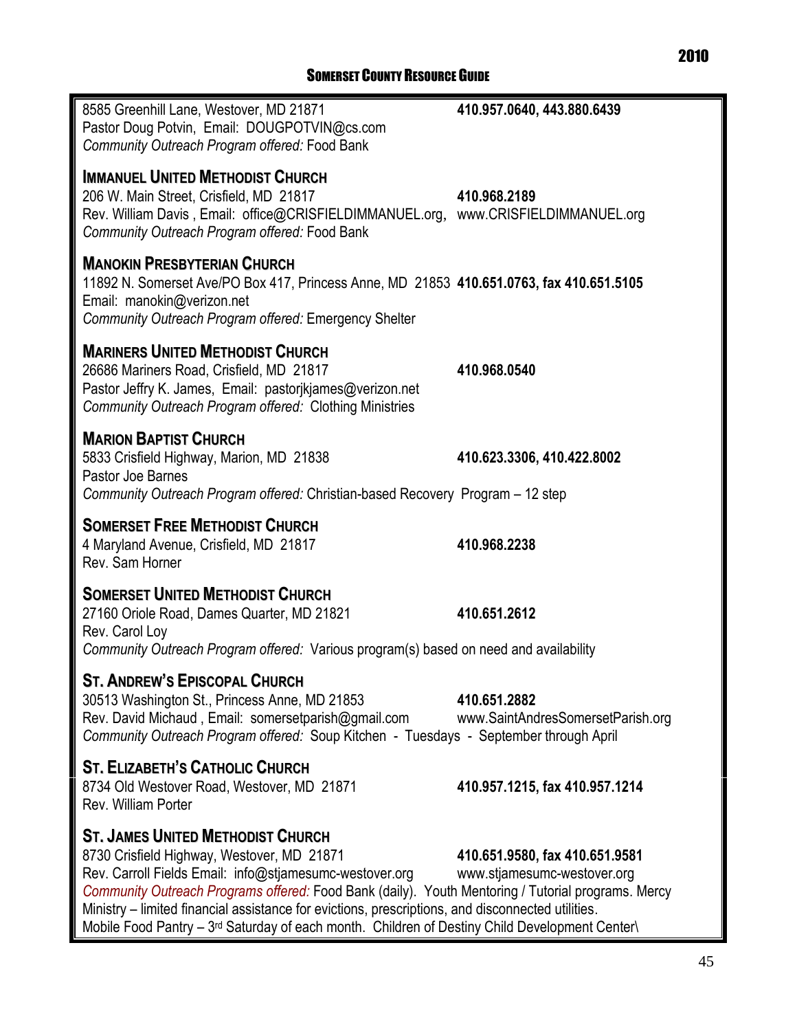| 8585 Greenhill Lane, Westover, MD 21871<br>Pastor Doug Potvin, Email: DOUGPOTVIN@cs.com<br>Community Outreach Program offered: Food Bank                                                                                                                                                                                                                                                                                                                       | 410.957.0640, 443.880.6439                                    |
|----------------------------------------------------------------------------------------------------------------------------------------------------------------------------------------------------------------------------------------------------------------------------------------------------------------------------------------------------------------------------------------------------------------------------------------------------------------|---------------------------------------------------------------|
| <b>IMMANUEL UNITED METHODIST CHURCH</b><br>206 W. Main Street, Crisfield, MD 21817<br>Rev. William Davis, Email: office@CRISFIELDIMMANUEL.org, www.CRISFIELDIMMANUEL.org<br>Community Outreach Program offered: Food Bank                                                                                                                                                                                                                                      | 410.968.2189                                                  |
| <b>MANOKIN PRESBYTERIAN CHURCH</b><br>11892 N. Somerset Ave/PO Box 417, Princess Anne, MD 21853 410.651.0763, fax 410.651.5105<br>Email: manokin@verizon.net<br>Community Outreach Program offered: Emergency Shelter                                                                                                                                                                                                                                          |                                                               |
| <b>MARINERS UNITED METHODIST CHURCH</b><br>26686 Mariners Road, Crisfield, MD 21817<br>Pastor Jeffry K. James, Email: pastorikjames@verizon.net<br>Community Outreach Program offered: Clothing Ministries                                                                                                                                                                                                                                                     | 410.968.0540                                                  |
| <b>MARION BAPTIST CHURCH</b><br>5833 Crisfield Highway, Marion, MD 21838<br>Pastor Joe Barnes<br>Community Outreach Program offered: Christian-based Recovery Program - 12 step                                                                                                                                                                                                                                                                                | 410.623.3306, 410.422.8002                                    |
| <b>SOMERSET FREE METHODIST CHURCH</b><br>4 Maryland Avenue, Crisfield, MD 21817<br>Rev. Sam Horner                                                                                                                                                                                                                                                                                                                                                             | 410.968.2238                                                  |
| <b>SOMERSET UNITED METHODIST CHURCH</b><br>27160 Oriole Road, Dames Quarter, MD 21821<br>Rev. Carol Loy<br>Community Outreach Program offered: Various program(s) based on need and availability                                                                                                                                                                                                                                                               | 410.651.2612                                                  |
| <b>ST. ANDREW'S EPISCOPAL CHURCH</b><br>30513 Washington St., Princess Anne, MD 21853<br>Rev. David Michaud, Email: somersetparish@gmail.com<br>Community Outreach Program offered: Soup Kitchen - Tuesdays - September through April                                                                                                                                                                                                                          | 410,651,2882<br>www.SaintAndresSomersetParish.org             |
| <b>ST. ELIZABETH'S CATHOLIC CHURCH</b><br>8734 Old Westover Road, Westover, MD 21871<br>Rev. William Porter                                                                                                                                                                                                                                                                                                                                                    | 410.957.1215, fax 410.957.1214                                |
| <b>ST. JAMES UNITED METHODIST CHURCH</b><br>8730 Crisfield Highway, Westover, MD 21871<br>Rev. Carroll Fields Email: info@stjamesumc-westover.org<br>Community Outreach Programs offered: Food Bank (daily). Youth Mentoring / Tutorial programs. Mercy<br>Ministry – limited financial assistance for evictions, prescriptions, and disconnected utilities.<br>Mobile Food Pantry - 3rd Saturday of each month. Children of Destiny Child Development Center\ | 410.651.9580, fax 410.651.9581<br>www.stjamesumc-westover.org |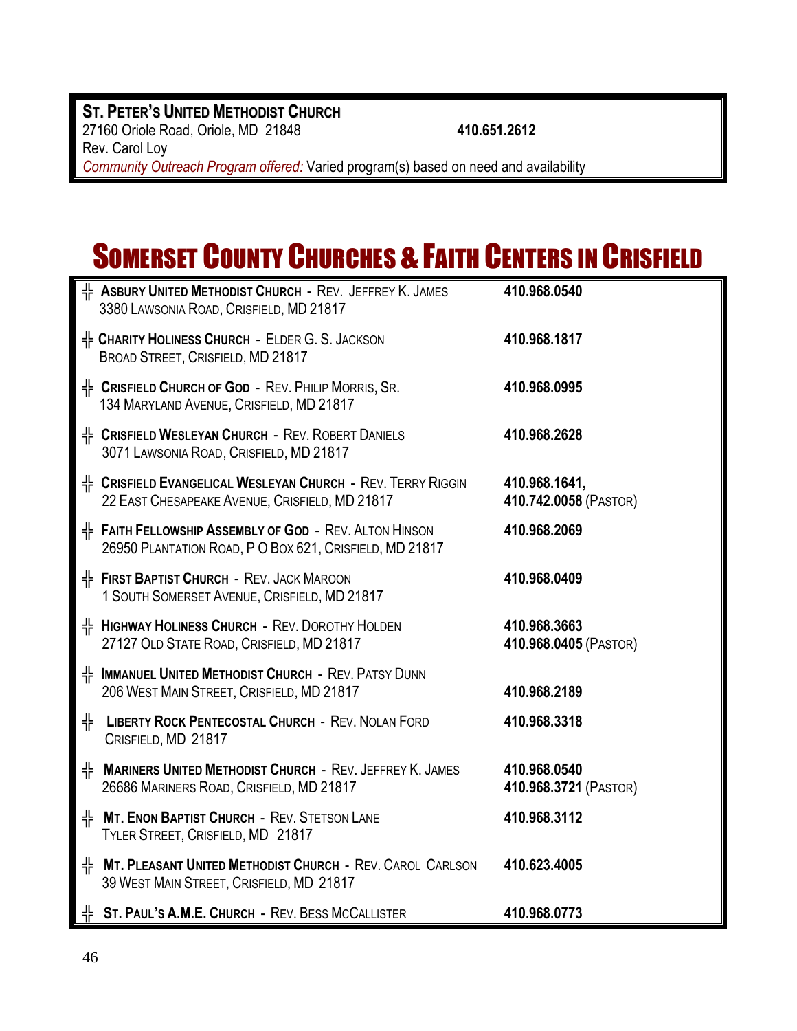### **ST. PETER'S UNITED METHODIST CHURCH** 27160 Oriole Road, Oriole, MD 21848 **410.651.2612** Rev. Carol Loy *Community Outreach Program offered:* Varied program(s) based on need and availability

## SOMERSET COUNTY CHURCHES & FAITH CENTERS IN CRISFIELD

| H ASBURY UNITED METHODIST CHURCH - REV. JEFFREY K. JAMES<br>3380 LAWSONIA ROAD, CRISFIELD, MD 21817                      | 410.968.0540                           |
|--------------------------------------------------------------------------------------------------------------------------|----------------------------------------|
| $\frac{1}{11}$ Charity Holiness Church - Elder G. S. Jackson<br>BROAD STREET, CRISFIELD, MD 21817                        | 410.968.1817                           |
| <sup>1</sup> CRISFIELD CHURCH OF GOD - REV. PHILIP MORRIS, SR.<br>134 MARYLAND AVENUE, CRISFIELD, MD 21817               | 410.968.0995                           |
| <b>E. CRISFIELD WESLEYAN CHURCH - REV. ROBERT DANIELS</b><br>3071 LAWSONIA ROAD, CRISFIELD, MD 21817                     | 410.968.2628                           |
| <sup>1</sup> CRISFIELD EVANGELICAL WESLEYAN CHURCH - REV. TERRY RIGGIN<br>22 EAST CHESAPEAKE AVENUE, CRISFIELD, MD 21817 | 410.968.1641,<br>410.742.0058 (PASTOR) |
| H FAITH FELLOWSHIP ASSEMBLY OF GOD - REV. ALTON HINSON<br>26950 PLANTATION ROAD, P O BOX 621, CRISFIELD, MD 21817        | 410.968.2069                           |
| $#$ First Baptist Church - Rev. Jack Maroon<br>1 SOUTH SOMERSET AVENUE, CRISFIELD, MD 21817                              | 410.968.0409                           |
| H HIGHWAY HOLINESS CHURCH - REV. DOROTHY HOLDEN<br>27127 OLD STATE ROAD, CRISFIELD, MD 21817                             | 410.968.3663<br>410.968.0405 (PASTOR)  |
| H IMMANUEL UNITED METHODIST CHURCH - REV. PATSY DUNN<br>206 WEST MAIN STREET, CRISFIELD, MD 21817                        | 410.968.2189                           |
| ╬<br><b>LIBERTY ROCK PENTECOSTAL CHURCH - REV. NOLAN FORD</b><br>CRISFIELD, MD 21817                                     | 410.968.3318                           |
| $\frac{1}{1}$ Mariners United Methodist Church - Rev. Jeffrey K. James<br>26686 MARINERS ROAD, CRISFIELD, MD 21817       | 410.968.0540<br>410.968.3721 (PASTOR)  |
| H MT. ENON BAPTIST CHURCH - REV. STETSON LANE<br>TYLER STREET, CRISFIELD, MD 21817                                       | 410.968.3112                           |
| H MT. PLEASANT UNITED METHODIST CHURCH - REV. CAROL CARLSON<br>39 WEST MAIN STREET, CRISFIELD, MD 21817                  | 410.623.4005                           |
| $\frac{1}{11}$ St. Paul's A.M.E. Church - Rev. Bess McCallister                                                          | 410.968.0773                           |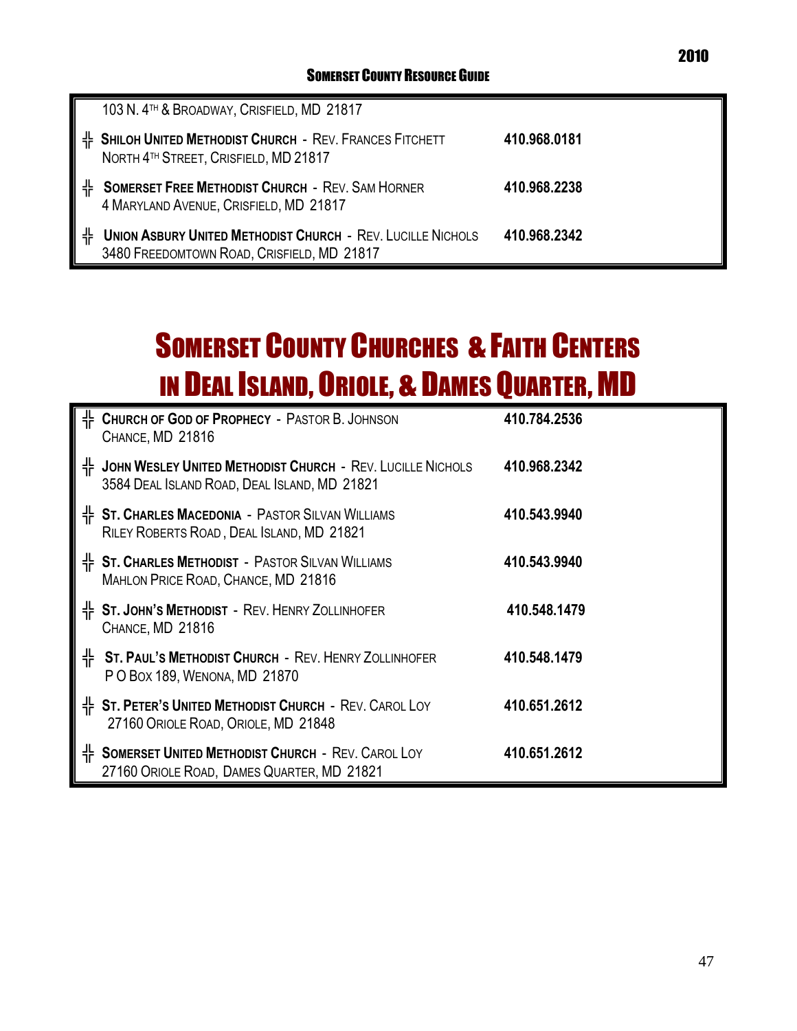|   | 103 N. 4TH & BROADWAY, CRISFIELD, MD 21817                                                                       |              |
|---|------------------------------------------------------------------------------------------------------------------|--------------|
|   | H SHILOH UNITED METHODIST CHURCH - REV. FRANCES FITCHETT<br>NORTH 4TH STREET, CRISFIELD, MD 21817                | 410,968,0181 |
| 쀼 | <b>SOMERSET FREE METHODIST CHURCH - REV. SAM HORNER</b><br>4 MARYLAND AVENUE, CRISFIELD, MD 21817                | 410.968.2238 |
| 쀼 | <b>UNION ASBURY UNITED METHODIST CHURCH - REV. LUCILLE NICHOLS</b><br>3480 FREEDOMTOWN ROAD, CRISFIELD, MD 21817 | 410.968.2342 |

## SOMERSET COUNTY CHURCHES & FAITH CENTERS IN DEAL ISLAND, ORIOLE, & DAMES QUARTER, MD

|    | <sup>+</sup> CHURCH OF GOD OF PROPHECY - PASTOR B. JOHNSON<br>CHANCE, MD 21816                             | 410.784.2536 |
|----|------------------------------------------------------------------------------------------------------------|--------------|
| 带. | JOHN WESLEY UNITED METHODIST CHURCH - REV. LUCILLE NICHOLS<br>3584 DEAL ISLAND ROAD, DEAL ISLAND, MD 21821 | 410.968.2342 |
|    | $\frac{1}{1}$ St. Charles Macedonia - Pastor Silvan Williams<br>RILEY ROBERTS ROAD, DEAL ISLAND, MD 21821  | 410.543.9940 |
|    | $\frac{1}{1}$ St. Charles Methodist - Pastor Silvan Williams<br>MAHLON PRICE ROAD, CHANCE, MD 21816        | 410.543.9940 |
|    | H ST. JOHN'S METHODIST - REV. HENRY ZOLLINHOFER<br>CHANCE, MD 21816                                        | 410.548.1479 |
|    | H ST. PAUL'S METHODIST CHURCH - REV. HENRY ZOLLINHOFER<br>P O BOX 189, WENONA, MD 21870                    | 410.548.1479 |
|    | H ST. PETER'S UNITED METHODIST CHURCH - REV. CAROL LOY<br>27160 ORIOLE ROAD, ORIOLE, MD 21848              | 410.651.2612 |
|    | H SOMERSET UNITED METHODIST CHURCH - REV. CAROL LOY<br>27160 ORIOLE ROAD, DAMES QUARTER, MD 21821          | 410.651.2612 |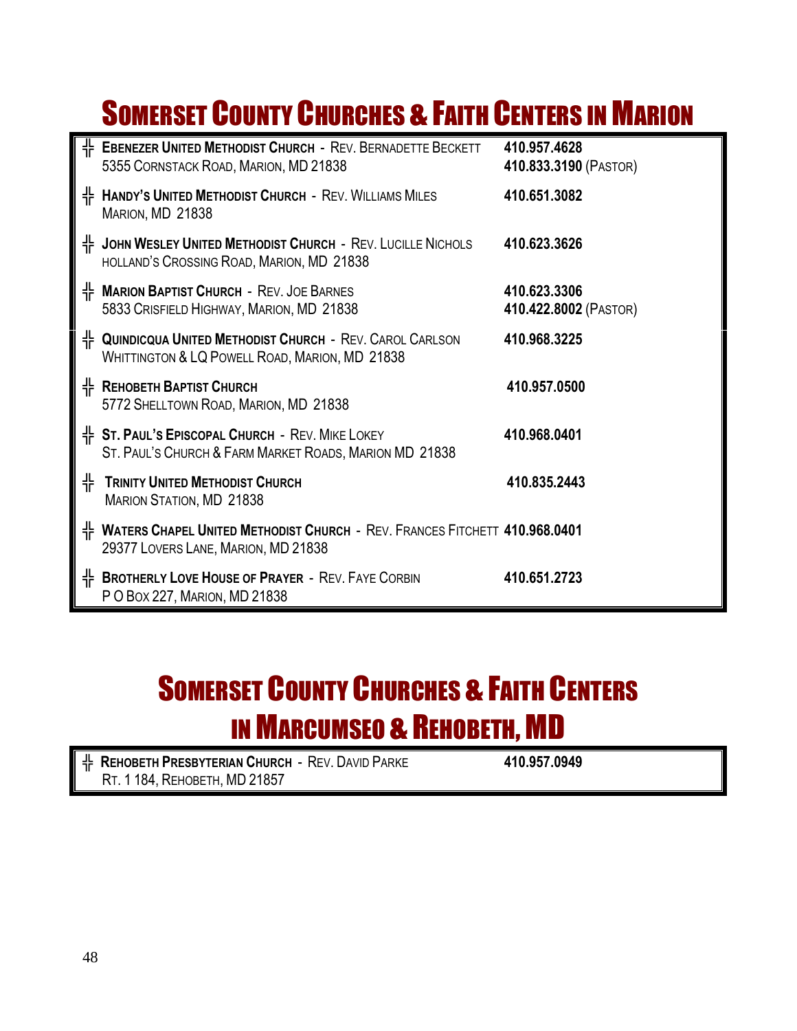## **SOMERSET COUNTY CHURCHES & FAITH CENTERS IN MARION**

|   | H EBENEZER UNITED METHODIST CHURCH - REV. BERNADETTE BECKETT<br>5355 CORNSTACK ROAD, MARION, MD 21838                    | 410.957.4628<br>410.833.3190 (PASTOR) |
|---|--------------------------------------------------------------------------------------------------------------------------|---------------------------------------|
| ╬ | <b>HANDY'S UNITED METHODIST CHURCH - REV. WILLIAMS MILES</b><br>MARION, MD 21838                                         | 410.651.3082                          |
|   | H JOHN WESLEY UNITED METHODIST CHURCH - REV. LUCILLE NICHOLS<br>HOLLAND'S CROSSING ROAD, MARION, MD 21838                | 410.623.3626                          |
|   | H MARION BAPTIST CHURCH - REV. JOE BARNES<br>5833 CRISFIELD HIGHWAY, MARION, MD 21838                                    | 410.623.3306<br>410.422.8002 (PASTOR) |
|   | H- QUINDICQUA UNITED METHODIST CHURCH - REV. CAROL CARLSON<br>WHITTINGTON & LQ POWELL ROAD, MARION, MD 21838             | 410.968.3225                          |
| ╬ | <b>REHOBETH BAPTIST CHURCH</b><br>5772 SHELLTOWN ROAD, MARION, MD 21838                                                  | 410.957.0500                          |
|   | HF ST. PAUL'S EPISCOPAL CHURCH - REV. MIKE LOKEY<br>ST. PAUL'S CHURCH & FARM MARKET ROADS, MARION MD 21838               | 410.968.0401                          |
| 쀼 | <b>TRINITY UNITED METHODIST CHURCH</b><br><b>MARION STATION, MD 21838</b>                                                | 410.835.2443                          |
| ᆥ | <b>WATERS CHAPEL UNITED METHODIST CHURCH - REV. FRANCES FITCHETT 410.968.0401</b><br>29377 LOVERS LANE, MARION, MD 21838 |                                       |
| 쀼 | <b>BROTHERLY LOVE HOUSE OF PRAYER - REV. FAYE CORBIN</b><br>P O Box 227, MARION, MD 21838                                | 410.651.2723                          |

## **SOMERSET COUNTY CHURCHES & FAITH CENTERS** IN MARCUMSEO & REHOBETH, MD

╬ **REHOBETH PRESBYTERIAN CHURCH** - REV. DAVID PARKE **410.957.0949** RT. 1 184, REHOBETH, MD 21857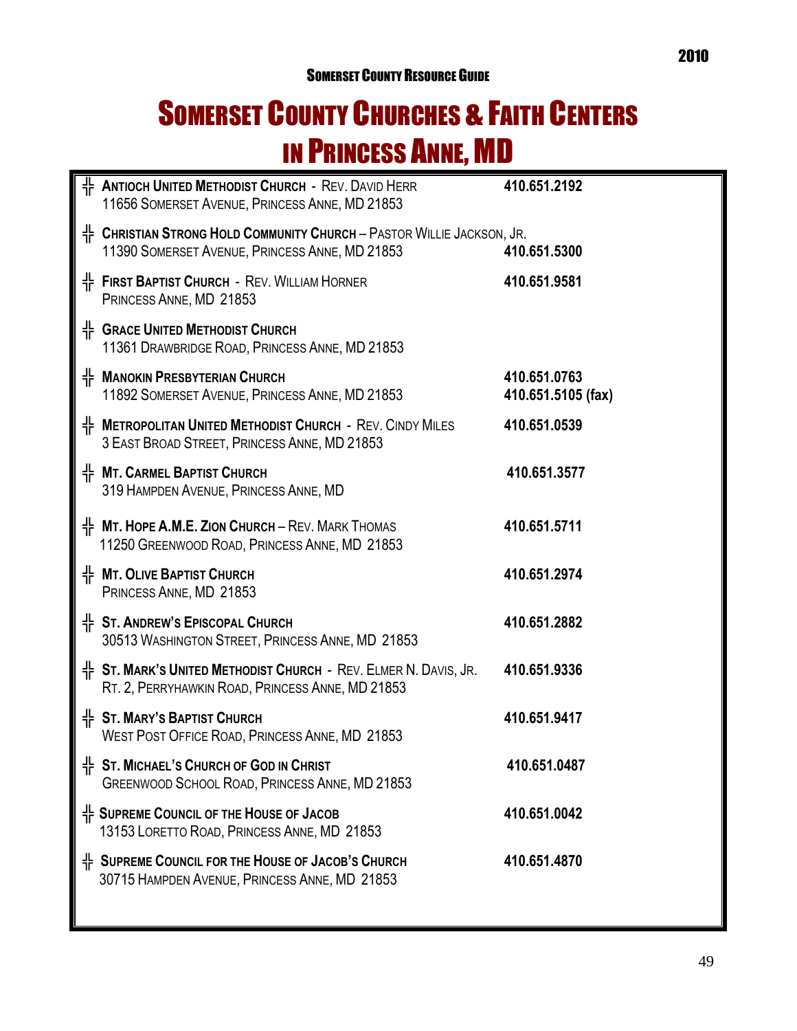## SOMERSET COUNTY CHURCHES & FAITH CENTERS IN PRINCESS ANNE, MD

| $\frac{1}{1}$ Antioch United Methodist Church - Rev. David Herr<br>11656 SOMERSET AVENUE, PRINCESS ANNE, MD 21853                   | 410.651.2192                       |
|-------------------------------------------------------------------------------------------------------------------------------------|------------------------------------|
| $\frac{1}{4}$ Christian Strong Hold Community Church – Pastor Willie Jackson, Jr.<br>11390 SOMERSET AVENUE, PRINCESS ANNE, MD 21853 | 410.651.5300                       |
| H FIRST BAPTIST CHURCH - REV. WILLIAM HORNER<br>PRINCESS ANNE, MD 21853                                                             | 410.651.9581                       |
| + GRACE UNITED METHODIST CHURCH<br>11361 DRAWBRIDGE ROAD, PRINCESS ANNE, MD 21853                                                   |                                    |
| H MANOKIN PRESBYTERIAN CHURCH<br>11892 SOMERSET AVENUE, PRINCESS ANNE, MD 21853                                                     | 410.651.0763<br>410.651.5105 (fax) |
| H METROPOLITAN UNITED METHODIST CHURCH - REV. CINDY MILES<br>3 EAST BROAD STREET, PRINCESS ANNE, MD 21853                           | 410.651.0539                       |
| H MT. CARMEL BAPTIST CHURCH<br>319 HAMPDEN AVENUE, PRINCESS ANNE, MD                                                                | 410.651.3577                       |
| $\frac{1}{11}$ MT. HOPE A.M.E. ZION CHURCH – REV. MARK THOMAS<br>11250 GREENWOOD ROAD, PRINCESS ANNE, MD 21853                      | 410.651.5711                       |
| 作 MT. OLIVE BAPTIST CHURCH<br>PRINCESS ANNE, MD 21853                                                                               | 410.651.2974                       |
| ╬ ST. ANDREW'S EPISCOPAL CHURCH<br>30513 WASHINGTON STREET, PRINCESS ANNE, MD 21853                                                 | 410.651.2882                       |
| $\frac{1}{11}$ St. Mark's United Methodist Church - Rev. Elmer N. Davis, Jr.<br>RT. 2, PERRYHAWKIN ROAD, PRINCESS ANNE, MD 21853    | 410.651.9336                       |
| <sup>I</sup> F ST. MARY'S BAPTIST CHURCH<br>WEST POST OFFICE ROAD, PRINCESS ANNE, MD 21853                                          | 410.651.9417                       |
| $\frac{1}{11}$ St. MICHAEL'S CHURCH OF GOD IN CHRIST<br>GREENWOOD SCHOOL ROAD, PRINCESS ANNE, MD 21853                              | 410.651.0487                       |
| $\frac{1}{1}$ Supreme Council of the House of Jacob<br>13153 LORETTO ROAD, PRINCESS ANNE, MD 21853                                  | 410.651.0042                       |
| ╬ SUPREME COUNCIL FOR THE HOUSE OF JACOB'S CHURCH<br>30715 HAMPDEN AVENUE, PRINCESS ANNE, MD 21853                                  | 410.651.4870                       |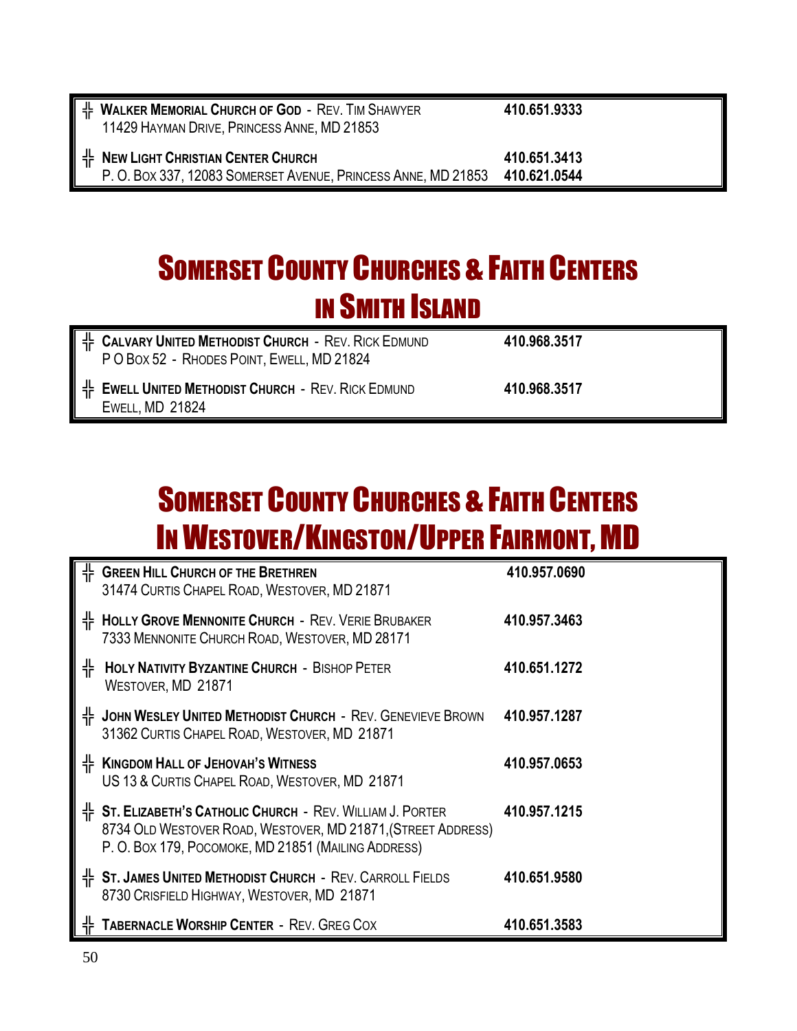| $\frac{1}{2}$ Walker Memorial Church of God - Rev. Tim Shawyer<br>11429 HAYMAN DRIVE, PRINCESS ANNE, MD 21853    | 410,651,9333                 |
|------------------------------------------------------------------------------------------------------------------|------------------------------|
| $\frac{1}{2}$ New Light Christian Center Church<br>P. O. BOX 337, 12083 SOMERSET AVENUE, PRINCESS ANNE, MD 21853 | 410,651,3413<br>410.621.0544 |

## **SOMERSET COUNTY CHURCHES & FAITH CENTERS** IN SMITH ISLAND

| $\frac{1}{2}$ Calvary United Methodist Church - Rev. Rick Edmund<br>PO BOX 52 - RHODES POINT, EWELL, MD 21824 | 410.968.3517 |
|---------------------------------------------------------------------------------------------------------------|--------------|
| H EWELL UNITED METHODIST CHURCH - REV. RICK EDMUND<br><b>EWELL, MD 21824</b>                                  | 410.968.3517 |

## **SOMERSET COUNTY CHURCHES & FAITH CENTERS IN WESTOVER/KINGSTON/UPPER FAIRMONT, MD**

|   | $\frac{1}{1}$ Green Hill Church of the Brethren<br>31474 CURTIS CHAPEL ROAD, WESTOVER, MD 21871                                                                                   | 410.957.0690 |
|---|-----------------------------------------------------------------------------------------------------------------------------------------------------------------------------------|--------------|
| 쀼 | <b>HOLLY GROVE MENNONITE CHURCH - REV. VERIE BRUBAKER</b><br>7333 MENNONITE CHURCH ROAD, WESTOVER, MD 28171                                                                       | 410.957.3463 |
| 쀼 | <b>HOLY NATIVITY BYZANTINE CHURCH - BISHOP PETER</b><br>WESTOVER, MD 21871                                                                                                        | 410.651.1272 |
| 쀼 | JOHN WESLEY UNITED METHODIST CHURCH - REV. GENEVIEVE BROWN<br>31362 CURTIS CHAPEL ROAD, WESTOVER, MD 21871                                                                        | 410.957.1287 |
| 쀼 | <b>KINGDOM HALL OF JEHOVAH'S WITNESS</b><br>US 13 & CURTIS CHAPEL ROAD, WESTOVER, MD 21871                                                                                        | 410.957.0653 |
|   | H ST. ELIZABETH'S CATHOLIC CHURCH - REV. WILLIAM J. PORTER<br>8734 OLD WESTOVER ROAD, WESTOVER, MD 21871, (STREET ADDRESS)<br>P. O. BOX 179, POCOMOKE, MD 21851 (MAILING ADDRESS) | 410.957.1215 |
|   | H ST. JAMES UNITED METHODIST CHURCH - REV. CARROLL FIELDS<br>8730 CRISFIELD HIGHWAY, WESTOVER, MD 21871                                                                           | 410.651.9580 |
|   | <b>TABERNACLE WORSHIP CENTER - REV. GREG COX</b>                                                                                                                                  | 410.651.3583 |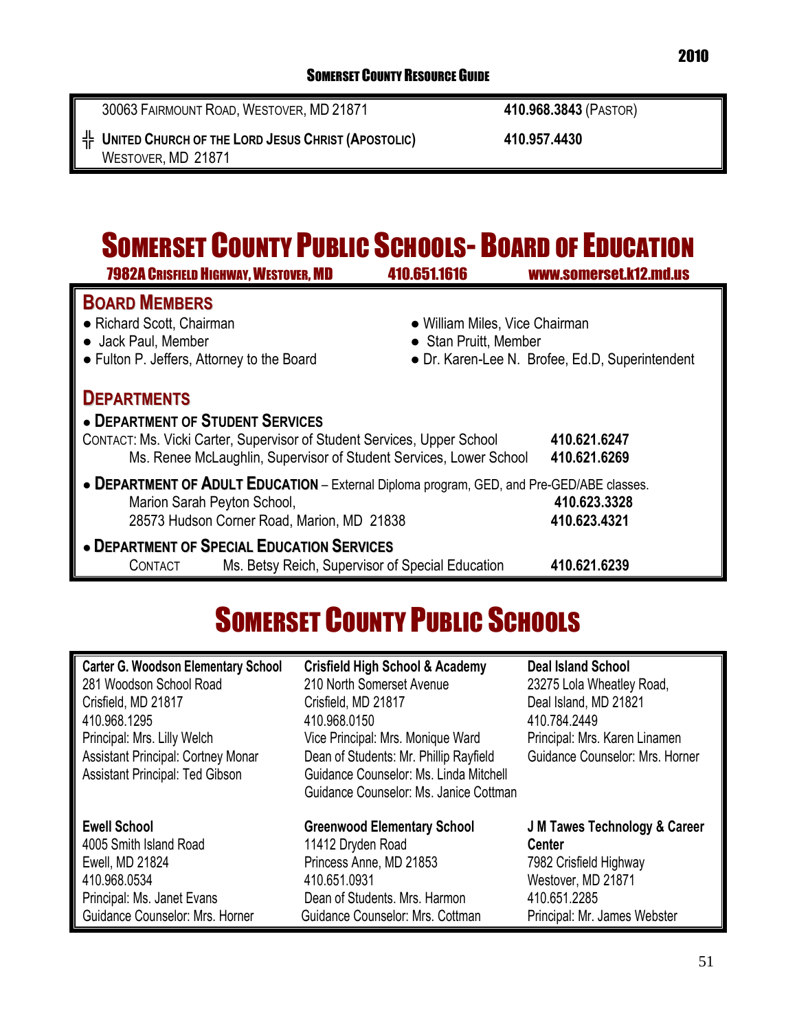30063 FAIRMOUNT ROAD, WESTOVER, MD 21871 **410.968.3843** (PASTOR)

| 쀼<br><b>UNITED CHURCH OF THE LORD JESUS CHRIST (APOSTOLIC)</b><br>WESTOVER, MD 21871                                              | 410.957.4430                                                                                               |  |
|-----------------------------------------------------------------------------------------------------------------------------------|------------------------------------------------------------------------------------------------------------|--|
|                                                                                                                                   | <b>SOMERSET COUNTY PUBLIC SCHOOLS- BOARD OF EDUCATION</b>                                                  |  |
| <b>7982A CRISFIELD HIGHWAY, WESTOVER, MD</b>                                                                                      | 410.651.1616<br>www.somerset.k12.md.us                                                                     |  |
| <b>BOARD MEMBERS</b><br>• Richard Scott, Chairman<br>• Jack Paul, Member<br>• Fulton P. Jeffers, Attorney to the Board            | • William Miles, Vice Chairman<br>• Stan Pruitt, Member<br>• Dr. Karen-Lee N. Brofee, Ed.D, Superintendent |  |
| <b>DEPARTMENTS</b><br>• DEPARTMENT OF STUDENT SERVICES<br>CONTACT: Ms. Vicki Carter, Supervisor of Student Services, Upper School | 410.621.6247                                                                                               |  |

| Ms. Renee McLaughlin, Supervisor of Student Services, Lower School                        | 410.621.6269 |
|-------------------------------------------------------------------------------------------|--------------|
| • DEPARTMENT OF ADULT EDUCATION - External Diploma program, GED, and Pre-GED/ABE classes. |              |
| Marion Sarah Peyton School,                                                               | 410.623.3328 |
| 28573 Hudson Corner Road, Marion, MD 21838                                                | 410.623.4321 |

### **● DEPARTMENT OF SPECIAL EDUCATION SERVICES** CONTACT Ms. Betsy Reich, Supervisor of Special Education **410.621.6239**

## SOMERSET COUNTY PUBLIC SCHOOLS

| <b>Carter G. Woodson Elementary School</b><br>281 Woodson School Road<br>Crisfield, MD 21817<br>410.968.1295<br>Principal: Mrs. Lilly Welch<br><b>Assistant Principal: Cortney Monar</b><br><b>Assistant Principal: Ted Gibson</b> | <b>Crisfield High School &amp; Academy</b><br>210 North Somerset Avenue<br>Crisfield, MD 21817<br>410.968.0150<br>Vice Principal: Mrs. Monique Ward<br>Dean of Students: Mr. Phillip Rayfield<br>Guidance Counselor: Ms. Linda Mitchell<br>Guidance Counselor: Ms. Janice Cottman | <b>Deal Island School</b><br>23275 Lola Wheatley Road,<br>Deal Island, MD 21821<br>410.784.2449<br>Principal: Mrs. Karen Linamen<br><b>Guidance Counselor: Mrs. Horner</b> |
|------------------------------------------------------------------------------------------------------------------------------------------------------------------------------------------------------------------------------------|-----------------------------------------------------------------------------------------------------------------------------------------------------------------------------------------------------------------------------------------------------------------------------------|----------------------------------------------------------------------------------------------------------------------------------------------------------------------------|
| <b>Ewell School</b>                                                                                                                                                                                                                | <b>Greenwood Elementary School</b>                                                                                                                                                                                                                                                | <b>J M Tawes Technology &amp; Career</b>                                                                                                                                   |
| 4005 Smith Island Road                                                                                                                                                                                                             | 11412 Dryden Road                                                                                                                                                                                                                                                                 | <b>Center</b>                                                                                                                                                              |
| Ewell, MD 21824                                                                                                                                                                                                                    | Princess Anne, MD 21853                                                                                                                                                                                                                                                           | 7982 Crisfield Highway                                                                                                                                                     |
| 410.968.0534                                                                                                                                                                                                                       | 410.651.0931                                                                                                                                                                                                                                                                      | Westover, MD 21871                                                                                                                                                         |
| Principal: Ms. Janet Evans                                                                                                                                                                                                         | Dean of Students, Mrs. Harmon                                                                                                                                                                                                                                                     | 410.651.2285                                                                                                                                                               |
| Guidance Counselor: Mrs. Horner                                                                                                                                                                                                    | Guidance Counselor: Mrs. Cottman                                                                                                                                                                                                                                                  | Principal: Mr. James Webster                                                                                                                                               |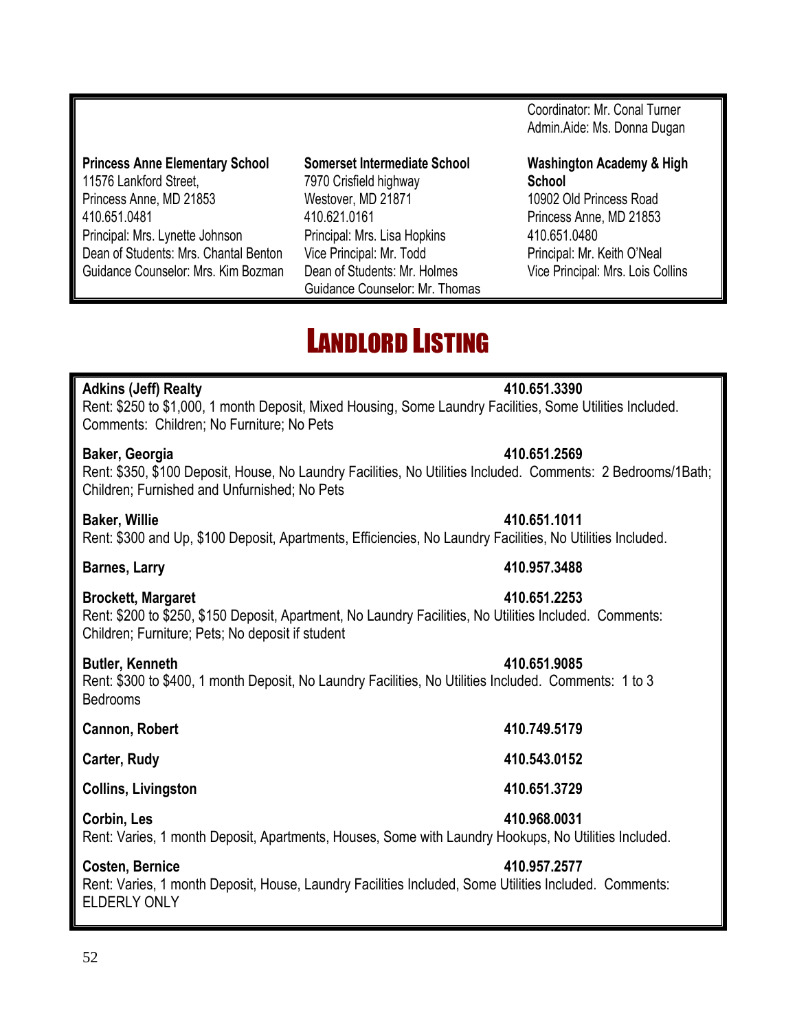### **Princess Anne Elementary School Somerset Intermediate School Washington Academy & High**  11576 Lankford Street, 7970 Crisfield highway **School** Princess Anne, MD 21853 Westover, MD 21871 10902 Old Princess Road 410.651.0481 410.621.0161 Princess Anne, MD 21853 Principal: Mrs. Lynette Johnson Principal: Mrs. Lisa Hopkins 410.651.0480 Dean of Students: Mrs. Chantal Benton Vice Principal: Mr. Todd Principal: Mr. Keith O'Neal Guidance Counselor: Mrs. Kim Bozman Dean of Students: Mr. Holmes Vice Principal: Mrs. Lois Collins

Guidance Counselor: Mr. Thomas

### Coordinator: Mr. Conal Turner Admin.Aide: Ms. Donna Dugan

## LANDLORD LISTING

### **Adkins (Jeff) Realty 410.651.3390**

Rent: \$250 to \$1,000, 1 month Deposit, Mixed Housing, Some Laundry Facilities, Some Utilities Included. Comments: Children; No Furniture; No Pets

### **Baker, Georgia 410.651.2569**

Rent: \$350, \$100 Deposit, House, No Laundry Facilities, No Utilities Included. Comments: 2 Bedrooms/1Bath; Children; Furnished and Unfurnished; No Pets

### **Baker, Willie 410.651.1011**

Rent: \$300 and Up, \$100 Deposit, Apartments, Efficiencies, No Laundry Facilities, No Utilities Included.

### **Barnes, Larry 410.957.3488**

### **Brockett, Margaret 410.651.2253**

Rent: \$200 to \$250, \$150 Deposit, Apartment, No Laundry Facilities, No Utilities Included. Comments: Children; Furniture; Pets; No deposit if student

### **Butler, Kenneth 410.651.9085**

Rent: \$300 to \$400, 1 month Deposit, No Laundry Facilities, No Utilities Included. Comments: 1 to 3 Bedrooms

### **Cannon, Robert 410.749.5179**

**Carter, Rudy 410.543.0152**

**Collins, Livingston 410.651.3729**

### **Corbin, Les 410.968.0031**

Rent: Varies, 1 month Deposit, Apartments, Houses, Some with Laundry Hookups, No Utilities Included.

### **Costen, Bernice 410.957.2577**

Rent: Varies, 1 month Deposit, House, Laundry Facilities Included, Some Utilities Included. Comments: ELDERLY ONLY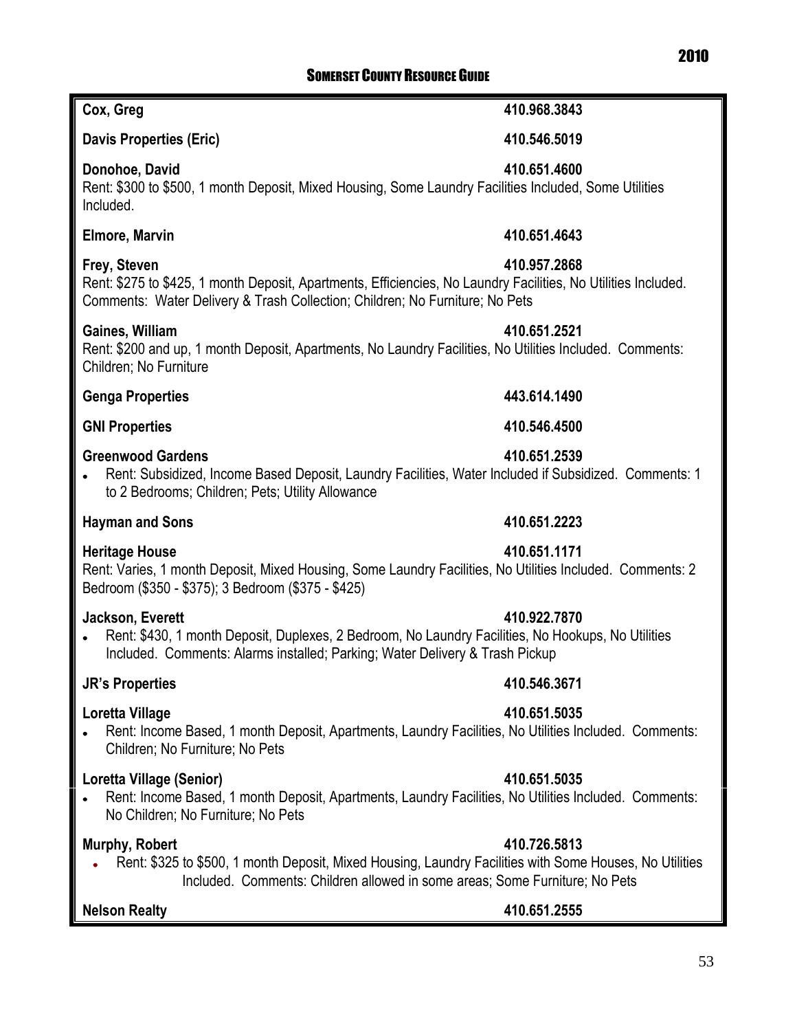### 2010 SOMERSET COUNTY RESOURCE GUIDE

### **Cox, Greg 410.968.3843**

### **Davis Properties (Eric) 410.546.5019**

### **Donohoe, David 410.651.4600**

Rent: \$300 to \$500, 1 month Deposit, Mixed Housing, Some Laundry Facilities Included, Some Utilities Included.

### **Elmore, Marvin 410.651.4643**

### **Frey, Steven 410.957.2868**

Rent: \$275 to \$425, 1 month Deposit, Apartments, Efficiencies, No Laundry Facilities, No Utilities Included. Comments: Water Delivery & Trash Collection; Children; No Furniture; No Pets

### **Gaines, William 410.651.2521**

Rent: \$200 and up, 1 month Deposit, Apartments, No Laundry Facilities, No Utilities Included. Comments: Children; No Furniture

### **Genga Properties 443.614.1490**

### **GNI Properties 410.546.4500**

### **Greenwood Gardens 410.651.2539**

Rent: Subsidized, Income Based Deposit, Laundry Facilities, Water Included if Subsidized. Comments: 1 to 2 Bedrooms; Children; Pets; Utility Allowance

### **Hayman and Sons 410.651.2223**

### **Heritage House 410.651.1171**

Rent: Varies, 1 month Deposit, Mixed Housing, Some Laundry Facilities, No Utilities Included. Comments: 2 Bedroom (\$350 - \$375); 3 Bedroom (\$375 - \$425)

### **Jackson, Everett 410.922.7870**

Rent: \$430, 1 month Deposit, Duplexes, 2 Bedroom, No Laundry Facilities, No Hookups, No Utilities Included. Comments: Alarms installed; Parking; Water Delivery & Trash Pickup

### **JR's Properties 410.546.3671**

### **Loretta Village 410.651.5035**

Rent: Income Based, 1 month Deposit, Apartments, Laundry Facilities, No Utilities Included. Comments: Children; No Furniture; No Pets

### **Loretta Village (Senior) 410.651.5035**

Rent: Income Based, 1 month Deposit, Apartments, Laundry Facilities, No Utilities Included. Comments: No Children; No Furniture; No Pets

### **Murphy, Robert 410.726.5813**

Rent: \$325 to \$500, 1 month Deposit, Mixed Housing, Laundry Facilities with Some Houses, No Utilities Included. Comments: Children allowed in some areas; Some Furniture; No Pets

### **Nelson Realty 410.651.2555**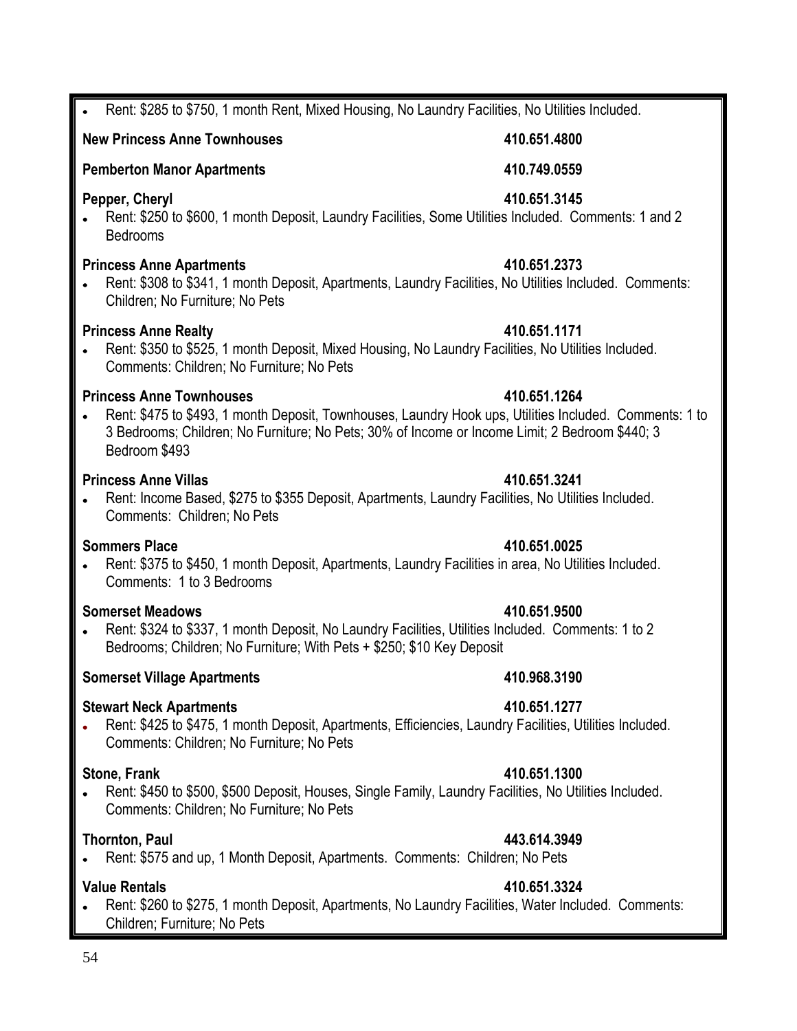### Rent: \$285 to \$750, 1 month Rent, Mixed Housing, No Laundry Facilities, No Utilities Included.

### **New Princess Anne Townhouses 410.651.4800**

### **Pemberton Manor Apartments 410.749.0559**

### **Pepper, Cheryl 410.651.3145**

Rent: \$250 to \$600, 1 month Deposit, Laundry Facilities, Some Utilities Included. Comments: 1 and 2 Bedrooms

### **Princess Anne Apartments 410.651.2373**

Rent: \$308 to \$341, 1 month Deposit, Apartments, Laundry Facilities, No Utilities Included. Comments: Children; No Furniture; No Pets

### **Princess Anne Realty 410.651.1171**

Rent: \$350 to \$525, 1 month Deposit, Mixed Housing, No Laundry Facilities, No Utilities Included.  $\bullet$ Comments: Children; No Furniture; No Pets

### **Princess Anne Townhouses 410.651.1264**

Rent: \$475 to \$493, 1 month Deposit, Townhouses, Laundry Hook ups, Utilities Included. Comments: 1 to 3 Bedrooms; Children; No Furniture; No Pets; 30% of Income or Income Limit; 2 Bedroom \$440; 3 Bedroom \$493

### **Princess Anne Villas 410.651.3241**

Rent: Income Based, \$275 to \$355 Deposit, Apartments, Laundry Facilities, No Utilities Included. Comments: Children; No Pets

### **Sommers Place 410.651.0025**

Rent: \$375 to \$450, 1 month Deposit, Apartments, Laundry Facilities in area, No Utilities Included. Comments: 1 to 3 Bedrooms

### **Somerset Meadows 410.651.9500**

Rent: \$324 to \$337, 1 month Deposit, No Laundry Facilities, Utilities Included. Comments: 1 to 2  $\bullet$ Bedrooms; Children; No Furniture; With Pets + \$250; \$10 Key Deposit

### **Somerset Village Apartments 410.968.3190**

### **Stewart Neck Apartments 410.651.1277**

Rent: \$425 to \$475, 1 month Deposit, Apartments, Efficiencies, Laundry Facilities, Utilities Included.  $\bullet$ Comments: Children; No Furniture; No Pets

### **Stone, Frank 410.651.1300**

Rent: \$450 to \$500, \$500 Deposit, Houses, Single Family, Laundry Facilities, No Utilities Included. Comments: Children; No Furniture; No Pets

### **Thornton, Paul 443.614.3949**

Rent: \$575 and up, 1 Month Deposit, Apartments. Comments: Children; No Pets  $\bullet$ 

### **Value Rentals 410.651.3324**

Rent: \$260 to \$275, 1 month Deposit, Apartments, No Laundry Facilities, Water Included. Comments: Children; Furniture; No Pets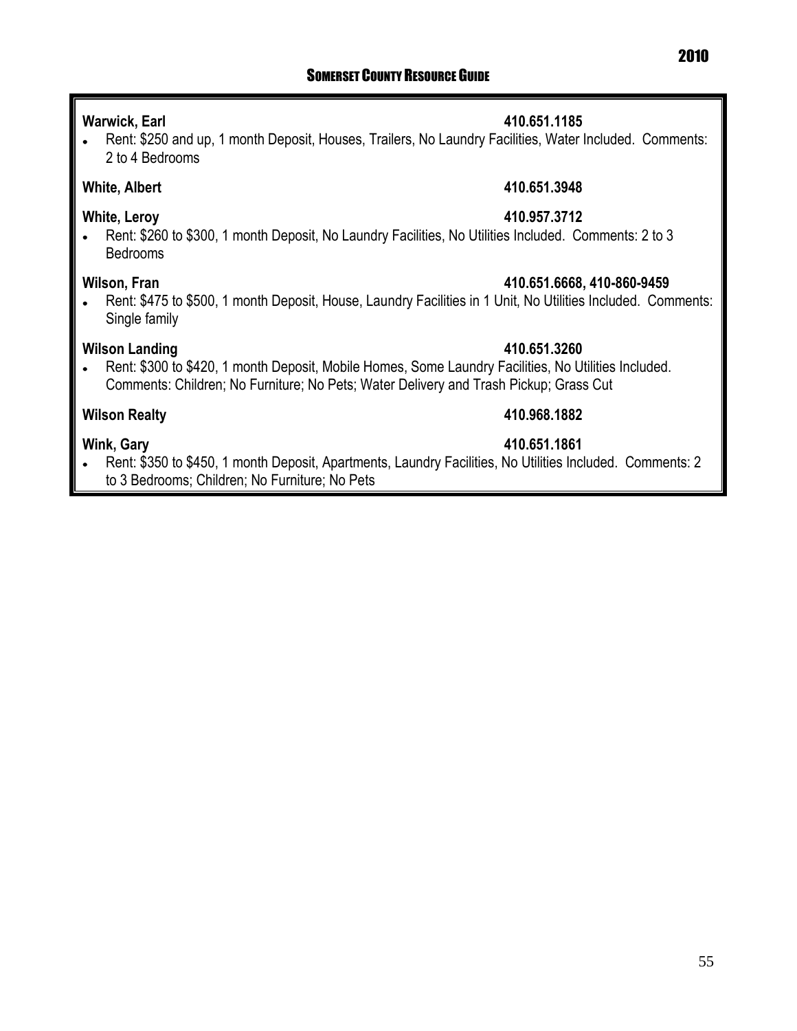### **Warwick, Earl 410.651.1185**

Rent: \$250 and up, 1 month Deposit, Houses, Trailers, No Laundry Facilities, Water Included. Comments:  $\bullet$ 2 to 4 Bedrooms

### **White, Albert 410.651.3948**

### **White, Leroy 410.957.3712**

Rent: \$260 to \$300, 1 month Deposit, No Laundry Facilities, No Utilities Included. Comments: 2 to 3  $\bullet$ Bedrooms

### **Wilson, Fran 410.651.6668, 410-860-9459**

Rent: \$475 to \$500, 1 month Deposit, House, Laundry Facilities in 1 Unit, No Utilities Included. Comments:  $\bullet$ Single family

### **Wilson Landing 410.651.3260**

Rent: \$300 to \$420, 1 month Deposit, Mobile Homes, Some Laundry Facilities, No Utilities Included.  $\bullet$ Comments: Children; No Furniture; No Pets; Water Delivery and Trash Pickup; Grass Cut

### **Wilson Realty 410.968.1882**

### **Wink, Gary 410.651.1861**

Rent: \$350 to \$450, 1 month Deposit, Apartments, Laundry Facilities, No Utilities Included. Comments: 2  $\bullet$ to 3 Bedrooms; Children; No Furniture; No Pets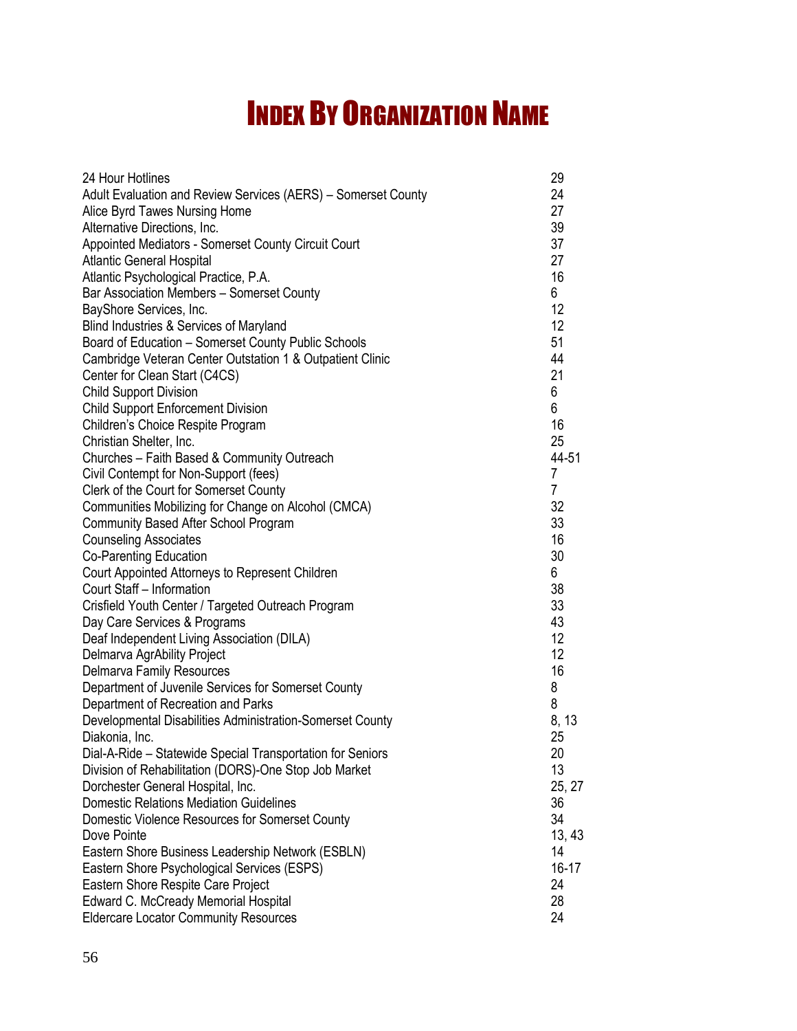## INDEX BY ORGANIZATION NAME

| Adult Evaluation and Review Services (AERS) - Somerset County<br>24<br>27<br>Alice Byrd Tawes Nursing Home<br>39<br>Alternative Directions, Inc.<br>37<br>Appointed Mediators - Somerset County Circuit Court<br>27<br><b>Atlantic General Hospital</b><br>16<br>Atlantic Psychological Practice, P.A.<br>Bar Association Members - Somerset County<br>6<br>BayShore Services, Inc.<br>12<br>12<br>Blind Industries & Services of Maryland<br>Board of Education - Somerset County Public Schools<br>51<br>Cambridge Veteran Center Outstation 1 & Outpatient Clinic<br>44<br>21<br>Center for Clean Start (C4CS)<br>6<br><b>Child Support Division</b><br>6<br><b>Child Support Enforcement Division</b><br>Children's Choice Respite Program<br>16<br>Christian Shelter, Inc.<br>25<br>Churches - Faith Based & Community Outreach<br>44-51<br>Civil Contempt for Non-Support (fees)<br>7<br>Clerk of the Court for Somerset County<br>7<br>Communities Mobilizing for Change on Alcohol (CMCA)<br>32<br>33<br>Community Based After School Program<br>16<br><b>Counseling Associates</b><br>30<br>Co-Parenting Education<br>6<br>Court Appointed Attorneys to Represent Children<br>38<br>Court Staff - Information<br>33<br>Crisfield Youth Center / Targeted Outreach Program<br>43<br>Day Care Services & Programs<br>12<br>Deaf Independent Living Association (DILA)<br>12<br>Delmarva AgrAbility Project<br>16<br>Delmarva Family Resources<br>8<br>Department of Juvenile Services for Somerset County<br>8<br>Department of Recreation and Parks<br>Developmental Disabilities Administration-Somerset County<br>8, 13<br>25<br>Diakonia, Inc.<br>Dial-A-Ride - Statewide Special Transportation for Seniors<br>20<br>Division of Rehabilitation (DORS)-One Stop Job Market<br>13<br>Dorchester General Hospital, Inc.<br>25, 27<br><b>Domestic Relations Mediation Guidelines</b><br>36<br>Domestic Violence Resources for Somerset County<br>34<br>Dove Pointe<br>13, 43<br>Eastern Shore Business Leadership Network (ESBLN)<br>14<br>Eastern Shore Psychological Services (ESPS)<br>$16-17$ | 24 Hour Hotlines                   | 29 |
|------------------------------------------------------------------------------------------------------------------------------------------------------------------------------------------------------------------------------------------------------------------------------------------------------------------------------------------------------------------------------------------------------------------------------------------------------------------------------------------------------------------------------------------------------------------------------------------------------------------------------------------------------------------------------------------------------------------------------------------------------------------------------------------------------------------------------------------------------------------------------------------------------------------------------------------------------------------------------------------------------------------------------------------------------------------------------------------------------------------------------------------------------------------------------------------------------------------------------------------------------------------------------------------------------------------------------------------------------------------------------------------------------------------------------------------------------------------------------------------------------------------------------------------------------------------------------------------------------------------------------------------------------------------------------------------------------------------------------------------------------------------------------------------------------------------------------------------------------------------------------------------------------------------------------------------------------------------------------------------------------------------------------------------------------------------------------------------------------------|------------------------------------|----|
|                                                                                                                                                                                                                                                                                                                                                                                                                                                                                                                                                                                                                                                                                                                                                                                                                                                                                                                                                                                                                                                                                                                                                                                                                                                                                                                                                                                                                                                                                                                                                                                                                                                                                                                                                                                                                                                                                                                                                                                                                                                                                                            |                                    |    |
|                                                                                                                                                                                                                                                                                                                                                                                                                                                                                                                                                                                                                                                                                                                                                                                                                                                                                                                                                                                                                                                                                                                                                                                                                                                                                                                                                                                                                                                                                                                                                                                                                                                                                                                                                                                                                                                                                                                                                                                                                                                                                                            |                                    |    |
|                                                                                                                                                                                                                                                                                                                                                                                                                                                                                                                                                                                                                                                                                                                                                                                                                                                                                                                                                                                                                                                                                                                                                                                                                                                                                                                                                                                                                                                                                                                                                                                                                                                                                                                                                                                                                                                                                                                                                                                                                                                                                                            |                                    |    |
|                                                                                                                                                                                                                                                                                                                                                                                                                                                                                                                                                                                                                                                                                                                                                                                                                                                                                                                                                                                                                                                                                                                                                                                                                                                                                                                                                                                                                                                                                                                                                                                                                                                                                                                                                                                                                                                                                                                                                                                                                                                                                                            |                                    |    |
|                                                                                                                                                                                                                                                                                                                                                                                                                                                                                                                                                                                                                                                                                                                                                                                                                                                                                                                                                                                                                                                                                                                                                                                                                                                                                                                                                                                                                                                                                                                                                                                                                                                                                                                                                                                                                                                                                                                                                                                                                                                                                                            |                                    |    |
|                                                                                                                                                                                                                                                                                                                                                                                                                                                                                                                                                                                                                                                                                                                                                                                                                                                                                                                                                                                                                                                                                                                                                                                                                                                                                                                                                                                                                                                                                                                                                                                                                                                                                                                                                                                                                                                                                                                                                                                                                                                                                                            |                                    |    |
|                                                                                                                                                                                                                                                                                                                                                                                                                                                                                                                                                                                                                                                                                                                                                                                                                                                                                                                                                                                                                                                                                                                                                                                                                                                                                                                                                                                                                                                                                                                                                                                                                                                                                                                                                                                                                                                                                                                                                                                                                                                                                                            |                                    |    |
|                                                                                                                                                                                                                                                                                                                                                                                                                                                                                                                                                                                                                                                                                                                                                                                                                                                                                                                                                                                                                                                                                                                                                                                                                                                                                                                                                                                                                                                                                                                                                                                                                                                                                                                                                                                                                                                                                                                                                                                                                                                                                                            |                                    |    |
|                                                                                                                                                                                                                                                                                                                                                                                                                                                                                                                                                                                                                                                                                                                                                                                                                                                                                                                                                                                                                                                                                                                                                                                                                                                                                                                                                                                                                                                                                                                                                                                                                                                                                                                                                                                                                                                                                                                                                                                                                                                                                                            |                                    |    |
|                                                                                                                                                                                                                                                                                                                                                                                                                                                                                                                                                                                                                                                                                                                                                                                                                                                                                                                                                                                                                                                                                                                                                                                                                                                                                                                                                                                                                                                                                                                                                                                                                                                                                                                                                                                                                                                                                                                                                                                                                                                                                                            |                                    |    |
|                                                                                                                                                                                                                                                                                                                                                                                                                                                                                                                                                                                                                                                                                                                                                                                                                                                                                                                                                                                                                                                                                                                                                                                                                                                                                                                                                                                                                                                                                                                                                                                                                                                                                                                                                                                                                                                                                                                                                                                                                                                                                                            |                                    |    |
|                                                                                                                                                                                                                                                                                                                                                                                                                                                                                                                                                                                                                                                                                                                                                                                                                                                                                                                                                                                                                                                                                                                                                                                                                                                                                                                                                                                                                                                                                                                                                                                                                                                                                                                                                                                                                                                                                                                                                                                                                                                                                                            |                                    |    |
|                                                                                                                                                                                                                                                                                                                                                                                                                                                                                                                                                                                                                                                                                                                                                                                                                                                                                                                                                                                                                                                                                                                                                                                                                                                                                                                                                                                                                                                                                                                                                                                                                                                                                                                                                                                                                                                                                                                                                                                                                                                                                                            |                                    |    |
|                                                                                                                                                                                                                                                                                                                                                                                                                                                                                                                                                                                                                                                                                                                                                                                                                                                                                                                                                                                                                                                                                                                                                                                                                                                                                                                                                                                                                                                                                                                                                                                                                                                                                                                                                                                                                                                                                                                                                                                                                                                                                                            |                                    |    |
|                                                                                                                                                                                                                                                                                                                                                                                                                                                                                                                                                                                                                                                                                                                                                                                                                                                                                                                                                                                                                                                                                                                                                                                                                                                                                                                                                                                                                                                                                                                                                                                                                                                                                                                                                                                                                                                                                                                                                                                                                                                                                                            |                                    |    |
|                                                                                                                                                                                                                                                                                                                                                                                                                                                                                                                                                                                                                                                                                                                                                                                                                                                                                                                                                                                                                                                                                                                                                                                                                                                                                                                                                                                                                                                                                                                                                                                                                                                                                                                                                                                                                                                                                                                                                                                                                                                                                                            |                                    |    |
|                                                                                                                                                                                                                                                                                                                                                                                                                                                                                                                                                                                                                                                                                                                                                                                                                                                                                                                                                                                                                                                                                                                                                                                                                                                                                                                                                                                                                                                                                                                                                                                                                                                                                                                                                                                                                                                                                                                                                                                                                                                                                                            |                                    |    |
|                                                                                                                                                                                                                                                                                                                                                                                                                                                                                                                                                                                                                                                                                                                                                                                                                                                                                                                                                                                                                                                                                                                                                                                                                                                                                                                                                                                                                                                                                                                                                                                                                                                                                                                                                                                                                                                                                                                                                                                                                                                                                                            |                                    |    |
|                                                                                                                                                                                                                                                                                                                                                                                                                                                                                                                                                                                                                                                                                                                                                                                                                                                                                                                                                                                                                                                                                                                                                                                                                                                                                                                                                                                                                                                                                                                                                                                                                                                                                                                                                                                                                                                                                                                                                                                                                                                                                                            |                                    |    |
|                                                                                                                                                                                                                                                                                                                                                                                                                                                                                                                                                                                                                                                                                                                                                                                                                                                                                                                                                                                                                                                                                                                                                                                                                                                                                                                                                                                                                                                                                                                                                                                                                                                                                                                                                                                                                                                                                                                                                                                                                                                                                                            |                                    |    |
|                                                                                                                                                                                                                                                                                                                                                                                                                                                                                                                                                                                                                                                                                                                                                                                                                                                                                                                                                                                                                                                                                                                                                                                                                                                                                                                                                                                                                                                                                                                                                                                                                                                                                                                                                                                                                                                                                                                                                                                                                                                                                                            |                                    |    |
|                                                                                                                                                                                                                                                                                                                                                                                                                                                                                                                                                                                                                                                                                                                                                                                                                                                                                                                                                                                                                                                                                                                                                                                                                                                                                                                                                                                                                                                                                                                                                                                                                                                                                                                                                                                                                                                                                                                                                                                                                                                                                                            |                                    |    |
|                                                                                                                                                                                                                                                                                                                                                                                                                                                                                                                                                                                                                                                                                                                                                                                                                                                                                                                                                                                                                                                                                                                                                                                                                                                                                                                                                                                                                                                                                                                                                                                                                                                                                                                                                                                                                                                                                                                                                                                                                                                                                                            |                                    |    |
|                                                                                                                                                                                                                                                                                                                                                                                                                                                                                                                                                                                                                                                                                                                                                                                                                                                                                                                                                                                                                                                                                                                                                                                                                                                                                                                                                                                                                                                                                                                                                                                                                                                                                                                                                                                                                                                                                                                                                                                                                                                                                                            |                                    |    |
|                                                                                                                                                                                                                                                                                                                                                                                                                                                                                                                                                                                                                                                                                                                                                                                                                                                                                                                                                                                                                                                                                                                                                                                                                                                                                                                                                                                                                                                                                                                                                                                                                                                                                                                                                                                                                                                                                                                                                                                                                                                                                                            |                                    |    |
|                                                                                                                                                                                                                                                                                                                                                                                                                                                                                                                                                                                                                                                                                                                                                                                                                                                                                                                                                                                                                                                                                                                                                                                                                                                                                                                                                                                                                                                                                                                                                                                                                                                                                                                                                                                                                                                                                                                                                                                                                                                                                                            |                                    |    |
|                                                                                                                                                                                                                                                                                                                                                                                                                                                                                                                                                                                                                                                                                                                                                                                                                                                                                                                                                                                                                                                                                                                                                                                                                                                                                                                                                                                                                                                                                                                                                                                                                                                                                                                                                                                                                                                                                                                                                                                                                                                                                                            |                                    |    |
|                                                                                                                                                                                                                                                                                                                                                                                                                                                                                                                                                                                                                                                                                                                                                                                                                                                                                                                                                                                                                                                                                                                                                                                                                                                                                                                                                                                                                                                                                                                                                                                                                                                                                                                                                                                                                                                                                                                                                                                                                                                                                                            |                                    |    |
|                                                                                                                                                                                                                                                                                                                                                                                                                                                                                                                                                                                                                                                                                                                                                                                                                                                                                                                                                                                                                                                                                                                                                                                                                                                                                                                                                                                                                                                                                                                                                                                                                                                                                                                                                                                                                                                                                                                                                                                                                                                                                                            |                                    |    |
|                                                                                                                                                                                                                                                                                                                                                                                                                                                                                                                                                                                                                                                                                                                                                                                                                                                                                                                                                                                                                                                                                                                                                                                                                                                                                                                                                                                                                                                                                                                                                                                                                                                                                                                                                                                                                                                                                                                                                                                                                                                                                                            |                                    |    |
|                                                                                                                                                                                                                                                                                                                                                                                                                                                                                                                                                                                                                                                                                                                                                                                                                                                                                                                                                                                                                                                                                                                                                                                                                                                                                                                                                                                                                                                                                                                                                                                                                                                                                                                                                                                                                                                                                                                                                                                                                                                                                                            |                                    |    |
|                                                                                                                                                                                                                                                                                                                                                                                                                                                                                                                                                                                                                                                                                                                                                                                                                                                                                                                                                                                                                                                                                                                                                                                                                                                                                                                                                                                                                                                                                                                                                                                                                                                                                                                                                                                                                                                                                                                                                                                                                                                                                                            |                                    |    |
|                                                                                                                                                                                                                                                                                                                                                                                                                                                                                                                                                                                                                                                                                                                                                                                                                                                                                                                                                                                                                                                                                                                                                                                                                                                                                                                                                                                                                                                                                                                                                                                                                                                                                                                                                                                                                                                                                                                                                                                                                                                                                                            |                                    |    |
|                                                                                                                                                                                                                                                                                                                                                                                                                                                                                                                                                                                                                                                                                                                                                                                                                                                                                                                                                                                                                                                                                                                                                                                                                                                                                                                                                                                                                                                                                                                                                                                                                                                                                                                                                                                                                                                                                                                                                                                                                                                                                                            |                                    |    |
|                                                                                                                                                                                                                                                                                                                                                                                                                                                                                                                                                                                                                                                                                                                                                                                                                                                                                                                                                                                                                                                                                                                                                                                                                                                                                                                                                                                                                                                                                                                                                                                                                                                                                                                                                                                                                                                                                                                                                                                                                                                                                                            |                                    |    |
|                                                                                                                                                                                                                                                                                                                                                                                                                                                                                                                                                                                                                                                                                                                                                                                                                                                                                                                                                                                                                                                                                                                                                                                                                                                                                                                                                                                                                                                                                                                                                                                                                                                                                                                                                                                                                                                                                                                                                                                                                                                                                                            |                                    |    |
|                                                                                                                                                                                                                                                                                                                                                                                                                                                                                                                                                                                                                                                                                                                                                                                                                                                                                                                                                                                                                                                                                                                                                                                                                                                                                                                                                                                                                                                                                                                                                                                                                                                                                                                                                                                                                                                                                                                                                                                                                                                                                                            |                                    |    |
|                                                                                                                                                                                                                                                                                                                                                                                                                                                                                                                                                                                                                                                                                                                                                                                                                                                                                                                                                                                                                                                                                                                                                                                                                                                                                                                                                                                                                                                                                                                                                                                                                                                                                                                                                                                                                                                                                                                                                                                                                                                                                                            |                                    |    |
|                                                                                                                                                                                                                                                                                                                                                                                                                                                                                                                                                                                                                                                                                                                                                                                                                                                                                                                                                                                                                                                                                                                                                                                                                                                                                                                                                                                                                                                                                                                                                                                                                                                                                                                                                                                                                                                                                                                                                                                                                                                                                                            |                                    |    |
|                                                                                                                                                                                                                                                                                                                                                                                                                                                                                                                                                                                                                                                                                                                                                                                                                                                                                                                                                                                                                                                                                                                                                                                                                                                                                                                                                                                                                                                                                                                                                                                                                                                                                                                                                                                                                                                                                                                                                                                                                                                                                                            |                                    |    |
|                                                                                                                                                                                                                                                                                                                                                                                                                                                                                                                                                                                                                                                                                                                                                                                                                                                                                                                                                                                                                                                                                                                                                                                                                                                                                                                                                                                                                                                                                                                                                                                                                                                                                                                                                                                                                                                                                                                                                                                                                                                                                                            |                                    |    |
|                                                                                                                                                                                                                                                                                                                                                                                                                                                                                                                                                                                                                                                                                                                                                                                                                                                                                                                                                                                                                                                                                                                                                                                                                                                                                                                                                                                                                                                                                                                                                                                                                                                                                                                                                                                                                                                                                                                                                                                                                                                                                                            |                                    |    |
|                                                                                                                                                                                                                                                                                                                                                                                                                                                                                                                                                                                                                                                                                                                                                                                                                                                                                                                                                                                                                                                                                                                                                                                                                                                                                                                                                                                                                                                                                                                                                                                                                                                                                                                                                                                                                                                                                                                                                                                                                                                                                                            | Eastern Shore Respite Care Project | 24 |
| Edward C. McCready Memorial Hospital<br>28                                                                                                                                                                                                                                                                                                                                                                                                                                                                                                                                                                                                                                                                                                                                                                                                                                                                                                                                                                                                                                                                                                                                                                                                                                                                                                                                                                                                                                                                                                                                                                                                                                                                                                                                                                                                                                                                                                                                                                                                                                                                 |                                    |    |
| <b>Eldercare Locator Community Resources</b><br>24                                                                                                                                                                                                                                                                                                                                                                                                                                                                                                                                                                                                                                                                                                                                                                                                                                                                                                                                                                                                                                                                                                                                                                                                                                                                                                                                                                                                                                                                                                                                                                                                                                                                                                                                                                                                                                                                                                                                                                                                                                                         |                                    |    |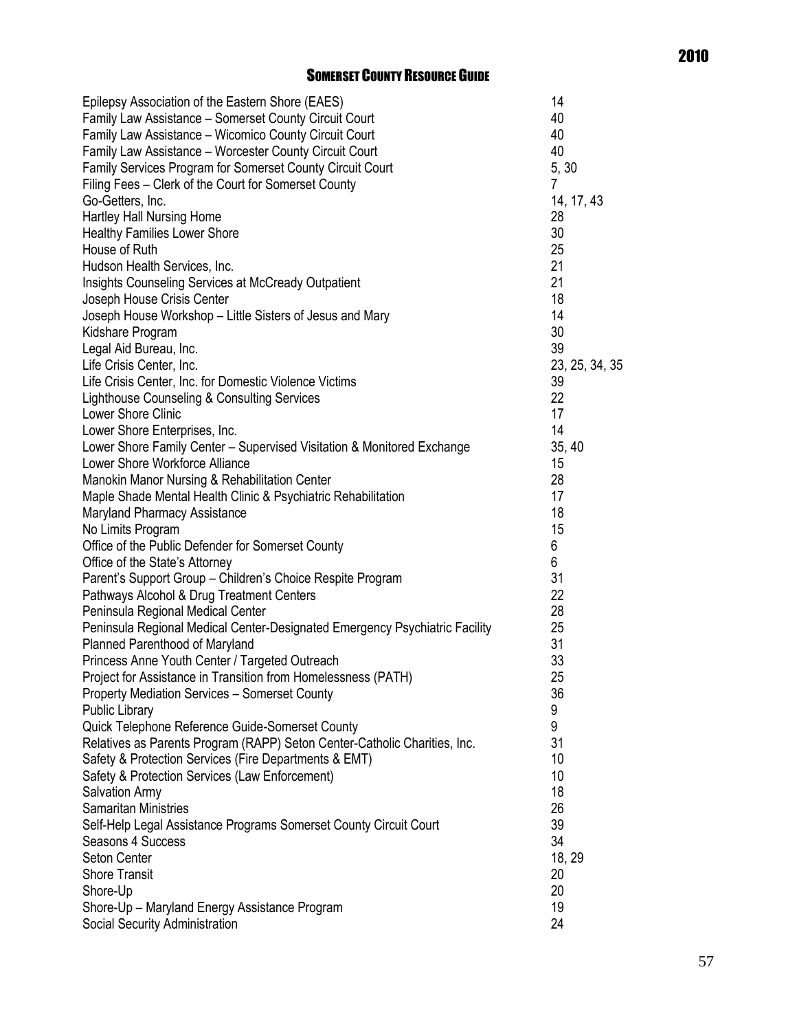### SOMERSET COUNTY RESOURCE GUIDE

| Epilepsy Association of the Eastern Shore (EAES)                            | 14             |
|-----------------------------------------------------------------------------|----------------|
| Family Law Assistance - Somerset County Circuit Court                       | 40             |
| Family Law Assistance - Wicomico County Circuit Court                       | 40             |
| Family Law Assistance - Worcester County Circuit Court                      | 40             |
| Family Services Program for Somerset County Circuit Court                   | 5, 30          |
| Filing Fees - Clerk of the Court for Somerset County                        | 7              |
| Go-Getters, Inc.                                                            | 14, 17, 43     |
| Hartley Hall Nursing Home                                                   | 28             |
| <b>Healthy Families Lower Shore</b>                                         | 30             |
| House of Ruth                                                               | 25             |
| Hudson Health Services, Inc.                                                | 21             |
| Insights Counseling Services at McCready Outpatient                         | 21             |
| Joseph House Crisis Center                                                  | 18             |
| Joseph House Workshop - Little Sisters of Jesus and Mary                    | 14             |
| Kidshare Program                                                            | 30             |
| Legal Aid Bureau, Inc.                                                      | 39             |
| Life Crisis Center, Inc.                                                    | 23, 25, 34, 35 |
|                                                                             | 39             |
| Life Crisis Center, Inc. for Domestic Violence Victims                      |                |
| Lighthouse Counseling & Consulting Services                                 | 22             |
| Lower Shore Clinic                                                          | 17             |
| Lower Shore Enterprises, Inc.                                               | 14             |
| Lower Shore Family Center - Supervised Visitation & Monitored Exchange      | 35, 40         |
| Lower Shore Workforce Alliance                                              | 15             |
| Manokin Manor Nursing & Rehabilitation Center                               | 28             |
| Maple Shade Mental Health Clinic & Psychiatric Rehabilitation               | 17             |
| Maryland Pharmacy Assistance                                                | 18             |
| No Limits Program                                                           | 15             |
| Office of the Public Defender for Somerset County                           | 6              |
| Office of the State's Attorney                                              | 6              |
| Parent's Support Group - Children's Choice Respite Program                  | 31             |
| Pathways Alcohol & Drug Treatment Centers                                   | 22             |
| Peninsula Regional Medical Center                                           | 28             |
| Peninsula Regional Medical Center-Designated Emergency Psychiatric Facility | 25             |
| Planned Parenthood of Maryland                                              | 31             |
| Princess Anne Youth Center / Targeted Outreach                              | 33             |
| Project for Assistance in Transition from Homelessness (PATH)               | 25             |
| <b>Property Mediation Services - Somerset County</b>                        | 36             |
| <b>Public Library</b>                                                       | 9              |
| Quick Telephone Reference Guide-Somerset County                             | 9              |
| Relatives as Parents Program (RAPP) Seton Center-Catholic Charities, Inc.   | 31             |
| Safety & Protection Services (Fire Departments & EMT)                       | 10             |
| Safety & Protection Services (Law Enforcement)                              | 10             |
| Salvation Army                                                              | 18             |
| <b>Samaritan Ministries</b>                                                 | 26             |
| Self-Help Legal Assistance Programs Somerset County Circuit Court           | 39             |
| Seasons 4 Success                                                           | 34             |
| Seton Center                                                                | 18, 29         |
| <b>Shore Transit</b>                                                        | 20             |
| Shore-Up                                                                    | 20             |
| Shore-Up - Maryland Energy Assistance Program                               | 19             |
| Social Security Administration                                              | 24             |